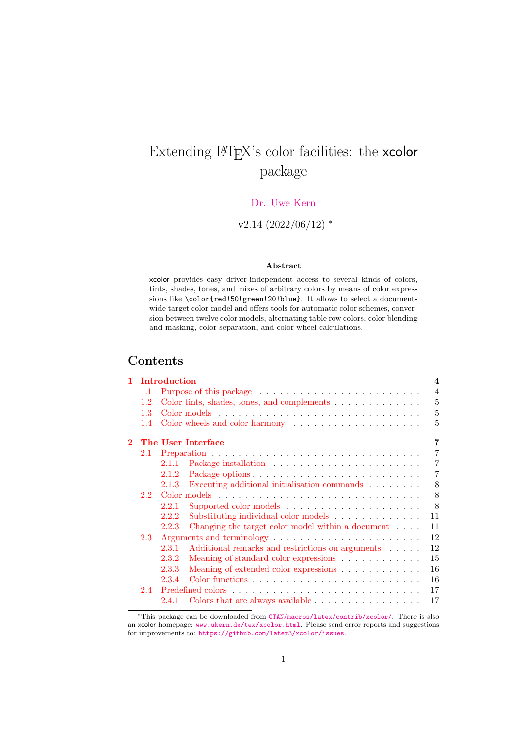# <span id="page-0-0"></span>Extending LATEX's color facilities: the xcolor package

# [Dr. Uwe Kern](mailto:xcolor@ukern.de)

# v2.14 (2022/06/12) \*

# Abstract

xcolor provides easy driver-independent access to several kinds of colors, tints, shades, tones, and mixes of arbitrary colors by means of color expressions like \color{red!50!green!20!blue}. It allows to select a documentwide target color model and offers tools for automatic color schemes, conversion between twelve color models, alternating table row colors, color blending and masking, color separation, and color wheel calculations.

# Contents

| 1.       |               | Introduction |                                                                                   | $\overline{\mathbf{4}}$ |
|----------|---------------|--------------|-----------------------------------------------------------------------------------|-------------------------|
|          | 1.1           |              | Purpose of this package $\ldots \ldots \ldots \ldots \ldots \ldots \ldots \ldots$ | $\overline{4}$          |
|          | 1.2           |              | Color tints, shades, tones, and complements $\dots \dots \dots \dots$             | 5                       |
|          | 1.3           |              |                                                                                   | 5                       |
|          | 1.4           |              |                                                                                   | 5                       |
| $\bf{2}$ |               |              | The User Interface                                                                | 7                       |
|          | 2.1           |              |                                                                                   | $\overline{7}$          |
|          |               | 2.1.1        |                                                                                   | 7                       |
|          |               | 2.1.2        |                                                                                   | $\overline{7}$          |
|          |               | 2.1.3        | Executing additional initialisation commands                                      | 8                       |
|          | $2.2^{\circ}$ |              |                                                                                   | 8                       |
|          |               | 2.2.1        | Supported color models                                                            | 8                       |
|          |               | 2.2.2        | Substituting individual color models                                              | 11                      |
|          |               | 2.2.3        | Changing the target color model within a document                                 | 11                      |
|          | 2.3           |              |                                                                                   | 12                      |
|          |               | 2.3.1        | Additional remarks and restrictions on arguments                                  | 12                      |
|          |               | 2.3.2        | Meaning of standard color expressions                                             | 15                      |
|          |               | 2.3.3        | Meaning of extended color expressions                                             | 16                      |
|          |               | 2.3.4        |                                                                                   | 16                      |
|          | 2.4           |              |                                                                                   | 17                      |
|          |               | 2.4.1        |                                                                                   | 17                      |

<sup>∗</sup>This package can be downloaded from [CTAN/macros/latex/contrib/xcolor/](http://www.ctan.org/tex-archive/macros/latex/contrib/xcolor/). There is also an xcolor homepage: [www.ukern.de/tex/xcolor.html](http://www.ukern.de/tex/xcolor.html). Please send error reports and suggestions for improvements to: <https://github.com/latex3/xcolor/issues>.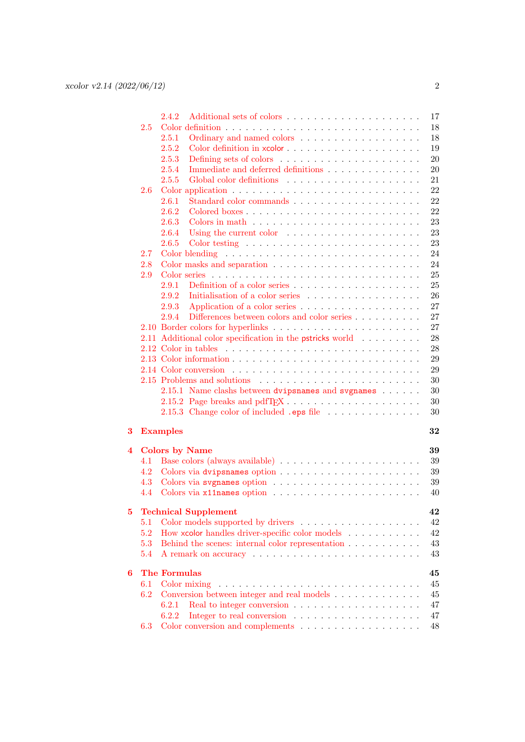|   |     | 2.4.2<br>Additional sets of colors                                                     | 17 |
|---|-----|----------------------------------------------------------------------------------------|----|
|   | 2.5 |                                                                                        | 18 |
|   |     | 2.5.1<br>Ordinary and named colors                                                     | 18 |
|   |     | 2.5.2                                                                                  | 19 |
|   |     | 2.5.3                                                                                  | 20 |
|   |     | Immediate and deferred definitions<br>2.5.4                                            | 20 |
|   |     | 2.5.5                                                                                  | 21 |
|   | 2.6 |                                                                                        | 22 |
|   |     | 2.6.1                                                                                  | 22 |
|   |     | 2.6.2                                                                                  | 22 |
|   |     | 2.6.3                                                                                  | 23 |
|   |     | 2.6.4<br>Using the current color $\dots \dots \dots \dots \dots \dots \dots$           | 23 |
|   |     | 2.6.5                                                                                  | 23 |
|   | 2.7 |                                                                                        | 24 |
|   | 2.8 |                                                                                        | 24 |
|   | 2.9 |                                                                                        | 25 |
|   |     | 2.9.1                                                                                  | 25 |
|   |     | 2.9.2                                                                                  | 26 |
|   |     | 2.9.3                                                                                  | 27 |
|   |     | 2.9.4                                                                                  | 27 |
|   |     |                                                                                        | 27 |
|   |     | 2.11 Additional color specification in the pstricks world                              | 28 |
|   |     |                                                                                        | 28 |
|   |     |                                                                                        | 29 |
|   |     |                                                                                        | 29 |
|   |     |                                                                                        | 30 |
|   |     | 2.15.1 Name clashs between dvipsnames and svgnames                                     | 30 |
|   |     | 2.15.2 Page breaks and $pdfTr[X \dots \dots \dots \dots \dots \dots \dots \dots \dots$ | 30 |
|   |     | 2.15.3 Change color of included .eps file                                              | 30 |
|   |     |                                                                                        |    |
| 3 |     | <b>Examples</b>                                                                        | 32 |
| 4 |     | <b>Colors by Name</b>                                                                  | 39 |
|   | 4.1 |                                                                                        | 39 |
|   | 4.2 |                                                                                        | 39 |
|   | 4.3 |                                                                                        | 39 |
|   | 4.4 |                                                                                        | 40 |
|   |     |                                                                                        |    |
| 5 |     | <b>Technical Supplement</b>                                                            | 42 |
|   | 5.1 |                                                                                        | 42 |
|   | 5.2 | How xcolor handles driver-specific color models                                        | 42 |
|   | 5.3 | Behind the scenes: internal color representation                                       | 43 |
|   | 5.4 |                                                                                        | 43 |
|   |     |                                                                                        |    |
| 6 |     | The Formulas                                                                           | 45 |
|   | 6.1 |                                                                                        | 45 |
|   | 6.2 | Conversion between integer and real models                                             | 45 |
|   |     | 6.2.1                                                                                  | 47 |
|   |     | 6.2.2                                                                                  | 47 |
|   | 6.3 | Color conversion and complements $\ldots \ldots \ldots \ldots \ldots \ldots$           | 48 |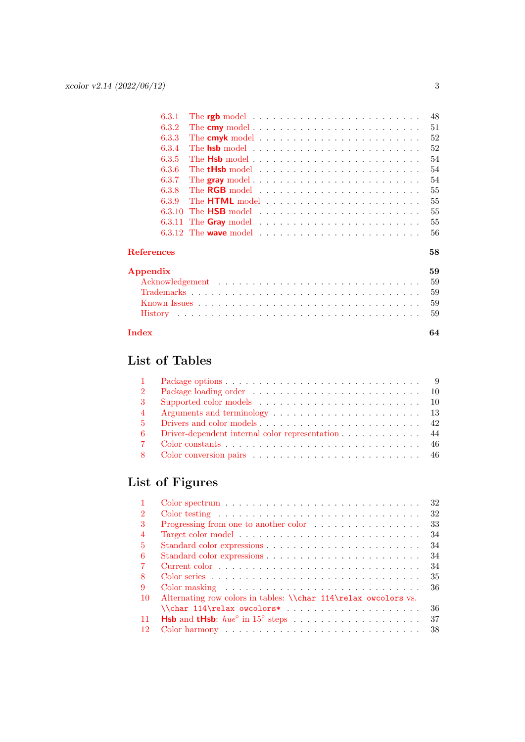| 6.3.1             |        |  | The rgb model $\ldots \ldots \ldots \ldots \ldots \ldots \ldots \ldots \ldots$ |  |  |  |  |  |  |  |  |  |  | 48 |
|-------------------|--------|--|--------------------------------------------------------------------------------|--|--|--|--|--|--|--|--|--|--|----|
| 6.3.2             |        |  | The cmy model                                                                  |  |  |  |  |  |  |  |  |  |  | 51 |
| 6.3.3             |        |  |                                                                                |  |  |  |  |  |  |  |  |  |  | 52 |
| 6.3.4             |        |  |                                                                                |  |  |  |  |  |  |  |  |  |  | 52 |
| 6.3.5             |        |  |                                                                                |  |  |  |  |  |  |  |  |  |  | 54 |
| 6.3.6             |        |  |                                                                                |  |  |  |  |  |  |  |  |  |  | 54 |
| 6.3.7             |        |  |                                                                                |  |  |  |  |  |  |  |  |  |  | 54 |
| 6.3.8             |        |  |                                                                                |  |  |  |  |  |  |  |  |  |  | 55 |
| 6.3.9             |        |  |                                                                                |  |  |  |  |  |  |  |  |  |  | 55 |
|                   | 6.3.10 |  |                                                                                |  |  |  |  |  |  |  |  |  |  | 55 |
|                   | 6.3.11 |  |                                                                                |  |  |  |  |  |  |  |  |  |  | 55 |
|                   |        |  |                                                                                |  |  |  |  |  |  |  |  |  |  | 56 |
| <b>References</b> |        |  |                                                                                |  |  |  |  |  |  |  |  |  |  | 58 |
| Appendix          |        |  |                                                                                |  |  |  |  |  |  |  |  |  |  | 59 |
|                   |        |  |                                                                                |  |  |  |  |  |  |  |  |  |  | 59 |
|                   |        |  |                                                                                |  |  |  |  |  |  |  |  |  |  | 59 |
|                   |        |  |                                                                                |  |  |  |  |  |  |  |  |  |  | 59 |
|                   |        |  |                                                                                |  |  |  |  |  |  |  |  |  |  | 59 |
| Index             |        |  |                                                                                |  |  |  |  |  |  |  |  |  |  | 64 |

# List of Tables

| 2              |                                                     |
|----------------|-----------------------------------------------------|
| 3 <sup>7</sup> |                                                     |
|                |                                                     |
|                |                                                     |
|                | 6 Driver-dependent internal color representation 44 |
|                |                                                     |
|                |                                                     |

# List of Figures

|                 | 32<br>Color spectrum $\ldots \ldots \ldots \ldots \ldots \ldots \ldots \ldots \ldots \ldots$ |
|-----------------|----------------------------------------------------------------------------------------------|
| $\mathfrak{D}$  | 32                                                                                           |
| 3               | 33<br>Progressing from one to another color                                                  |
| $\overline{4}$  | 34                                                                                           |
| 5               | 34                                                                                           |
| 6               | 34                                                                                           |
|                 | 34                                                                                           |
| 8               | 35                                                                                           |
| 9               | 36                                                                                           |
| $\overline{10}$ | Alternating row colors in tables: <i>\\char</i> 114\relax owcolors vs.                       |
|                 | 36                                                                                           |
| -11             | 37                                                                                           |
| -12             |                                                                                              |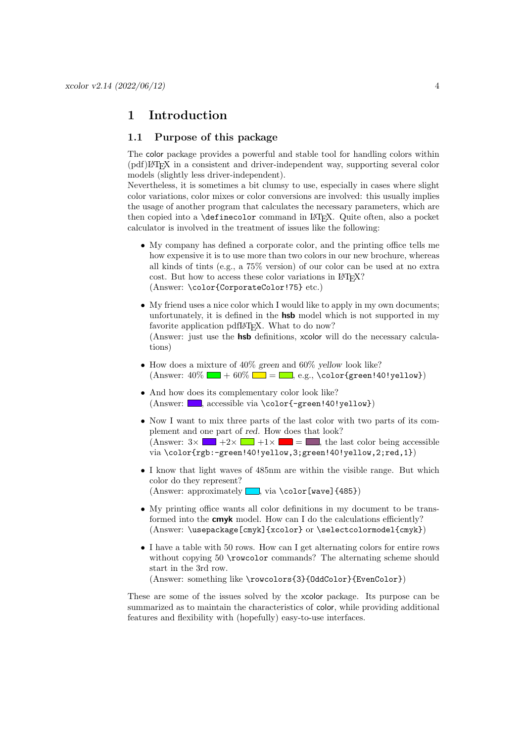# <span id="page-3-0"></span>1 Introduction

# <span id="page-3-1"></span>1.1 Purpose of this package

The color package provides a powerful and stable tool for handling colors within (pdf)LATEX in a consistent and driver-independent way, supporting several color models (slightly less driver-independent).

Nevertheless, it is sometimes a bit clumsy to use, especially in cases where slight color variations, color mixes or color conversions are involved: this usually implies the usage of another program that calculates the necessary parameters, which are then copied into a **\definecolor** command in LAT<sub>E</sub>X. Quite often, also a pocket calculator is involved in the treatment of issues like the following:

- My company has defined a corporate color, and the printing office tells me how expensive it is to use more than two colors in our new brochure, whereas all kinds of tints (e.g., a 75% version) of our color can be used at no extra cost. But how to access these color variations in LATEX? (Answer: \color{CorporateColor!75} etc.)
- My friend uses a nice color which I would like to apply in my own documents; unfortunately, it is defined in the hsb model which is not supported in my favorite application pdfI $\Delta T$ FX. What to do now? (Answer: just use the **hsb** definitions, xcolor will do the necessary calculations)
- How does a mixture of 40% green and 60% yellow look like?  $(Answer: 40\% \rightarrow +60\% \rightarrow +60\% \rightarrow +60\% \rightarrow +60\% \rightarrow +60\% \rightarrow +60\% \rightarrow +60\% \rightarrow +60\% \rightarrow +60\% \rightarrow +60\% \rightarrow +60\% \rightarrow +60\% \rightarrow +60\% \rightarrow +60\% \rightarrow +60\% \rightarrow +60\% \rightarrow +60\% \rightarrow +60\% \rightarrow +60\% \rightarrow +60\% \rightarrow +60\% \rightarrow +60\% \rightarrow +60\% \rightarrow +60\% \rightarrow +60\% \rightarrow +60\% \rightarrow +60\% \rightarrow +60\% \rightarrow +60\% \rightarrow +60\% \rightarrow$
- And how does its complementary color look like?  $(Answer:$  , accessible via \color{-green!40!yellow})
- Now I want to mix three parts of the last color with two parts of its complement and one part of red. How does that look? (Answer:  $3 \times$   $\blacksquare +2 \times \blacksquare +1 \times \blacksquare = \blacksquare$ , the last color being accessible via \color{rgb:-green!40!yellow,3;green!40!yellow,2;red,1})
- I know that light waves of 485nm are within the visible range. But which color do they represent? (Answer: approximately  $\Box$ , via \color[wave]{485})
- My printing office wants all color definitions in my document to be transformed into the **cmyk** model. How can I do the calculations efficiently? (Answer: \usepackage[cmyk]{xcolor} or \selectcolormodel{cmyk})
- I have a table with 50 rows. How can I get alternating colors for entire rows without copying 50 \rowcolor commands? The alternating scheme should start in the 3rd row.

(Answer: something like \rowcolors{3}{OddColor}{EvenColor})

These are some of the issues solved by the xcolor package. Its purpose can be summarized as to maintain the characteristics of color, while providing additional features and flexibility with (hopefully) easy-to-use interfaces.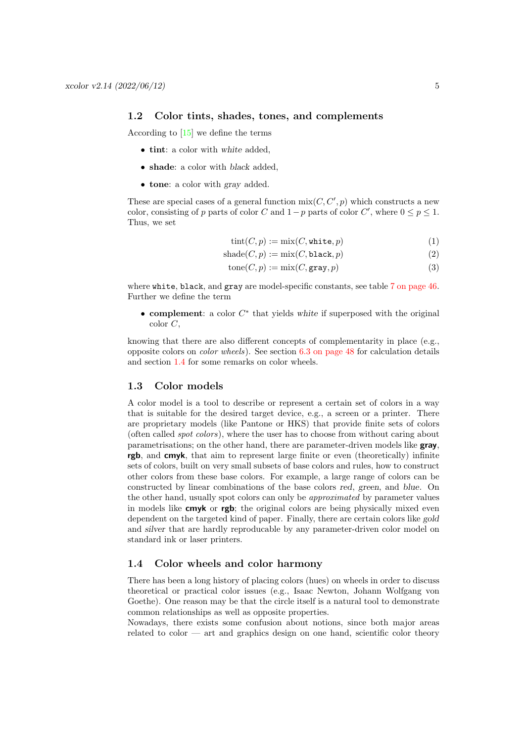# <span id="page-4-0"></span>1.2 Color tints, shades, tones, and complements

According to [\[15\]](#page-57-1) we define the terms

- tint: a color with white added,
- shade: a color with black added,
- tone: a color with gray added.

These are special cases of a general function  $\text{mix}(C, C', p)$  which constructs a new color, consisting of p parts of color C and  $1-p$  parts of color C', where  $0 \le p \le 1$ . Thus, we set

$$
tint(C, p) := mix(C, \text{white}, p)
$$
\n<sup>(1)</sup>

$$
shade(C, p) := mix(C, black, p)
$$
\n(2)

$$
tone(C, p) := mix(C, \text{gray}, p)
$$
\n(3)

where white, black, and gray are model-specific constants, see table [7 on page 46.](#page-45-0) Further we define the term

• complement: a color  $C^*$  that yields white if superposed with the original color C,

knowing that there are also different concepts of complementarity in place (e.g., opposite colors on color wheels). See section [6.3 on page 48](#page-47-0) for calculation details and section [1.4](#page-4-2) for some remarks on color wheels.

# <span id="page-4-1"></span>1.3 Color models

A color model is a tool to describe or represent a certain set of colors in a way that is suitable for the desired target device, e.g., a screen or a printer. There are proprietary models (like Pantone or HKS) that provide finite sets of colors (often called spot colors), where the user has to choose from without caring about parametrisations; on the other hand, there are parameter-driven models like **gray**, rgb, and cmyk, that aim to represent large finite or even (theoretically) infinite sets of colors, built on very small subsets of base colors and rules, how to construct other colors from these base colors. For example, a large range of colors can be constructed by linear combinations of the base colors red, green, and blue. On the other hand, usually spot colors can only be approximated by parameter values in models like  $\mathbf{c} \mathbf{m} \mathbf{y} \mathbf{k}$  or  $\mathbf{r} \mathbf{g} \mathbf{b}$ ; the original colors are being physically mixed even dependent on the targeted kind of paper. Finally, there are certain colors like gold and silver that are hardly reproducable by any parameter-driven color model on standard ink or laser printers.

# <span id="page-4-2"></span>1.4 Color wheels and color harmony

There has been a long history of placing colors (hues) on wheels in order to discuss theoretical or practical color issues (e.g., Isaac Newton, Johann Wolfgang von Goethe). One reason may be that the circle itself is a natural tool to demonstrate common relationships as well as opposite properties.

Nowadays, there exists some confusion about notions, since both major areas related to color  $-$  art and graphics design on one hand, scientific color theory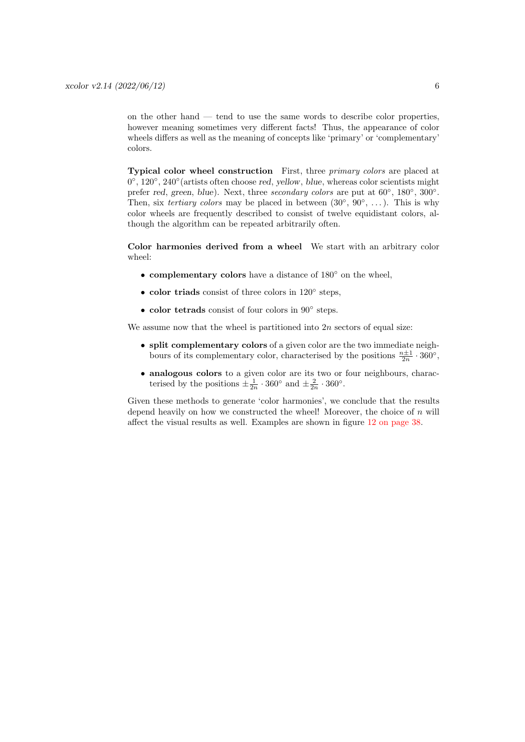on the other hand — tend to use the same words to describe color properties, however meaning sometimes very different facts! Thus, the appearance of color wheels differs as well as the meaning of concepts like 'primary' or 'complementary' colors.

Typical color wheel construction First, three primary colors are placed at 0°, 120°, 240° (artists often choose red, yellow, blue, whereas color scientists might prefer red, green, blue). Next, three secondary colors are put at  $60^{\circ}$ ,  $180^{\circ}$ ,  $300^{\circ}$ . Then, six *tertiary colors* may be placed in between  $(30^{\circ}, 90^{\circ}, ...)$ . This is why color wheels are frequently described to consist of twelve equidistant colors, although the algorithm can be repeated arbitrarily often.

Color harmonies derived from a wheel We start with an arbitrary color wheel:

- complementary colors have a distance of 180◦ on the wheel,
- color triads consist of three colors in 120° steps,
- color tetrads consist of four colors in 90◦ steps.

We assume now that the wheel is partitioned into  $2n$  sectors of equal size:

- split complementary colors of a given color are the two immediate neighbours of its complementary color, characterised by the positions  $\frac{n\pm 1}{2n} \cdot 360^{\circ}$ ,
- analogous colors to a given color are its two or four neighbours, characterised by the positions  $\pm \frac{1}{2n} \cdot 360^{\circ}$  and  $\pm \frac{2}{2n} \cdot 360^{\circ}$ .

Given these methods to generate 'color harmonies', we conclude that the results depend heavily on how we constructed the wheel! Moreover, the choice of  $n$  will affect the visual results as well. Examples are shown in figure [12 on page 38.](#page-37-0)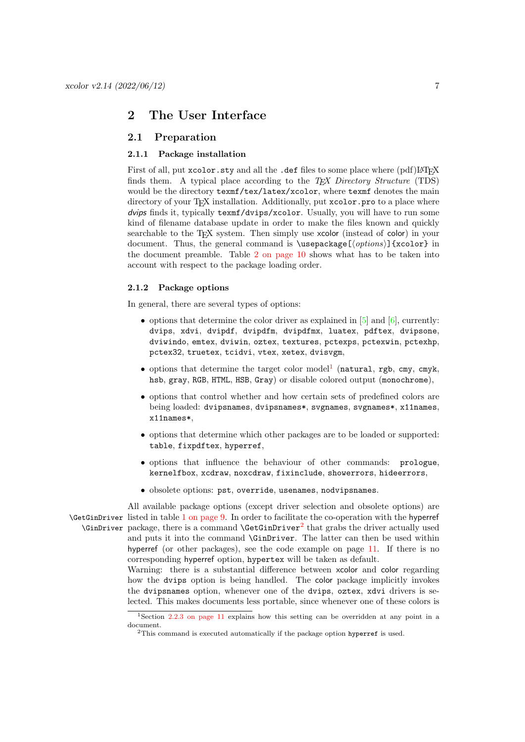# <span id="page-6-0"></span>2 The User Interface

# <span id="page-6-1"></span>2.1 Preparation

# <span id="page-6-2"></span>2.1.1 Package installation

First of all, put xcolor.sty and all the .def files to some place where (pdf)L<sup>AT</sup>EX finds them. A typical place according to the  $T\bar{F}X$  Directory Structure (TDS) would be the directory texmf/tex/latex/xcolor, where texmf denotes the main directory of your T<sub>E</sub>X installation. Additionally, put xcolor.pro to a place where dvips finds it, typically texmf/dvips/xcolor. Usually, you will have to run some kind of filename database update in order to make the files known and quickly searchable to the T<sub>EX</sub> system. Then simply use xcolor (instead of color) in your document. Thus, the general command is  $\usepackage[*options*)]$  {xcolor} in the document preamble. Table [2 on page 10](#page-9-0) shows what has to be taken into account with respect to the package loading order.

# <span id="page-6-3"></span>2.1.2 Package options

In general, there are several types of options:

- options that determine the color driver as explained in  $[5]$  and  $[6]$ , currently: dvips, xdvi, dvipdf, dvipdfm, dvipdfmx, luatex, pdftex, dvipsone, dviwindo, emtex, dviwin, oztex, textures, pctexps, pctexwin, pctexhp, pctex32, truetex, tcidvi, vtex, xetex, dvisvgm,
- options that determine the target color model<sup>[1](#page-6-4)</sup> (natural, rgb, cmy, cmyk, hsb, gray, RGB, HTML, HSB, Gray) or disable colored output (monochrome),
- options that control whether and how certain sets of predefined colors are being loaded: dvipsnames, dvipsnames\*, svgnames, svgnames\*, x11names, x11names\*,
- options that determine which other packages are to be loaded or supported: table, fixpdftex, hyperref,
- options that influence the behaviour of other commands: prologue, kernelfbox, xcdraw, noxcdraw, fixinclude, showerrors, hideerrors,
- <span id="page-6-6"></span>• obsolete options: pst, override, usenames, nodvipsnames.

All available package options (except driver selection and obsolete options) are \GetGinDriver listed in table [1 on page 9.](#page-8-0) In order to facilitate the co-operation with the hyperref  $\Gamma$  is a command  $\Gamma$ <sup>[2](#page-6-5)</sup> that grabs the driver actually used and puts it into the command \GinDriver. The latter can then be used within hyperref (or other packages), see the code example on page [11.](#page-10-2) If there is no corresponding hyperref option, hypertex will be taken as default.

Warning: there is a substantial difference between xcolor and color regarding how the dvips option is being handled. The color package implicitly invokes the dvipsnames option, whenever one of the dvips, oztex, xdvi drivers is selected. This makes documents less portable, since whenever one of these colors is

<span id="page-6-4"></span><sup>&</sup>lt;sup>1</sup>Section [2.2.3 on page 11](#page-10-1) explains how this setting can be overridden at any point in a document.

<span id="page-6-5"></span> $2$ This command is executed automatically if the package option hyperref is used.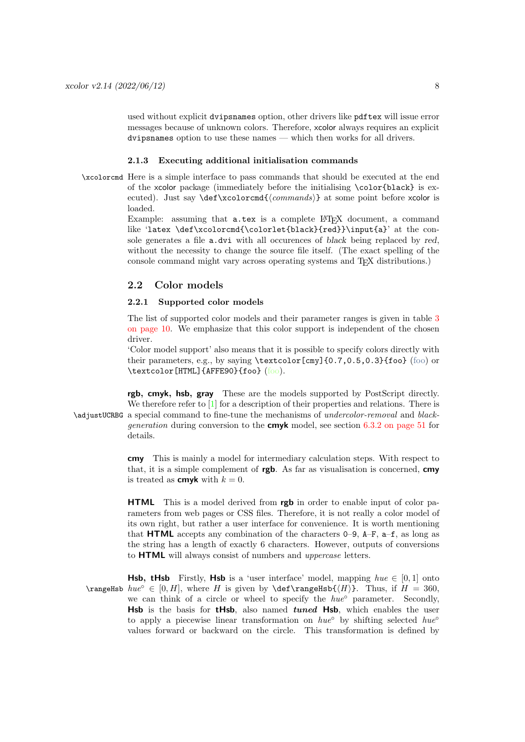used without explicit dvipsnames option, other drivers like pdftex will issue error messages because of unknown colors. Therefore, xcolor always requires an explicit dvipsnames option to use these names — which then works for all drivers.

# <span id="page-7-5"></span><span id="page-7-0"></span>2.1.3 Executing additional initialisation commands

\xcolorcmd Here is a simple interface to pass commands that should be executed at the end of the xcolor package (immediately before the initialising \color{black} is executed). Just say \def\xcolorcmd{ $\langle commands \rangle$ } at some point before xcolor is loaded.

> Example: assuming that a.tex is a complete LATEX document, a command like 'latex \def\xcolorcmd{\colorlet{black}{red}}\input{a}' at the console generates a file  $a.dvi$  with all occurences of black being replaced by red, without the necessity to change the source file itself. (The exact spelling of the console command might vary across operating systems and T<sub>E</sub>X distributions.)

# <span id="page-7-1"></span>2.2 Color models

#### <span id="page-7-2"></span>2.2.1 Supported color models

The list of supported color models and their parameter ranges is given in table [3](#page-9-1) [on page 10.](#page-9-1) We emphasize that this color support is independent of the chosen driver.

'Color model support' also means that it is possible to specify colors directly with their parameters, e.g., by saying \textcolor[cmy]{0.7,0.5,0.3}{foo} (foo) or \textcolor[HTML]{AFFE90}{foo} (foo).

rgb, cmyk, hsb, gray These are the models supported by PostScript directly. We therefore refer to [\[1\]](#page-57-4) for a description of their properties and relations. There is \adjustUCRBG a special command to fine-tune the mechanisms of undercolor-removal and black*generation* during conversion to the **cmyk** model, see section [6.3.2 on page 51](#page-50-1) for details.

> <span id="page-7-3"></span>cmy This is mainly a model for intermediary calculation steps. With respect to that, it is a simple complement of  $rgb$ . As far as visualisation is concerned,  $cmp$ is treated as **cmvk** with  $k = 0$ .

> <span id="page-7-4"></span>HTML This is a model derived from rgb in order to enable input of color parameters from web pages or CSS files. Therefore, it is not really a color model of its own right, but rather a user interface for convenience. It is worth mentioning that **HTML** accepts any combination of the characters  $0-9$ ,  $A-F$ ,  $a-f$ , as long as the string has a length of exactly 6 characters. However, outputs of conversions to **HTML** will always consist of numbers and *uppercase* letters.

**Hsb, tHsb** Firstly, **Hsb** is a 'user interface' model, mapping  $hue \in [0,1]$  onto \rangeHsb  $hue^{\circ} \in [0, H]$ , where H is given by \def\rangeHsb{ $\langle H \rangle$ }. Thus, if  $H = 360$ , we can think of a circle or wheel to specify the  $hue°$  parameter. Secondly, Hsb is the basis for tHsb, also named tuned Hsb, which enables the user to apply a piecewise linear transformation on  $hue^{\circ}$  by shifting selected  $hue^{\circ}$ values forward or backward on the circle. This transformation is defined by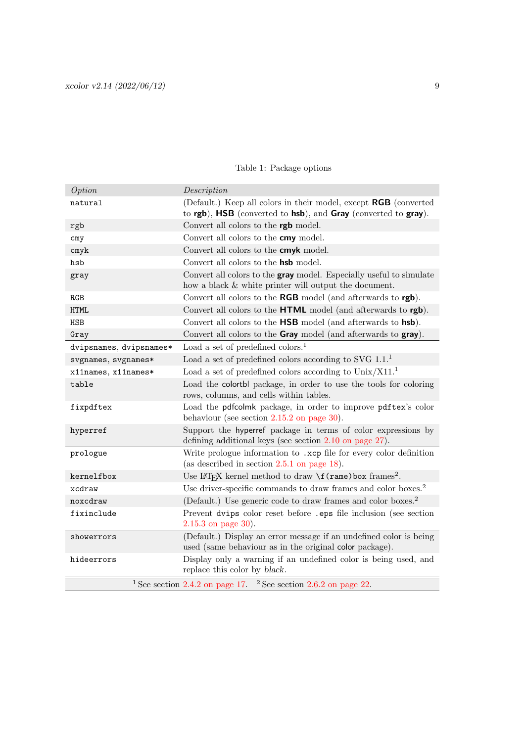| Option                                                                                | Description                                                                                                                        |  |  |  |  |  |
|---------------------------------------------------------------------------------------|------------------------------------------------------------------------------------------------------------------------------------|--|--|--|--|--|
| natural                                                                               | (Default.) Keep all colors in their model, except RGB (converted<br>to rgb), HSB (converted to hsb), and Gray (converted to gray). |  |  |  |  |  |
| rgb                                                                                   | Convert all colors to the rgb model.                                                                                               |  |  |  |  |  |
| cmy                                                                                   | Convert all colors to the cmy model.                                                                                               |  |  |  |  |  |
| cmyk                                                                                  | Convert all colors to the cmyk model.                                                                                              |  |  |  |  |  |
| hsb                                                                                   | Convert all colors to the <b>hsb</b> model.                                                                                        |  |  |  |  |  |
| gray                                                                                  | Convert all colors to the gray model. Especially useful to simulate<br>how a black & white printer will output the document.       |  |  |  |  |  |
| RGB                                                                                   | Convert all colors to the RGB model (and afterwards to rgb).                                                                       |  |  |  |  |  |
| <b>HTML</b>                                                                           | Convert all colors to the HTML model (and afterwards to rgb).                                                                      |  |  |  |  |  |
| <b>HSB</b>                                                                            | Convert all colors to the HSB model (and afterwards to hsb).                                                                       |  |  |  |  |  |
| Gray                                                                                  | Convert all colors to the Gray model (and afterwards to gray).                                                                     |  |  |  |  |  |
| dvipsnames, dvipsnames*                                                               | Load a set of predefined colors. <sup>1</sup>                                                                                      |  |  |  |  |  |
| svgnames, svgnames*                                                                   | Load a set of predefined colors according to SVG $1.1$ <sup>1</sup>                                                                |  |  |  |  |  |
| x11names, x11names*                                                                   | Load a set of predefined colors according to $Unix/X11.^1$                                                                         |  |  |  |  |  |
| table                                                                                 | Load the colortbl package, in order to use the tools for coloring<br>rows, columns, and cells within tables.                       |  |  |  |  |  |
| fixpdftex                                                                             | Load the pdfcolmk package, in order to improve pdftex's color<br>behaviour (see section $2.15.2$ on page 30).                      |  |  |  |  |  |
| hyperref                                                                              | Support the hyperref package in terms of color expressions by<br>defining additional keys (see section 2.10 on page 27).           |  |  |  |  |  |
| prologue                                                                              | Write prologue information to .xcp file for every color definition<br>(as described in section $2.5.1$ on page 18).                |  |  |  |  |  |
| kernelfbox                                                                            | Use IATEX kernel method to draw $\f(\text{rame})$ box frames <sup>2</sup> .                                                        |  |  |  |  |  |
| xcdraw                                                                                | Use driver-specific commands to draw frames and color boxes. <sup>2</sup>                                                          |  |  |  |  |  |
| noxcdraw                                                                              | (Default.) Use generic code to draw frames and color boxes. <sup>2</sup>                                                           |  |  |  |  |  |
| fixinclude                                                                            | Prevent dvips color reset before .eps file inclusion (see section<br>$2.15.3$ on page 30).                                         |  |  |  |  |  |
| showerrors                                                                            | (Default.) Display an error message if an undefined color is being<br>used (same behaviour as in the original color package).      |  |  |  |  |  |
| hideerrors                                                                            | Display only a warning if an undefined color is being used, and<br>replace this color by black.                                    |  |  |  |  |  |
| <sup>1</sup> See section 2.4.2 on page 17. <sup>2</sup> See section 2.6.2 on page 22. |                                                                                                                                    |  |  |  |  |  |

# <span id="page-8-0"></span>Table 1: Package options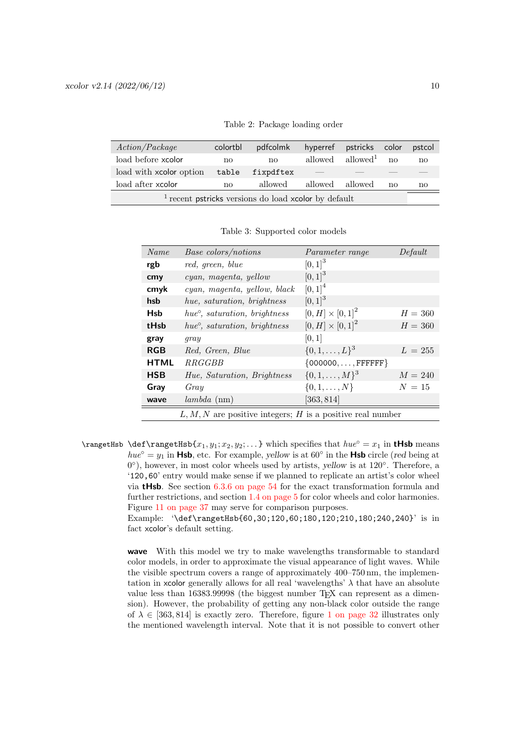| Action/Package                                         | colortbl | pdfcolmk  |                 | hyperref pstricks color |    | pstcol |  |  |
|--------------------------------------------------------|----------|-----------|-----------------|-------------------------|----|--------|--|--|
| load before xcolor                                     | no       | no        | allowed         | allowed <sup>1</sup>    | no | no     |  |  |
| load with xcolor option                                | table    | fixpdftex | $\qquad \qquad$ |                         |    |        |  |  |
| load after xcolor                                      | no       | allowed   | allowed allowed |                         | no | no     |  |  |
| $1$ recent pstricks versions do load xcolor by default |          |           |                 |                         |    |        |  |  |

<span id="page-9-0"></span>Table 2: Package loading order

<span id="page-9-1"></span>

|  | Table 3: Supported color models |  |  |
|--|---------------------------------|--|--|
|--|---------------------------------|--|--|

| Name            | Base colors/notions                                          | <i>Parameter range</i>   | Default   |  |  |  |  |  |  |
|-----------------|--------------------------------------------------------------|--------------------------|-----------|--|--|--|--|--|--|
| rgb             | red, green, blue                                             | $[0,1]^{3}$              |           |  |  |  |  |  |  |
| cm <sub>V</sub> | cyan, magenta, yellow                                        | $[0, 1]^{3}$             |           |  |  |  |  |  |  |
| cmyk            | cyan, magenta, yellow, black                                 | $[0,1]^{4}$              |           |  |  |  |  |  |  |
| hsb             | hue, saturation, brightness                                  | $[0,1]^{3}$              |           |  |  |  |  |  |  |
| Hsb             | $hue^{\circ}$ , saturation, brightness                       | $[0, H] \times [0, 1]^2$ | $H = 360$ |  |  |  |  |  |  |
| tHsb            | $hue^{\circ}$ , saturation, brightness                       | $[0, H] \times [0, 1]^2$ | $H = 360$ |  |  |  |  |  |  |
| gray            | qray                                                         | [0, 1]                   |           |  |  |  |  |  |  |
| <b>RGB</b>      | Red. Green, Blue                                             | $\{0, 1, \ldots, L\}^3$  | $L = 255$ |  |  |  |  |  |  |
| <b>HTML</b>     | <i>RRGGBB</i>                                                | $\{000000, , FFFFFF\}$   |           |  |  |  |  |  |  |
| <b>HSB</b>      | Hue, Saturation, Brightness                                  | $\{0, 1, \ldots, M\}^3$  | $M = 240$ |  |  |  |  |  |  |
| Gray            | Gray                                                         | $\{0, 1, \ldots, N\}$    | $N = 15$  |  |  |  |  |  |  |
| wave            | lambda (nm)                                                  | [363, 814]               |           |  |  |  |  |  |  |
|                 | $L, M, N$ are positive integers; H is a positive real number |                          |           |  |  |  |  |  |  |

\rangetHsb \def\rangetHsb{ $x_1, y_1; x_2, y_2; \ldots$ } which specifies that  $hue^{\circ} = x_1$  in **tHsb** means  $hue^{\circ} = y_1$  in **Hsb**, etc. For example, yellow is at 60 $^{\circ}$  in the **Hsb** circle (red being at 0°), however, in most color wheels used by artists, yellow is at 120°. Therefore, a '120,60' entry would make sense if we planned to replicate an artist's color wheel via **tHsb**. See section  $6.3.6$  on page  $54$  for the exact transformation formula and further restrictions, and section [1.4 on page 5](#page-4-2) for color wheels and color harmonies. Figure [11 on page 37](#page-36-0) may serve for comparison purposes.

<span id="page-9-2"></span>Example: '\def\rangetHsb{60,30;120,60;180,120;210,180;240,240}' is in fact xcolor's default setting.

wave With this model we try to make wavelengths transformable to standard color models, in order to approximate the visual appearance of light waves. While the visible spectrum covers a range of approximately 400–750 nm, the implementation in xcolor generally allows for all real 'wavelengths'  $\lambda$  that have an absolute value less than 16383.99998 (the biggest number TEX can represent as a dimension). However, the probability of getting any non-black color outside the range of  $\lambda \in [363, 814]$  is exactly zero. Therefore, figure [1 on page 32](#page-31-1) illustrates only the mentioned wavelength interval. Note that it is not possible to convert other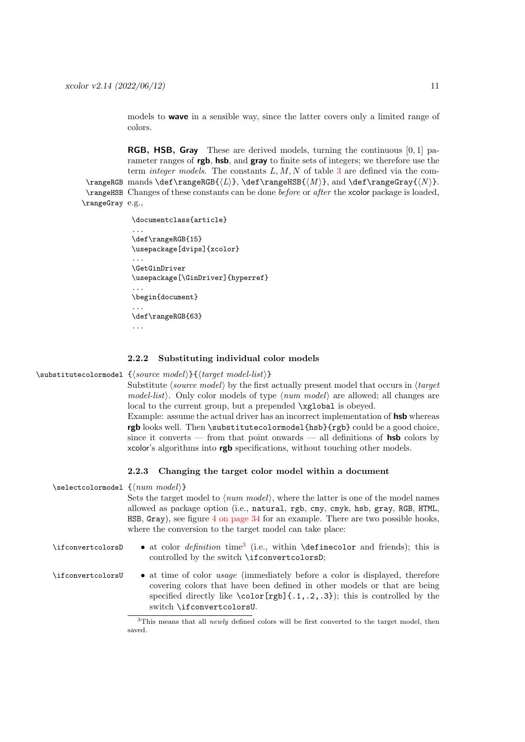<span id="page-10-2"></span>models to wave in a sensible way, since the latter covers only a limited range of colors.

**RGB, HSB, Gray** These are derived models, turning the continuous  $[0, 1]$  parameter ranges of rgb, hsb, and gray to finite sets of integers; we therefore use the term *integer models*. The constants  $L, M, N$  of table [3](#page-9-1) are defined via the com-\rangeRGB mands \def\rangeRGB{ $\L$ }, \def\rangeHSB{ $\M$ }, and \def\rangeGray{ $\N$ }. \rangeHSB Changes of these constants can be done before or after the xcolor package is loaded, \rangeGray e.g.,

```
\documentclass{article}
...
\def\rangeRGB{15}
\usepackage[dvips]{xcolor}
...
\GetGinDriver
\usepackage[\GinDriver]{hyperref}
...
\begin{document}
...
\def\rangeRGB{63}
...
```
# <span id="page-10-10"></span><span id="page-10-9"></span><span id="page-10-1"></span><span id="page-10-0"></span>2.2.2 Substituting individual color models

|                                                   | \substitutecolormodel $\{\langle source\ model\rangle\}\{\langle target\ model\}$<br>Substitute (source model) by the first actually present model that occurs in $\langle target$<br>model-list). Only color models of type $\langle num \ model \rangle$ are allowed; all changes are<br>local to the current group, but a prepended \xglobal is obeyed.<br>Example: assume the actual driver has an incorrect implementation of hsb whereas<br>rgb looks well. Then \substitutecolormodel{hsb}{rgb} could be a good choice,<br>since it converts — from that point onwards — all definitions of $hsb$ colors by<br>xcolor's algorithms into rgb specifications, without touching other models. |
|---------------------------------------------------|---------------------------------------------------------------------------------------------------------------------------------------------------------------------------------------------------------------------------------------------------------------------------------------------------------------------------------------------------------------------------------------------------------------------------------------------------------------------------------------------------------------------------------------------------------------------------------------------------------------------------------------------------------------------------------------------------|
|                                                   | Changing the target color model within a document<br>2.2.3                                                                                                                                                                                                                                                                                                                                                                                                                                                                                                                                                                                                                                        |
| \selectcolormodel $\{\langle num\ model\rangle\}$ | Sets the target model to $\langle num \ model \rangle$ , where the latter is one of the model names<br>allowed as package option (i.e., natural, rgb, cmy, cmyk, hsb, gray, RGB, HTML,<br>HSB, Gray), see figure 4 on page 34 for an example. There are two possible hooks,<br>where the conversion to the target model can take place:                                                                                                                                                                                                                                                                                                                                                           |
| \ifconvertcolorsD                                 | • at color <i>definition</i> time <sup>3</sup> (i.e., within <b>\definecolor</b> and friends); this is<br>controlled by the switch \ifconvertcolorsD;                                                                                                                                                                                                                                                                                                                                                                                                                                                                                                                                             |
| \ifconvertcolorsU                                 | • at time of color <i>usage</i> (immediately before a color is displayed, therefore<br>covering colors that have been defined in other models or that are being<br>specified directly like $\cdot$ $\cdot$ $\cdot$ $(1, .2, .3)$ ; this is controlled by the<br>switch \ifconvertcolorsU.                                                                                                                                                                                                                                                                                                                                                                                                         |
|                                                   | $3$ This means that all <i>newly</i> defined colors will be first converted to the target model, then                                                                                                                                                                                                                                                                                                                                                                                                                                                                                                                                                                                             |

<span id="page-10-5"></span><span id="page-10-4"></span><span id="page-10-3"></span>saved.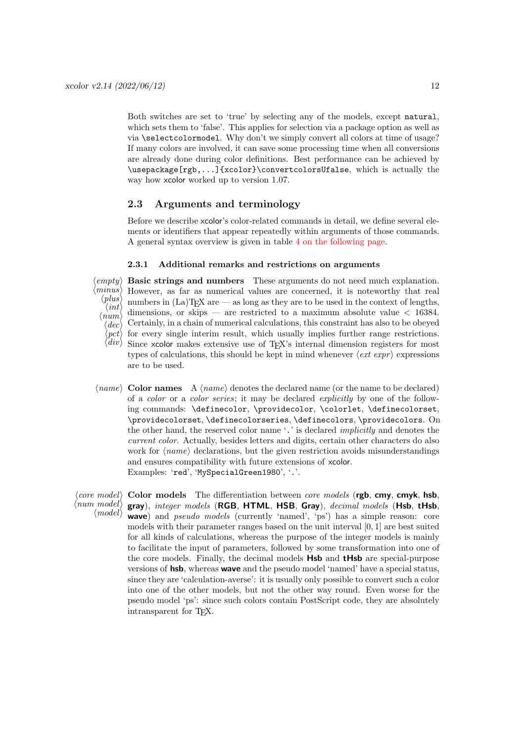Both switches are set to 'true' by selecting any of the models, except natural, which sets them to 'false'. This applies for selection via a package option as well as via \selectcolormodel. Why don't we simply convert all colors at time of usage? If many colors are involved, it can save some processing time when all conversions are already done during color definitions. Best performance can be achieved by \usepackage[rgb,...]{xcolor}\convertcolorsUfalse, which is actually the way how xcolor worked up to version 1.07.

# <span id="page-11-0"></span>2.3 Arguments and terminology

Before we describe xcolor's color-related commands in detail, we define several elements or identifiers that appear repeatedly within arguments of those commands. A general syntax overview is given in table [4 on the following page.](#page-12-0)

# <span id="page-11-1"></span>2.3.1 Additional remarks and restrictions on arguments

 $\langle empty\rangle$  Basic strings and numbers These arguments do not need much explanation.  $\langle \textit{minus} \rangle$  $\langle plus \rangle$ 

 $\langle int \rangle$ 

 $\langle num \rangle$ ⟨dec⟩

 $\langle pct \rangle$ However, as far as numerical values are concerned, it is noteworthy that real numbers in  $(La)$ T<sub>E</sub>X are — as long as they are to be used in the context of lengths, dimensions, or skips — are restricted to a maximum absolute value  $<$  16384. Certainly, in a chain of numerical calculations, this constraint has also to be obeyed for every single interim result, which usually implies further range restrictions.

- $\langle \textit{div} \rangle$ Since xcolor makes extensive use of T<sub>E</sub>X's internal dimension registers for most types of calculations, this should be kept in mind whenever  $\langle ext\>expr \rangle$  expressions are to be used.
- $\langle name \rangle$  Color names A  $\langle name \rangle$  denotes the declared name (or the name to be declared) of a color or a color series; it may be declared explicitly by one of the following commands: \definecolor, \providecolor, \colorlet, \definecolorset, \providecolorset, \definecolorseries, \definecolors, \providecolors. On the other hand, the reserved color name '.' is declared implicitly and denotes the current color. Actually, besides letters and digits, certain other characters do also work for  $\langle name \rangle$  declarations, but the given restriction avoids misunderstandings and ensures compatibility with future extensions of xcolor. Examples: 'red', 'MySpecialGreen1980', '.'.
- $\langle core \ model \rangle$  Color models The differentiation between *core models* (rgb, cmy, cmyk, hsb, ⟨num model⟩  $\langle model \rangle$ gray), integer models (RGB, HTML, HSB, Gray), decimal models (Hsb, tHsb, wave) and pseudo models (currently 'named', 'ps') has a simple reason: core models with their parameter ranges based on the unit interval [0, 1] are best suited for all kinds of calculations, whereas the purpose of the integer models is mainly to facilitate the input of parameters, followed by some transformation into one of the core models. Finally, the decimal models Hsb and tHsb are special-purpose versions of **hsb**, whereas **wave** and the pseudo model 'named' have a special status, since they are 'calculation-averse': it is usually only possible to convert such a color into one of the other models, but not the other way round. Even worse for the pseudo model 'ps': since such colors contain PostScript code, they are absolutely intransparent for TEX.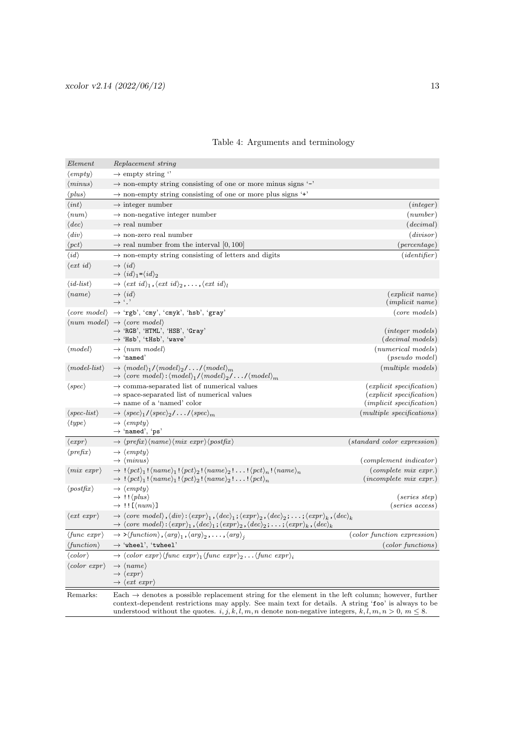| Element                          | Replacement string                                                                                                                                                                                                                                                                                                                                                                                                           |                                                                                                |
|----------------------------------|------------------------------------------------------------------------------------------------------------------------------------------------------------------------------------------------------------------------------------------------------------------------------------------------------------------------------------------------------------------------------------------------------------------------------|------------------------------------------------------------------------------------------------|
| $\langle empty\rangle$           | $\rightarrow$ empty string "                                                                                                                                                                                                                                                                                                                                                                                                 |                                                                                                |
| $\langle minus\rangle$           | $\rightarrow$ non-empty string consisting of one or more minus signs '-'                                                                                                                                                                                                                                                                                                                                                     |                                                                                                |
| $\langle plus \rangle$           | $\rightarrow$ non-empty string consisting of one or more plus signs '+'                                                                                                                                                                                                                                                                                                                                                      |                                                                                                |
| $\langle int \rangle$            | $\rightarrow$ integer number                                                                                                                                                                                                                                                                                                                                                                                                 | (integer)                                                                                      |
| $\langle num \rangle$            | $\rightarrow$ non-negative integer number                                                                                                                                                                                                                                                                                                                                                                                    | (number)                                                                                       |
| $\langle dec \rangle$            | $\rightarrow$ real number                                                                                                                                                                                                                                                                                                                                                                                                    | (decimal)                                                                                      |
| $\langle div \rangle$            | $\rightarrow$ non-zero real number                                                                                                                                                                                                                                                                                                                                                                                           | (divisor)                                                                                      |
| $\langle pct \rangle$            | $\rightarrow$ real number from the interval [0, 100]                                                                                                                                                                                                                                                                                                                                                                         | (percentage)                                                                                   |
| $\langle id \rangle$             | $\rightarrow$ non-empty string consisting of letters and digits                                                                                                                                                                                                                                                                                                                                                              | (identifer)                                                                                    |
| $\langle ext\ id \rangle$        | $\rightarrow \langle id \rangle$<br>$\rightarrow \langle id \rangle_1 = \langle id \rangle_2$                                                                                                                                                                                                                                                                                                                                |                                                                                                |
| $\langle id-list \rangle$        | $\rightarrow \langle ext \, id \rangle_1$ , $\langle ext \, id \rangle_2$ , , $\langle ext \, id \rangle_l$                                                                                                                                                                                                                                                                                                                  |                                                                                                |
| $\langle name \rangle$           | $\rightarrow \langle id \rangle$<br>$\rightarrow$ $\cdot$ .'                                                                                                                                                                                                                                                                                                                                                                 | (explicit name)<br>(implicit name)                                                             |
|                                  | $\langle core \ model \rangle \rightarrow 'rgb', 'emy', 'cmyk', 'hsb', 'gray'$                                                                                                                                                                                                                                                                                                                                               | $(core \ models)$                                                                              |
|                                  | $\langle num \ model \rangle \rightarrow \langle core \ model \rangle$<br>$\rightarrow$ 'RGB', 'HTML', 'HSB', 'Gray'<br>$\rightarrow$ 'Hsb', 'tHsb', 'wave'                                                                                                                                                                                                                                                                  | $(integer \ models)$<br>$(decimal\ models)$                                                    |
| $\langle model \rangle$          | $\rightarrow$ (num model)<br>$\rightarrow$ 'named'                                                                                                                                                                                                                                                                                                                                                                           | (numerical models)<br>$(pseudo \ model)$                                                       |
| $\langle model-list \rangle$     | $\rightarrow \langle model \rangle_1 / \langle model \rangle_2 / \dots / \langle model \rangle_m$<br>$\rightarrow \langle core \ model \rangle : \langle model \rangle_1 / \langle model \rangle_2 / \dots / \langle model \rangle_m$                                                                                                                                                                                        | (multiple models)                                                                              |
| $\langle spec \rangle$           | $\rightarrow$ comma-separated list of numerical values<br>$\rightarrow$ space-separated list of numerical values<br>$\rightarrow$ name of a 'named' color                                                                                                                                                                                                                                                                    | $(explicit\,\,specification)$<br>$(explicit\,\, specification)$<br>$(implicit\ specification)$ |
| $\langle spec-list \rangle$      | $\rightarrow \langle spec \rangle_1 / \langle spec \rangle_2 / \dots / \langle spec \rangle_m$                                                                                                                                                                                                                                                                                                                               | (multiple specifications)                                                                      |
| $\langle type \rangle$           | $\rightarrow \langle empty \rangle$<br>$\rightarrow$ 'named', 'ps'                                                                                                                                                                                                                                                                                                                                                           |                                                                                                |
| $\langle expr \rangle$           | $\rightarrow \langle prefix \rangle \langle name \rangle \langle mix \; expr \rangle \langle postfix \rangle$                                                                                                                                                                                                                                                                                                                | $(standard\ color\ expression)$                                                                |
| $\langle prefix \rangle$         | $\rightarrow \langle empty \rangle$<br>$\rightarrow \langle minus \rangle$                                                                                                                                                                                                                                                                                                                                                   | $(complement\ indicator)$                                                                      |
| $\langle mix \; expr \rangle$    | $\rightarrow$ ! $\langle pct \rangle_1$ ! $\langle name \rangle_1$ ! $\langle pct \rangle_2$ ! $\langle name \rangle_2$ !! $\langle pct \rangle_n$ ! $\langle name \rangle_n$<br>$\rightarrow$ ! $\langle pct \rangle_1$ ! $\langle name \rangle_1$ ! $\langle pct \rangle_2$ ! $\langle name \rangle_2$ !! $\langle pct \rangle_n$                                                                                          | (complete mix expr.)<br>$(incomplete\;mix\;expr.)$                                             |
| $\langle\textit{postfix}\rangle$ | $\rightarrow \langle empty \rangle$<br>$\rightarrow$ !! $\langle plus \rangle$<br>$\rightarrow$ !! [ $\langle num \rangle$ ]                                                                                                                                                                                                                                                                                                 | $(series \; step)$<br>$(series \; access)$                                                     |
| $\langle ext \exp r \rangle$     | $\rightarrow \langle core \ model \rangle$ , $\langle div \rangle$ : $\langle exp \gamma_1, \langle dec \rangle_1$ ; $\langle exp \gamma_2, \langle dec \rangle_2; \dots; \langle exp \gamma_k, \langle dec \rangle_k$<br>$\rightarrow \langle core \ model \rangle : \langle expr \rangle_1, \langle dec \rangle_1 ; \langle expr \rangle_2, \langle dec \rangle_2 ; \dots ; \langle expr \rangle_k, \langle dec \rangle_k$ |                                                                                                |
| $\langle$ func expr $\rangle$    | $\rightarrow$ > $\langle function \rangle$ , $\langle arg \rangle_1$ , $\langle arg \rangle_2$ , , $\langle arg \rangle_i$                                                                                                                                                                                                                                                                                                   | $(color\ function\ expression)$                                                                |
| $\langle function \rangle$       | $\rightarrow$ 'wheel', 'twheel'                                                                                                                                                                                                                                                                                                                                                                                              | $(color\ functions)$                                                                           |
| $\langle color \rangle$          | $\rightarrow \langle color\,\,expr \rangle \langle func\,\,expr \rangle_1 \langle func\,\,expr \rangle_2 \dots \langle func\,\,expr \rangle_i$                                                                                                                                                                                                                                                                               |                                                                                                |
| $\langle color \; expr \rangle$  | $\rightarrow \langle name \rangle$<br>$\rightarrow \langle expr \rangle$<br>$\rightarrow \langle ext \; expr \rangle$                                                                                                                                                                                                                                                                                                        |                                                                                                |
| Remarks:                         | Each $\rightarrow$ denotes a possible replacement string for the element in the left column; however, further<br>context-dependent restrictions may apply. See main text for details. A string 'foo' is always to be<br>understood without the quotes. i, j, k, l, m, n denote non-negative integers, k, l, m, $n > 0$ , $m \le 8$ .                                                                                         |                                                                                                |

# <span id="page-12-0"></span>Table 4: Arguments and terminology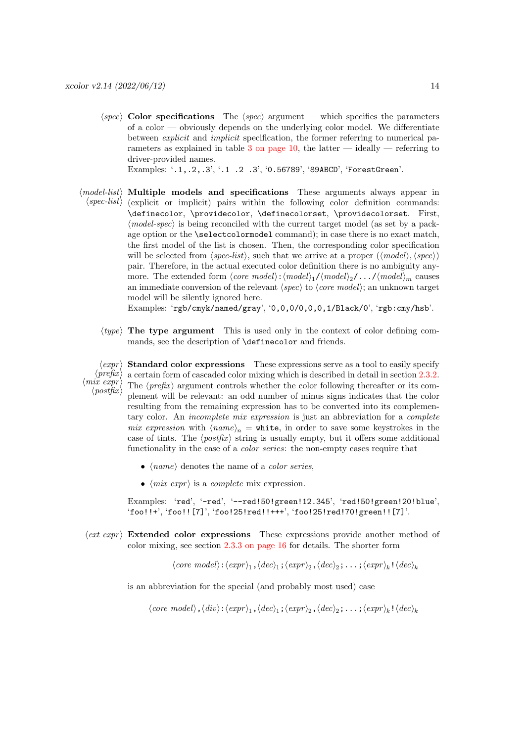$\langle spec \rangle$  Color specifications The  $\langle spec \rangle$  argument — which specifies the parameters of a color — obviously depends on the underlying color model. We differentiate between explicit and implicit specification, the former referring to numerical pa-rameters as explained in table [3 on page 10,](#page-9-1) the latter  $-$  ideally  $-$  referring to driver-provided names.

Examples: '.1,.2,.3', '.1 .2 .3', '0.56789', '89ABCD', 'ForestGreen'.

⟨model-list⟩ Multiple models and specifications These arguments always appear in  $\langle spec-list \rangle$  (explicit or implicit) pairs within the following color definition commands: \definecolor, \providecolor, \definecolorset, \providecolorset. First, ⟨model-spec⟩ is being reconciled with the current target model (as set by a package option or the \selectcolormodel command); in case there is no exact match, the first model of the list is chosen. Then, the corresponding color specification will be selected from  $\langle spec-list \rangle$ , such that we arrive at a proper  $(\langle model \rangle, \langle spec \rangle)$ pair. Therefore, in the actual executed color definition there is no ambiguity anymore. The extended form  $\langle core \ model \rangle : \langle model \rangle_1 / \langle model \rangle_2 / \ldots / \langle model \rangle_m$  causes an immediate conversion of the relevant  $\langle spec \rangle$  to  $\langle core \ model \rangle$ ; an unknown target model will be silently ignored here.

Examples: 'rgb/cmyk/named/gray', '0,0,0/0,0,0,1/Black/0', 'rgb:cmy/hsb'.

 $\langle type \rangle$  The type argument This is used only in the context of color defining commands, see the description of \definecolor and friends.

 $\langle \textit{expr} \rangle$  Standard color expressions These expressions serve as a tool to easily specify  $\langle \text{prefix} \rangle$  $\langle mix \exp r \rangle$  $\langle\textit{postfix}\rangle$ a certain form of cascaded color mixing which is described in detail in section [2.3.2.](#page-14-0) The  $\langle prefix \rangle$  argument controls whether the color following thereafter or its complement will be relevant: an odd number of minus signs indicates that the color resulting from the remaining expression has to be converted into its complementary color. An incomplete mix expression is just an abbreviation for a complete mix expression with  $\langle name \rangle_n =$  white, in order to save some keystrokes in the case of tints. The  $\langle postfix \rangle$  string is usually empty, but it offers some additional functionality in the case of a *color series*: the non-empty cases require that

- $\langle name \rangle$  denotes the name of a *color series*,
- $\langle mix \exp r \rangle$  is a *complete* mix expression.

Examples: 'red', '-red', '--red!50!green!12.345', 'red!50!green!20!blue', 'foo!!+', 'foo!![7]', 'foo!25!red!!+++', 'foo!25!red!70!green!![7]'.

 $\langle ext\>expr \rangle$  Extended color expressions These expressions provide another method of color mixing, see section [2.3.3 on page 16](#page-15-0) for details. The shorter form

 $\langle core \ model \rangle : \langle expr \rangle_1, \langle dec \rangle_1; \langle expr \rangle_2, \langle dec \rangle_2; \ldots; \langle expr \rangle_k! \langle dec \rangle_k$ 

is an abbreviation for the special (and probably most used) case

 $\langle core \ model \rangle$ ,  $\langle div \rangle$ : $\langle exp \gamma_1$ ,  $\langle dec \rangle_1$ ;  $\langle exp \gamma_2$ ,  $\langle dec \rangle_2$ ;...;  $\langle exp \gamma_k! \langle dec \rangle_k$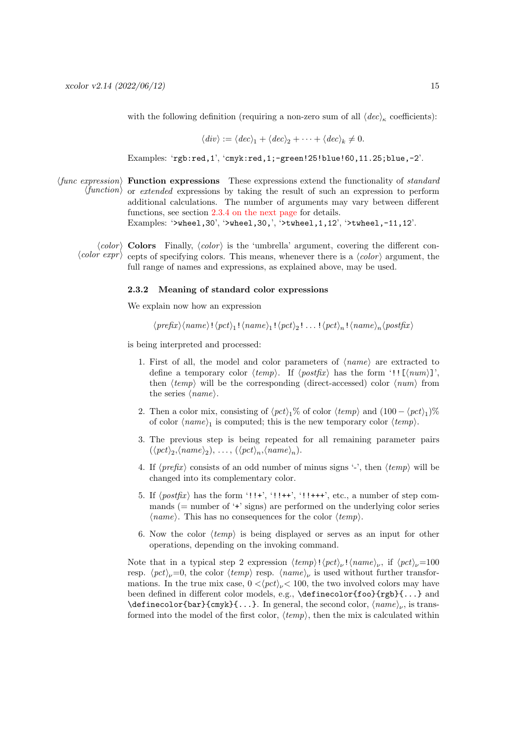with the following definition (requiring a non-zero sum of all  $\langle dec \rangle_{\kappa}$  coefficients):

$$
\langle \text{div} \rangle := \langle \text{dec} \rangle_1 + \langle \text{dec} \rangle_2 + \dots + \langle \text{dec} \rangle_k \neq 0.
$$

Examples: 'rgb:red,1', 'cmyk:red,1;-green!25!blue!60,11.25;blue,-2'.

- $\langle$ func expression $\rangle$  **Function expressions** These expressions extend the functionality of standard  $\langle$ function $\rangle$  or extended expressions by taking the result of such an expression to perform or extended expressions by taking the result of such an expression to perform additional calculations. The number of arguments may vary between different functions, see section [2.3.4 on the next page](#page-15-1) for details. Examples: '>wheel,30', '>wheel,30,', '>twheel,1,12', '>twheel,-11,12'.
	- $\langle color \rangle$  Colors Finally,  $\langle color \rangle$  is the 'umbrella' argument, covering the different con- $\langle color\ expr\rangle$  cepts of specifying colors. This means, whenever there is a  $\langle color\rangle$  argument, the full range of names and expressions, as explained above, may be used.

#### <span id="page-14-0"></span>2.3.2 Meaning of standard color expressions

We explain now how an expression

$$
\langle prefix \rangle \langle name \rangle! \langle pct \rangle_1! \langle name \rangle_1! \langle pct \rangle_2! \dots! \langle pct \rangle_n! \langle name \rangle_n \langle postfix \rangle
$$

is being interpreted and processed:

- 1. First of all, the model and color parameters of  $\langle name \rangle$  are extracted to define a temporary color  $\langle temp \rangle$ . If  $\langle postfix \rangle$  has the form '!! [ $\langle num \rangle$ ]', then  $\langle temp \rangle$  will be the corresponding (direct-accessed) color  $\langle num \rangle$  from the series ⟨name⟩.
- 2. Then a color mix, consisting of  $\langle pct \rangle_1$ % of color  $\langle temp \rangle$  and  $(100 \langle pct \rangle_1)$ % of color  $\langle name \rangle_1$  is computed; this is the new temporary color  $\langle temp \rangle$ .
- 3. The previous step is being repeated for all remaining parameter pairs  $(\langle pct \rangle_2, \langle name \rangle_2), \ldots, (\langle pct \rangle_n, \langle name \rangle_n).$
- 4. If  $\langle prefix \rangle$  consists of an odd number of minus signs '-', then  $\langle temp \rangle$  will be changed into its complementary color.
- 5. If  $\langle \textit{postfix} \rangle$  has the form '!!+', '!!++', '!!+++', etc., a number of step commands ( $=$  number of  $\cdot$  $\cdot$  signs) are performed on the underlying color series  $\langle name \rangle$ . This has no consequences for the color  $\langle temp \rangle$ .
- 6. Now the color  $\langle temp \rangle$  is being displayed or serves as an input for other operations, depending on the invoking command.

Note that in a typical step 2 expression  $\langle temp \rangle! \langle pet \rangle_{\nu}! \langle name \rangle_{\nu}$ , if  $\langle pet \rangle_{\nu}=100$ resp.  $\langle pct \rangle_{\nu}=0$ , the color  $\langle temp \rangle$  resp.  $\langle name \rangle_{\nu}$  is used without further transformations. In the true mix case,  $0 < \langle pct \rangle_{\nu} < 100$ , the two involved colors may have been defined in different color models, e.g., \definecolor{foo}{rgb}{...} and  $\setminus$ definecolor{bar}{cmyk}{...}. In general, the second color,  $\langle name \rangle_{\nu}$ , is transformed into the model of the first color,  $\langle temp \rangle$ , then the mix is calculated within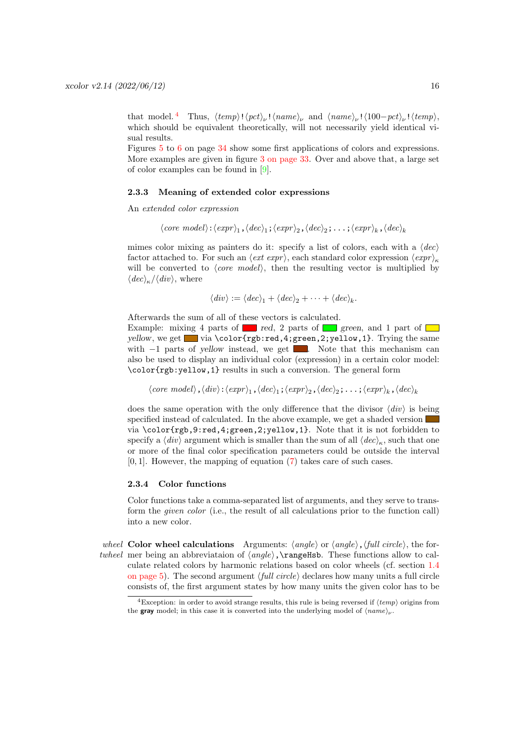that model.<sup>[4](#page-15-2)</sup> Thus,  $\langle temp \rangle! \langle pet \rangle_{\nu}! \langle name \rangle_{\nu}$  and  $\langle name \rangle_{\nu}! \langle 100-pct \rangle_{\nu}! \langle temp \rangle$ , which should be equivalent theoretically, will not necessarily yield identical visual results.

Figures [5](#page-33-1) to [6](#page-33-2) on page [34](#page-33-1) show some first applications of colors and expressions. More examples are given in figure [3 on page 33.](#page-32-0) Over and above that, a large set of color examples can be found in [\[9\]](#page-57-5).

#### <span id="page-15-0"></span>2.3.3 Meaning of extended color expressions

An extended color expression

$$
\langle core \ model \rangle : \langle expr \rangle_1, \langle dec \rangle_1; \langle expr \rangle_2, \langle dec \rangle_2; \ldots; \langle expr \rangle_k, \langle dec \rangle_k
$$

mimes color mixing as painters do it: specify a list of colors, each with a  $\langle dec \rangle$ factor attached to. For such an  $\langle ext\>expr \rangle$ , each standard color expression  $\langle expr \rangle_k$ will be converted to  $\langle core \ model \rangle$ , then the resulting vector is multiplied by  $\langle dec \rangle_{\kappa}/\langle div \rangle$ , where

$$
\langle \text{div} \rangle := \langle \text{dec} \rangle_1 + \langle \text{dec} \rangle_2 + \cdots + \langle \text{dec} \rangle_k.
$$

Afterwards the sum of all of these vectors is calculated.

Example: mixing 4 parts of red, 2 parts of green, and 1 part of  $\Box$ yellow, we get via \color{rgb:red,4;green,2;yellow,1}. Trying the same with  $-1$  parts of yellow instead, we get  $\blacksquare$ . Note that this mechanism can also be used to display an individual color (expression) in a certain color model: \color{rgb:yellow,1} results in such a conversion. The general form

$$
\langle core \ model \rangle
$$
,  $\langle div \rangle$ :  $\langle expr \rangle_1$ ,  $\langle dec \rangle_1$ ;  $\langle expr \rangle_2$ ,  $\langle dec \rangle_2$ ; ...,  $\langle expr \rangle_k$ ,  $\langle dec \rangle_k$ 

does the same operation with the only difference that the divisor  $\langle div \rangle$  is being specified instead of calculated. In the above example, we get a shaded version via \color{rgb,9:red,4;green,2;yellow,1}. Note that it is not forbidden to specify a  $\langle div \rangle$  argument which is smaller than the sum of all  $\langle dec \rangle_{\kappa}$ , such that one or more of the final color specification parameters could be outside the interval  $[0, 1]$ . However, the mapping of equation  $(7)$  takes care of such cases.

#### <span id="page-15-1"></span>2.3.4 Color functions

Color functions take a comma-separated list of arguments, and they serve to transform the given color (i.e., the result of all calculations prior to the function call) into a new color.

wheel Color wheel calculations Arguments:  $\langle angle \rangle$  or  $\langle angle \rangle$ ,  $\langle full\ circle \rangle$ , the fortwheel mer being an abbreviataion of  $\langle angle \rangle$ ,  $\langle rangeHsb$ . These functions allow to calculate related colors by harmonic relations based on color wheels (cf. section [1.4](#page-4-2) [on page 5\)](#page-4-2). The second argument  $\langle full\ circle \rangle$  declares how many units a full circle consists of, the first argument states by how many units the given color has to be

<span id="page-15-2"></span><sup>&</sup>lt;sup>4</sup>Exception: in order to avoid strange results, this rule is being reversed if  $\langle temp \rangle$  origins from the **gray** model; in this case it is converted into the underlying model of  $\langle name \rangle_{\nu}$ .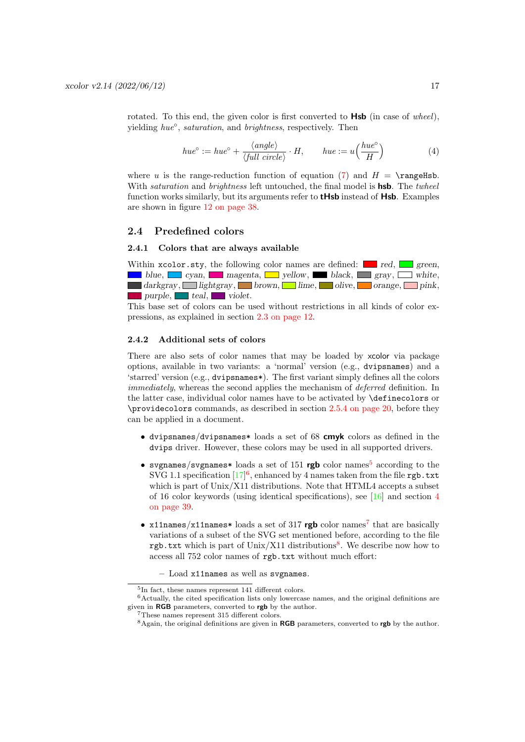rotated. To this end, the given color is first converted to  $\text{Hsb}$  (in case of wheel), yielding hue°, saturation, and brightness, respectively. Then

$$
hue^{\circ} := hue^{\circ} + \frac{\langle angle \rangle}{\langle full \ circle \rangle} \cdot H, \qquad hue := u\left(\frac{hue^{\circ}}{H}\right) \tag{4}
$$

where u is the range-reduction function of equation [\(7\)](#page-25-1) and  $H = \text{rangeHsb}$ . With *saturation* and *brightness* left untouched, the final model is **hsb**. The *twheel* function works similarly, but its arguments refer to **tHsb** instead of **Hsb**. Examples are shown in figure [12 on page 38.](#page-37-0)

# <span id="page-16-0"></span>2.4 Predefined colors

# <span id="page-16-1"></span>2.4.1 Colors that are always available

Within  $x\text{color}$ . sty, the following color names are defined: red, red, green, blue,  $\Box$  cyan,  $\Box$  magenta,  $\Box$  yellow,  $\Box$  black,  $\Box$  gray,  $\Box$  white, darkgray, lightgray, brown, lime, olive, orange, pink,  $\n *purple*, \n *tele*, \n *role*. \n$ 

This base set of colors can be used without restrictions in all kinds of color expressions, as explained in section [2.3 on page 12.](#page-11-0)

# <span id="page-16-2"></span>2.4.2 Additional sets of colors

There are also sets of color names that may be loaded by xcolor via package options, available in two variants: a 'normal' version (e.g., dvipsnames) and a 'starred' version (e.g., dvipsnames\*). The first variant simply defines all the colors immediately, whereas the second applies the mechanism of *deferred* definition. In the latter case, individual color names have to be activated by \definecolors or \providecolors commands, as described in section [2.5.4 on page 20,](#page-19-1) before they can be applied in a document.

- dvipsnames/dvipsnames\* loads a set of 68 cmyk colors as defined in the dvips driver. However, these colors may be used in all supported drivers.
- sygnames/sygnames\* loads a set of 1[5](#page-16-3)1 rgb color names<sup>5</sup> according to the SVG 1.1 specification  $[17]^6$  $[17]^6$ , enhanced by 4 names taken from the file rgb.txt which is part of Unix/X11 distributions. Note that HTML4 accepts a subset of 16 color keywords (using identical specifications), see [\[16\]](#page-57-7) and section [4](#page-38-0) [on page 39.](#page-38-0)
- x11names/x11names\* loads a set of 31[7](#page-16-5) **rgb** color names<sup>7</sup> that are basically variations of a subset of the SVG set mentioned before, according to the file rgb.txt which is part of Unix/X11 distributions<sup>[8](#page-16-6)</sup>. We describe now how to access all 752 color names of rgb.txt without much effort:
	- Load x11names as well as svgnames.

<span id="page-16-4"></span><span id="page-16-3"></span><sup>5</sup> In fact, these names represent 141 different colors.

<sup>6</sup>Actually, the cited specification lists only lowercase names, and the original definitions are given in RGB parameters, converted to rgb by the author.

<span id="page-16-5"></span><sup>7</sup>These names represent 315 different colors.

<span id="page-16-6"></span> ${}^{8}$ Again, the original definitions are given in **RGB** parameters, converted to **rgb** by the author.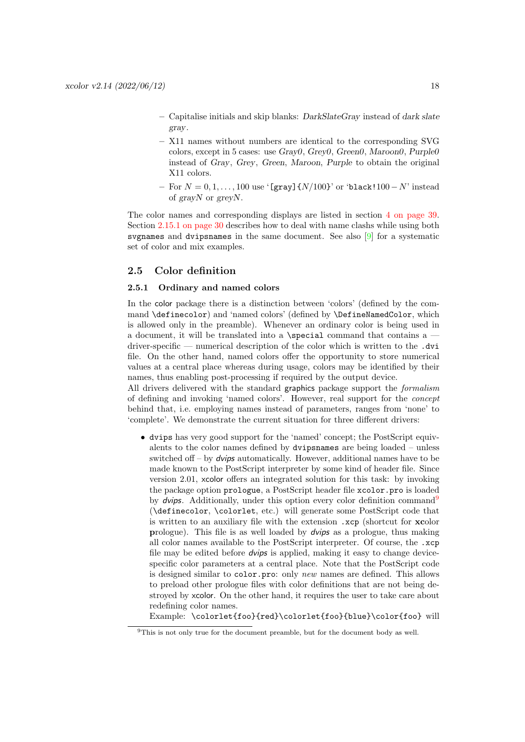- Capitalise initials and skip blanks: DarkSlateGray instead of dark slate gray.
- X11 names without numbers are identical to the corresponding SVG colors, except in 5 cases: use Gray0, Grey0, Green0, Maroon0, Purple0 instead of Gray, Grey, Green, Maroon, Purple to obtain the original X11 colors.
- For  $N = 0, 1, ..., 100$  use '[gray]{ $N/100$ }' or 'black!100 N' instead of grayN or greyN.

The color names and corresponding displays are listed in section [4 on page 39.](#page-38-0) Section [2.15.1 on page 30](#page-29-1) describes how to deal with name clashs while using both svgnames and dvipsnames in the same document. See also [\[9\]](#page-57-5) for a systematic set of color and mix examples.

# <span id="page-17-0"></span>2.5 Color definition

# <span id="page-17-1"></span>2.5.1 Ordinary and named colors

In the color package there is a distinction between 'colors' (defined by the command \definecolor) and 'named colors' (defined by \DefineNamedColor, which is allowed only in the preamble). Whenever an ordinary color is being used in a document, it will be translated into a \special command that contains a driver-specific — numerical description of the color which is written to the .dvi file. On the other hand, named colors offer the opportunity to store numerical values at a central place whereas during usage, colors may be identified by their names, thus enabling post-processing if required by the output device.

All drivers delivered with the standard graphics package support the *formalism* of defining and invoking 'named colors'. However, real support for the concept behind that, i.e. employing names instead of parameters, ranges from 'none' to 'complete'. We demonstrate the current situation for three different drivers:

• dvips has very good support for the 'named' concept; the PostScript equivalents to the color names defined by dvipsnames are being loaded – unless switched off – by *dvips* automatically. However, additional names have to be made known to the PostScript interpreter by some kind of header file. Since version 2.01, xcolor offers an integrated solution for this task: by invoking the package option prologue, a PostScript header file xcolor.pro is loaded by dvips. Additionally, under this option every color definition command<sup>[9](#page-17-2)</sup> (\definecolor, \colorlet, etc.) will generate some PostScript code that is written to an auxiliary file with the extension .xcp (shortcut for xcolor prologue). This file is as well loaded by dvips as a prologue, thus making all color names available to the PostScript interpreter. Of course, the .xcp file may be edited before dvips is applied, making it easy to change devicespecific color parameters at a central place. Note that the PostScript code is designed similar to color.pro: only new names are defined. This allows to preload other prologue files with color definitions that are not being destroyed by xcolor. On the other hand, it requires the user to take care about redefining color names.

Example: \colorlet{foo}{red}\colorlet{foo}{blue}\color{foo} will

<span id="page-17-2"></span><sup>&</sup>lt;sup>9</sup>This is not only true for the document preamble, but for the document body as well.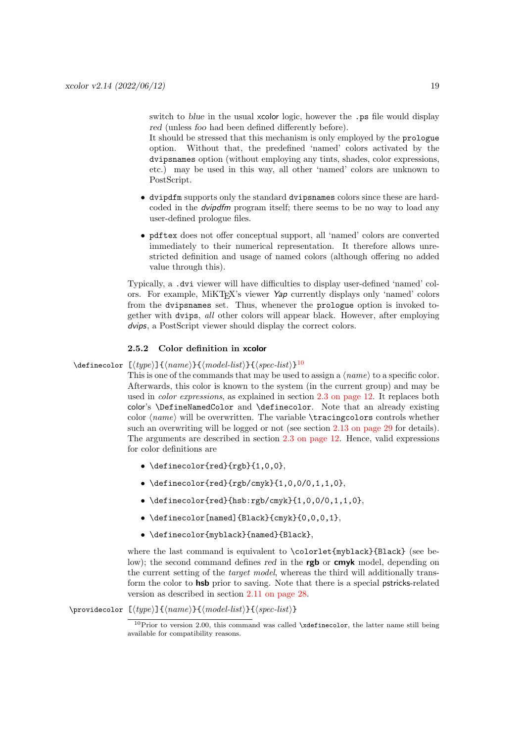switch to blue in the usual xcolor logic, however the .ps file would display red (unless foo had been defined differently before).

It should be stressed that this mechanism is only employed by the prologue option. Without that, the predefined 'named' colors activated by the dvipsnames option (without employing any tints, shades, color expressions, etc.) may be used in this way, all other 'named' colors are unknown to PostScript.

- dvipdfm supports only the standard dvipsnames colors since these are hardcoded in the dvipdfm program itself; there seems to be no way to load any user-defined prologue files.
- pdftex does not offer conceptual support, all 'named' colors are converted immediately to their numerical representation. It therefore allows unrestricted definition and usage of named colors (although offering no added value through this).

Typically, a .dvi viewer will have difficulties to display user-defined 'named' colors. For example, MiKTEX's viewer Yap currently displays only 'named' colors from the dvipsnames set. Thus, whenever the prologue option is invoked together with dvips, all other colors will appear black. However, after employing dvips, a PostScript viewer should display the correct colors.

#### <span id="page-18-0"></span>2.5.2 Color definition in xcolor

# \definecolor  $[\langle type \rangle] \{ \langle name \rangle \} \{ \langle model-list \rangle \} \{ \langle spec-list \rangle \}^{10}$  $[\langle type \rangle] \{ \langle name \rangle \} \{ \langle model-list \rangle \} \{ \langle spec-list \rangle \}^{10}$  $[\langle type \rangle] \{ \langle name \rangle \} \{ \langle model-list \rangle \} \{ \langle spec-list \rangle \}^{10}$

<span id="page-18-2"></span>This is one of the commands that may be used to assign a  $\langle name \rangle$  to a specific color. Afterwards, this color is known to the system (in the current group) and may be used in color expressions, as explained in section [2.3 on page 12.](#page-11-0) It replaces both color's \DefineNamedColor and \definecolor. Note that an already existing color  $\langle name \rangle$  will be overwritten. The variable  $\tau$  incompositions controls whether such an overwriting will be logged or not (see section [2.13 on page 29](#page-28-0) for details). The arguments are described in section [2.3 on page 12.](#page-11-0) Hence, valid expressions for color definitions are

- \definecolor{red}{rgb}{1,0,0},
- \definecolor{red}{rgb/cmyk}{1,0,0/0,1,1,0},
- $\bullet$  \definecolor{red}{hsb:rgb/cmyk}{1,0,0/0,1,1,0},
- \definecolor[named]{Black}{cmyk}{0,0,0,1},
- \definecolor{myblack}{named}{Black},

where the last command is equivalent to \colorlet{myblack}{Black} (see below); the second command defines red in the rgb or cmyk model, depending on the current setting of the target model, whereas the third will additionally transform the color to **hsb** prior to saving. Note that there is a special **pstricks-related** version as described in section [2.11 on page 28.](#page-27-0)

\providecolor [⟨type⟩]{⟨name⟩}{⟨model-list⟩}{⟨spec-list⟩}

<span id="page-18-3"></span><span id="page-18-1"></span> $10$ Prior to version 2.00, this command was called \xdefinecolor, the latter name still being available for compatibility reasons.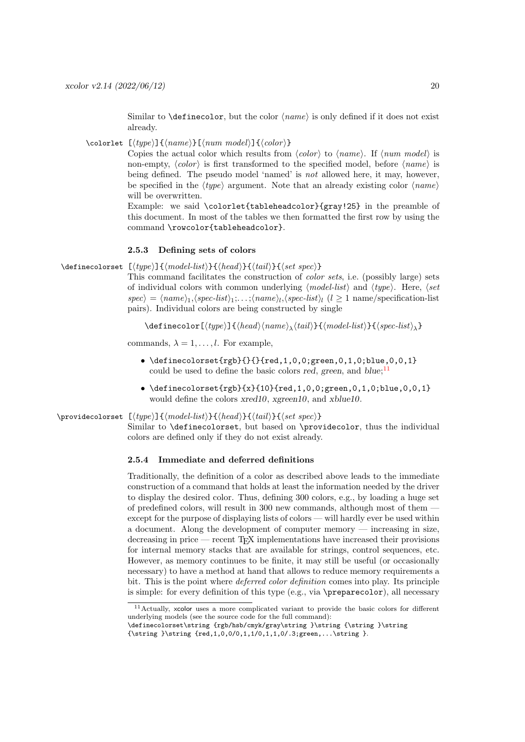Similar to  $\definecolor$ , but the color  $\langle name \rangle$  is only defined if it does not exist already.

 $\cdot$  \colorlet  $[\langle type \rangle] {\langle name \rangle}[\langle num \ model \rangle] {\langle color \rangle}$ }

<span id="page-19-3"></span>Copies the actual color which results from  $\langle color \rangle$  to  $\langle name \rangle$ . If  $\langle num \ model \rangle$  is non-empty,  $\langle color \rangle$  is first transformed to the specified model, before  $\langle name \rangle$  is being defined. The pseudo model 'named' is not allowed here, it may, however, be specified in the  $\langle type \rangle$  argument. Note that an already existing color  $\langle name \rangle$ will be overwritten.

Example: we said \colorlet{tableheadcolor}{gray!25} in the preamble of this document. In most of the tables we then formatted the first row by using the command \rowcolor{tableheadcolor}.

#### <span id="page-19-0"></span>2.5.3 Defining sets of colors

\definecolorset  $[\langle type \rangle]\{\langle model-list \rangle\}\{\langle head \rangle\}\{\langle tail \rangle\}\{\langle set\ spec \rangle\}$ 

<span id="page-19-4"></span>This command facilitates the construction of *color sets*, i.e. (possibly large) sets of individual colors with common underlying  $\langle model-list \rangle$  and  $\langle type \rangle$ . Here,  $\langle set$  $\langle spec \rangle = \langle name \rangle_1, \langle spec-list \rangle_1, \ldots, \langle name \rangle_l, \langle spec-list \rangle_l \ (l \geq 1 \text{ name/specification-list})$ pairs). Individual colors are being constructed by single

 $\setminus$ definecolor $[\langle type \rangle] {\langle head \rangle \langle name \rangle_{\lambda} \langle tail \rangle} {\langle model-list \rangle} {\langle spec-list \rangle_{\lambda} \}$ 

commands,  $\lambda = 1, \ldots, l$ . For example,

- $\definecolorset{rgb}{}{red,1,0,0;green,0,1,0;blue,0,0,1}$ could be used to define the basic colors red, green, and  $blue;$ <sup>[11](#page-19-2)</sup>
- $\definecolorset{rgb}{x}{10}{red,1,0,0;green,0,1,0;blue,0,0,1}$ would define the colors  $xred10$ ,  $xgreen10$ , and  $xbluel0$ .

# \providecolorset [⟨type⟩]{⟨model-list⟩}{⟨head⟩}{⟨tail⟩}{⟨set spec⟩}

<span id="page-19-5"></span>Similar to \definecolorset, but based on \providecolor, thus the individual colors are defined only if they do not exist already.

#### <span id="page-19-1"></span>2.5.4 Immediate and deferred definitions

Traditionally, the definition of a color as described above leads to the immediate construction of a command that holds at least the information needed by the driver to display the desired color. Thus, defining 300 colors, e.g., by loading a huge set of predefined colors, will result in 300 new commands, although most of them except for the purpose of displaying lists of colors — will hardly ever be used within a document. Along the development of computer memory — increasing in size, decreasing in price — recent TEX implementations have increased their provisions for internal memory stacks that are available for strings, control sequences, etc. However, as memory continues to be finite, it may still be useful (or occasionally necessary) to have a method at hand that allows to reduce memory requirements a bit. This is the point where deferred color definition comes into play. Its principle is simple: for every definition of this type (e.g., via \preparecolor), all necessary

<span id="page-19-2"></span><sup>&</sup>lt;sup>11</sup> Actually, xcolor uses a more complicated variant to provide the basic colors for different underlying models (see the source code for the full command):

<sup>\</sup>definecolorset\string {rgb/hsb/cmyk/gray\string }\string {\string }\string

 ${\text{}\sqrt{r}}$  {\string }\tring  ${\text{red}}.1,0,0/0.1,1/0.1,1,0/0.3$ ;green,...\string }.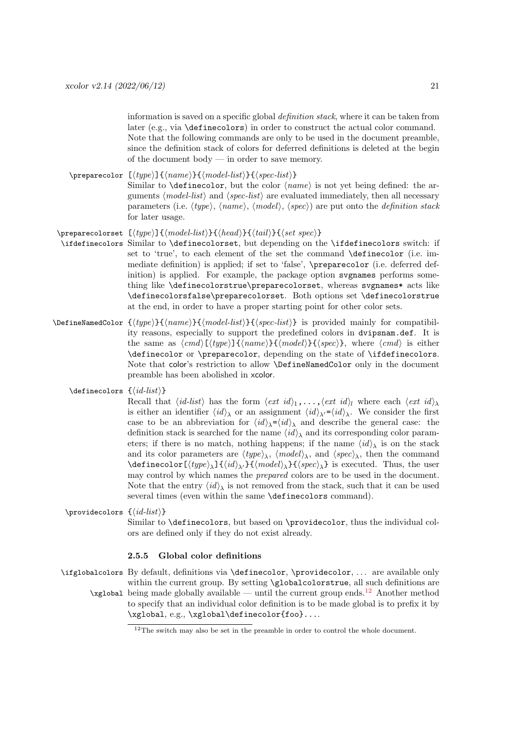<span id="page-20-6"></span><span id="page-20-4"></span>information is saved on a specific global definition stack, where it can be taken from later (e.g., via \definecolors) in order to construct the actual color command. Note that the following commands are only to be used in the document preamble, since the definition stack of colors for deferred definitions is deleted at the begin of the document body — in order to save memory.

\preparecolor [⟨type⟩]{⟨name⟩}{⟨model-list⟩}{⟨spec-list⟩} Similar to  $\det$ inecolor, but the color  $\langle name \rangle$  is not yet being defined: the arguments  $\langle model-list \rangle$  and  $\langle spec-list \rangle$  are evaluated immediately, then all necessary parameters (i.e.  $\langle type \rangle$ ,  $\langle name \rangle$ ,  $\langle model \rangle$ ,  $\langle spec \rangle$ ) are put onto the *definition stack* for later usage.

- \preparecolorset  $[\langle type \rangle]\{\langle model-list \rangle\}\{\langle head \rangle\}\{\langle tail \rangle\}\{\langle set\ spec \rangle\}$
- <span id="page-20-7"></span>\ifdefinecolors Similar to \definecolorset, but depending on the \ifdefinecolors switch: if set to 'true', to each element of the set the command \definecolor (i.e. immediate definition) is applied; if set to 'false', \preparecolor (i.e. deferred definition) is applied. For example, the package option svgnames performs something like \definecolorstrue\preparecolorset, whereas svgnames\* acts like \definecolorsfalse\preparecolorset. Both options set \definecolorstrue at the end, in order to have a proper starting point for other color sets.
- <span id="page-20-3"></span>\DefineNamedColor {⟨type⟩}{⟨name⟩}{⟨model-list⟩}{⟨spec-list⟩} is provided mainly for compatibility reasons, especially to support the predefined colors in dvipsnam.def. It is the same as  $\langle cmd \rangle$ [ $\langle (tupe)$ ]{ $\langle model \rangle$ }{ $\langle spec \rangle$ }, where  $\langle cmd \rangle$  is either \definecolor or \preparecolor, depending on the state of \ifdefinecolors. Note that color's restriction to allow \DefineNamedColor only in the document preamble has been abolished in xcolor.
	- \definecolors {⟨id-list⟩}

<span id="page-20-2"></span>Recall that  $\langle id\text{-}list\rangle$  has the form  $\langle ext\ id\rangle_1,\ldots,\langle ext\ id\rangle_l$  where each  $\langle ext\ id\rangle_\lambda$ is either an identifier  $\langle id \rangle_{\lambda}$  or an assignment  $\langle id \rangle_{\lambda'} = \langle id \rangle_{\lambda}$ . We consider the first case to be an abbreviation for  $\langle id \rangle_{\lambda} = \langle id \rangle_{\lambda}$  and describe the general case: the definition stack is searched for the name  $\langle id \rangle$  and its corresponding color parameters; if there is no match, nothing happens; if the name  $\langle id \rangle$ <sup>2</sup> is on the stack and its color parameters are  $\langle type \rangle_{\lambda}$ ,  $\langle model \rangle_{\lambda}$ , and  $\langle spec \rangle_{\lambda}$ , then the command  $\delta$ \definecolor[ $\langle type \rangle$ ]{ $\langle id \rangle$ <sub>\la</sub>}{ $\langle model \rangle$ }{ $\langle spec \rangle$ }} is executed. Thus, the user may control by which names the prepared colors are to be used in the document. Note that the entry  $\langle id \rangle_{\lambda}$  is not removed from the stack, such that it can be used several times (even within the same **\definecolors** command).

\providecolors {⟨id-list⟩} Similar to \definecolors, but based on \providecolor, thus the individual colors are defined only if they do not exist already.

#### <span id="page-20-8"></span><span id="page-20-5"></span><span id="page-20-0"></span>2.5.5 Global color definitions

\ifglobalcolors By default, definitions via \definecolor, \providecolor, . . . are available only within the current group. By setting \globalcolorstrue, all such definitions are \xglobal being made globally available — until the current group ends.<sup>[12](#page-20-1)</sup> Another method to specify that an individual color definition is to be made global is to prefix it by \xglobal, e.g., \xglobal\definecolor{foo}....

<span id="page-20-9"></span><span id="page-20-1"></span><sup>&</sup>lt;sup>12</sup>The switch may also be set in the preamble in order to control the whole document.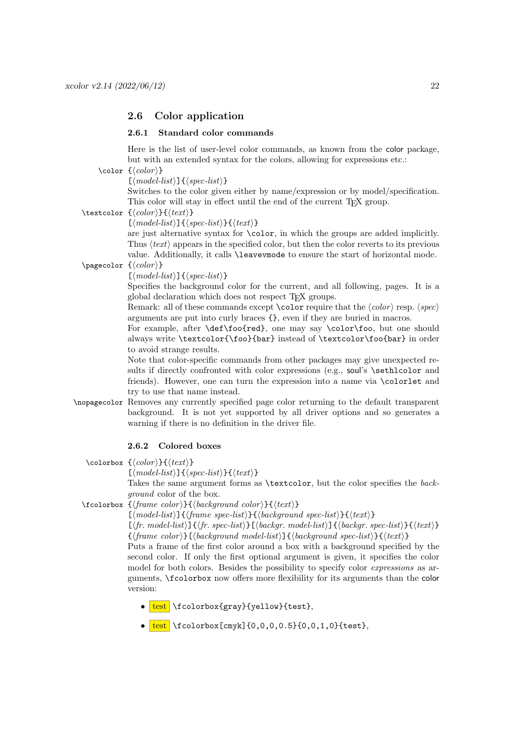# <span id="page-21-0"></span>2.6 Color application

#### <span id="page-21-1"></span>2.6.1 Standard color commands

Here is the list of user-level color commands, as known from the color package, but with an extended syntax for the colors, allowing for expressions etc.:

\color {⟨color ⟩}

<span id="page-21-3"></span> $[\langle model-list \rangle] {\langle spec-list \rangle}$ 

Switches to the color given either by name/expression or by model/specification. This color will stay in effect until the end of the current T<sub>E</sub>X group.

\textcolor {⟨color ⟩}{⟨text⟩}

<span id="page-21-8"></span> $[\langle model-list \rangle] {\langle spec-list \rangle} {\{\langle text \rangle\}}$ 

are just alternative syntax for \color, in which the groups are added implicitly. Thus  $\langle text \rangle$  appears in the specified color, but then the color reverts to its previous value. Additionally, it calls \leavevmode to ensure the start of horizontal mode. \pagecolor {⟨color ⟩}

<span id="page-21-7"></span> $[\langle model-list \rangle] \{\langle spec-list \rangle\}$ 

Specifies the background color for the current, and all following, pages. It is a global declaration which does not respect TEX groups.

Remark: all of these commands except \color require that the ⟨color ⟩ resp. ⟨spec⟩ arguments are put into curly braces {}, even if they are buried in macros.

For example, after \def\foo{red}, one may say \color\foo, but one should always write \textcolor{\foo}{bar} instead of \textcolor\foo{bar} in order to avoid strange results.

<span id="page-21-6"></span>Note that color-specific commands from other packages may give unexpected results if directly confronted with color expressions (e.g., soul's \sethlcolor and friends). However, one can turn the expression into a name via \colorlet and try to use that name instead.

\nopagecolor Removes any currently specified page color returning to the default transparent background. It is not yet supported by all driver options and so generates a warning if there is no definition in the driver file.

# <span id="page-21-2"></span>2.6.2 Colored boxes

\colorbox {⟨color ⟩}{⟨text⟩}

<span id="page-21-4"></span> $[\langle model-list \rangle] {\langle spec-list \rangle} {\{\langle text \rangle\}}$ 

Takes the same argument forms as \textcolor, but the color specifies the background color of the box.

\fcolorbox {⟨frame color ⟩}{⟨background color ⟩}{⟨text⟩}

<span id="page-21-5"></span> $[\langle model-list \rangle] {\langle frame\ spec-list \rangle} {\langle background\ spec-list \rangle} {\langle (text\{right} \rangle)}$ 

 $[\langle fr. \ model\text{-}list \rangle] {\{\langle fr. \ spec\text{-}list \rangle\}} [\langle \text{background}list \rangle] {\{\langle \text{background}list \rangle\}}]$  $\{\langle \text{frame color} \rangle\}$  [ $\langle \text{backward model-list} \rangle$ ]  $\{\langle \text{background spec-list} \rangle\}$   $\{\langle \text{text} \rangle\}$ 

Puts a frame of the first color around a box with a background specified by the second color. If only the first optional argument is given, it specifies the color model for both colors. Besides the possibility to specify color expressions as arguments, \fcolorbox now offers more flexibility for its arguments than the color version:

- test \fcolorbox{gray}{yellow}{test},
- $\bullet$  test \fcolorbox[cmyk]{0,0,0,0.5}{0,0,1,0}{test},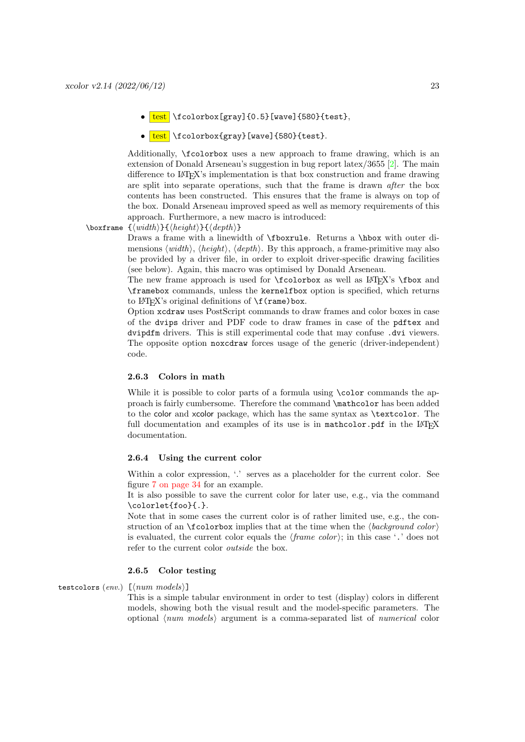- $\bullet$  test \fcolorbox[gray]{0.5}[wave]{580}{test},
- $\bullet$   $\text{test}$  \fcolorbox{gray}[wave]{580}{test}.

Additionally, \fcolorbox uses a new approach to frame drawing, which is an extension of Donald Arseneau's suggestion in bug report latex/3655 [\[2\]](#page-57-8). The main difference to LATEX's implementation is that box construction and frame drawing are split into separate operations, such that the frame is drawn after the box contents has been constructed. This ensures that the frame is always on top of the box. Donald Arseneau improved speed as well as memory requirements of this approach. Furthermore, a new macro is introduced:

# \boxframe {⟨width⟩}{⟨height⟩}{⟨depth⟩}

<span id="page-22-3"></span>Draws a frame with a linewidth of \fboxrule. Returns a \hbox with outer dimensions  $\langle width \rangle$ ,  $\langle height \rangle$ ,  $\langle depth \rangle$ . By this approach, a frame-primitive may also be provided by a driver file, in order to exploit driver-specific drawing facilities (see below). Again, this macro was optimised by Donald Arseneau.

The new frame approach is used for  $\footnotesize{\text{feolorbox as well as } \LaTeX's \febox{box and} }$ \framebox commands, unless the kernelfbox option is specified, which returns to  $\LaTeX's$  original definitions of  $\If(\text{name})$  box.

Option xcdraw uses PostScript commands to draw frames and color boxes in case of the dvips driver and PDF code to draw frames in case of the pdftex and dvipdfm drivers. This is still experimental code that may confuse .dvi viewers. The opposite option noxcdraw forces usage of the generic (driver-independent) code.

# <span id="page-22-0"></span>2.6.3 Colors in math

While it is possible to color parts of a formula using **\color** commands the approach is fairly cumbersome. Therefore the command \mathcolor has been added to the color and xcolor package, which has the same syntax as \textcolor. The full documentation and examples of its use is in mathcolor.pdf in the LATEX documentation.

# <span id="page-22-1"></span>2.6.4 Using the current color

Within a color expression,  $\therefore$  serves as a placeholder for the current color. See figure [7 on page 34](#page-33-3) for an example.

It is also possible to save the current color for later use, e.g., via the command \colorlet{foo}{.}.

Note that in some cases the current color is of rather limited use, e.g., the construction of an  $\text{Kolorbox}$  implies that at the time when the  $\langle \text{backward color} \rangle$ is evaluated, the current color equals the  $\langle frame\ color\rangle$ ; in this case '.' does not refer to the current color outside the box.

# <span id="page-22-2"></span>2.6.5 Color testing

# testcolors  $(\text{env.})$   $\lceil \langle \text{num models} \rangle \rceil$

<span id="page-22-4"></span>This is a simple tabular environment in order to test (display) colors in different models, showing both the visual result and the model-specific parameters. The optional ⟨num models⟩ argument is a comma-separated list of numerical color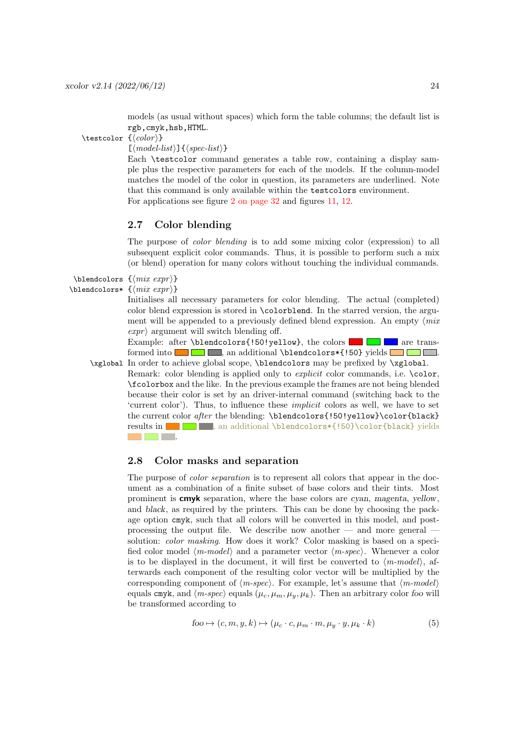models (as usual without spaces) which form the table columns; the default list is rgb,cmyk,hsb,HTML.

\testcolor {⟨color ⟩}

<span id="page-23-4"></span> $[\langle model-list \rangle] \{\langle spec-list \rangle\}$ 

Each \testcolor command generates a table row, containing a display sample plus the respective parameters for each of the models. If the column-model matches the model of the color in question, its parameters are underlined. Note that this command is only available within the testcolors environment. For applications see figure [2 on page 32](#page-31-2) and figures [11,](#page-36-0) [12.](#page-37-0)

# <span id="page-23-0"></span>2.7 Color blending

The purpose of color blending is to add some mixing color (expression) to all subsequent explicit color commands. Thus, it is possible to perform such a mix (or blend) operation for many colors without touching the individual commands.

 $\blacksquare$ 

\blendcolors\* {⟨mix expr ⟩}

<span id="page-23-3"></span><span id="page-23-2"></span>Initialises all necessary parameters for color blending. The actual (completed) color blend expression is stored in \colorblend. In the starred version, the argument will be appended to a previously defined blend expression. An empty  $\langle mix \rangle$  $\exp(r)$  argument will switch blending off.

<span id="page-23-5"></span>Example: after \blendcolors{!50!yellow}, the colors  $\Box$  are transformed into  $\Box$  , an additional \blendcolors  $\ast$  {!50} yields  $\Box$ 

\xglobal In order to achieve global scope, \blendcolors may be prefixed by \xglobal. Remark: color blending is applied only to *explicit* color commands, i.e. \color, \fcolorbox and the like. In the previous example the frames are not being blended because their color is set by an driver-internal command (switching back to the 'current color'). Thus, to influence these implicit colors as well, we have to set the current color after the blending: \blendcolors{!50!yellow}\color{black} results in  $\Box$ , an additional \blendcolors\*{!50}\color{black} yields .

# <span id="page-23-1"></span>2.8 Color masks and separation

The purpose of *color separation* is to represent all colors that appear in the document as a combination of a finite subset of base colors and their tints. Most prominent is cmyk separation, where the base colors are cyan, magenta, yellow, and black, as required by the printers. This can be done by choosing the package option cmyk, such that all colors will be converted in this model, and postprocessing the output file. We describe now another  $-$  and more general  $$ solution: color masking. How does it work? Color masking is based on a specified color model  $\langle m\text{-}model \rangle$  and a parameter vector  $\langle m\text{-}spec \rangle$ . Whenever a color is to be displayed in the document, it will first be converted to  $\langle m\text{-}model \rangle$ , afterwards each component of the resulting color vector will be multiplied by the corresponding component of  $\langle m\text{-}spec\rangle$ . For example, let's assume that  $\langle m\text{-}model\rangle$ equals cmyk, and  $\langle m\text{-}spec\rangle$  equals  $(\mu_c, \mu_m, \mu_y, \mu_k)$ . Then an arbitrary color foo will be transformed according to

$$
foo \mapsto (c, m, y, k) \mapsto (\mu_c \cdot c, \mu_m \cdot m, \mu_y \cdot y, \mu_k \cdot k)
$$
\n
$$
(5)
$$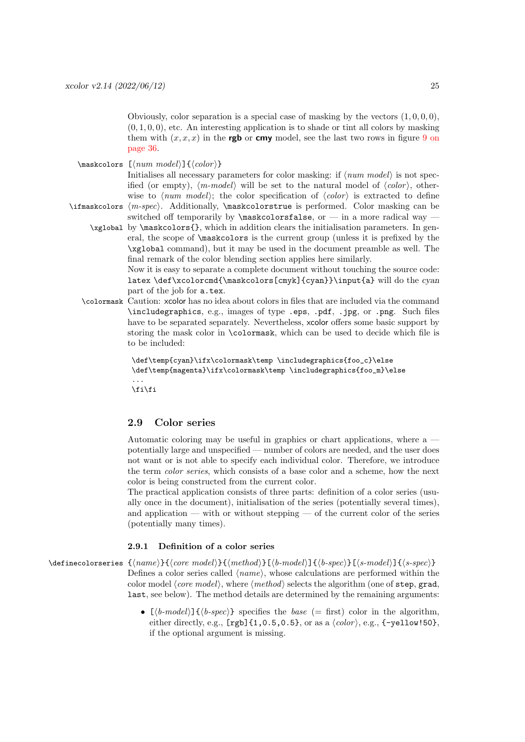<span id="page-24-5"></span>Obviously, color separation is a special case of masking by the vectors  $(1, 0, 0, 0)$ ,  $(0, 1, 0, 0)$ , etc. An interesting application is to shade or tint all colors by masking them with  $(x, x, x)$  in the **rgb** or **cmy** model, see the last two rows in figure [9 on](#page-35-0) [page 36.](#page-35-0)

 $\mathcal{S}$  [ $\langle number \rangle$ ] { $\langle color \rangle$ }

Initialises all necessary parameters for color masking: if  $\langle num \ model \rangle$  is not specified (or empty),  $\langle m\text{-}model \rangle$  will be set to the natural model of  $\langle color \rangle$ , otherwise to  $\langle num \ model \rangle$ ; the color specification of  $\langle color \rangle$  is extracted to define \ifmaskcolors ⟨m-spec⟩. Additionally, \maskcolorstrue is performed. Color masking can be

switched off temporarily by  $\max$ colorsfalse, or  $-$  in a more radical way  $-$ \xglobal by \maskcolors{}, which in addition clears the initialisation parameters. In general, the scope of \maskcolors is the current group (unless it is prefixed by the \xglobal command), but it may be used in the document preamble as well. The final remark of the color blending section applies here similarly.

<span id="page-24-6"></span><span id="page-24-4"></span><span id="page-24-2"></span>Now it is easy to separate a complete document without touching the source code: latex \def\xcolorcmd{\maskcolors[cmyk]{cyan}}\input{a} will do the cyan part of the job for a.tex.

\colormask Caution: xcolor has no idea about colors in files that are included via the command \includegraphics, e.g., images of type .eps, .pdf, .jpg, or .png. Such files have to be separated separately. Nevertheless, xcolor offers some basic support by storing the mask color in \colormask, which can be used to decide which file is to be included:

```
\def\temp{cyan}\ifx\colormask\temp \includegraphics{foo_c}\else
\def\temp{magenta}\ifx\colormask\temp \includegraphics{foo_m}\else
...
\fi\fi
```
# <span id="page-24-0"></span>2.9 Color series

Automatic coloring may be useful in graphics or chart applications, where a potentially large and unspecified — number of colors are needed, and the user does not want or is not able to specify each individual color. Therefore, we introduce the term color series, which consists of a base color and a scheme, how the next color is being constructed from the current color.

The practical application consists of three parts: definition of a color series (usually once in the document), initialisation of the series (potentially several times), and application — with or without stepping — of the current color of the series (potentially many times).

# <span id="page-24-3"></span><span id="page-24-1"></span>2.9.1 Definition of a color series

\definecolorseries {⟨name⟩}{⟨core model⟩}{⟨method⟩}[⟨b-model⟩]{⟨b-spec⟩}[⟨s-model⟩]{⟨s-spec⟩} Defines a color series called  $\langle name \rangle$ , whose calculations are performed within the color model  $\langle core \ model \rangle$ , where  $\langle method \rangle$  selects the algorithm (one of step, grad, last, see below). The method details are determined by the remaining arguments:

> •  $[\langle b\text{-model}\rangle]\{\langle b\text{-}spec\rangle\}$  specifies the *base* (= first) color in the algorithm, either directly, e.g.,  $[rgb]$ {1,0.5,0.5}, or as a  $\langle color \rangle$ , e.g., {-yellow!50}, if the optional argument is missing.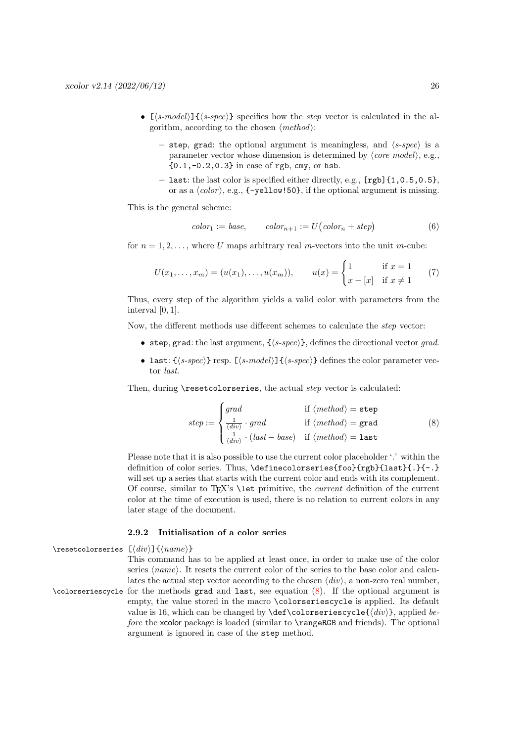- $[\langle s\text{-}model \rangle] \{\langle s\text{-}spec \rangle\}$  specifies how the step vector is calculated in the algorithm, according to the chosen  $\langle method\rangle$ :
	- step, grad: the optional argument is meaningless, and  $\langle s\text{-}spec\rangle$  is a parameter vector whose dimension is determined by  $\langle core \ model \rangle$ , e.g., {0.1,-0.2,0.3} in case of rgb, cmy, or hsb.
	- last: the last color is specified either directly, e.g., [rgb]{1,0.5,0.5}, or as a  $\langle color \rangle$ , e.g.,  $\{-$ vellow!50}, if the optional argument is missing.

This is the general scheme:

<span id="page-25-1"></span>
$$
color_1 := base, \qquad color_{n+1} := U\big(color_n + step\big) \tag{6}
$$

for  $n = 1, 2, \ldots$ , where U maps arbitrary real m-vectors into the unit m-cube:

$$
U(x_1,...,x_m) = (u(x_1),...,u(x_m)), \qquad u(x) = \begin{cases} 1 & \text{if } x = 1 \\ x - [x] & \text{if } x \neq 1 \end{cases}
$$
 (7)

Thus, every step of the algorithm yields a valid color with parameters from the interval [0, 1].

Now, the different methods use different schemes to calculate the step vector:

- step, grad: the last argument,  $\{\langle s\text{-}spec\rangle\}$ , defines the directional vector *grad*.
- last:  $\{\langle s\text{-}spec\rangle\}$  resp.  $[\langle s\text{-}model\rangle]\{\langle s\text{-}spec\rangle\}$  defines the color parameter vector last.

Then, during \resetcolorseries, the actual step vector is calculated:

<span id="page-25-2"></span>
$$
step := \begin{cases} grad & \text{if } \langle method \rangle = \text{step} \\ \frac{1}{\langle div \rangle} \cdot grad & \text{if } \langle method \rangle = \text{grad} \\ \frac{1}{\langle div \rangle} \cdot (last - base) & \text{if } \langle method \rangle = \text{last} \end{cases}
$$
(8)

Please note that it is also possible to use the current color placeholder '.' within the definition of color series. Thus, \definecolorseries{foo}{rgb}{last}{.}{-.} will set up a series that starts with the current color and ends with its complement. Of course, similar to T<sub>EX</sub>'s  $\let$  primitive, the *current* definition of the current color at the time of execution is used, there is no relation to current colors in any later stage of the document.

#### <span id="page-25-4"></span><span id="page-25-3"></span><span id="page-25-0"></span>2.9.2 Initialisation of a color series

\resetcolorseries [⟨div⟩]{⟨name⟩} This command has to be applied at least once, in order to make use of the color series  $\langle name \rangle$ . It resets the current color of the series to the base color and calculates the actual step vector according to the chosen  $\langle div \rangle$ , a non-zero real number, \colorseriescycle for the methods grad and last, see equation [\(8\)](#page-25-2). If the optional argument is empty, the value stored in the macro \colorseriescycle is applied. Its default value is 16, which can be changed by  $\def\colone{div}\$ , applied before the xcolor package is loaded (similar to \rangeRGB and friends). The optional argument is ignored in case of the step method.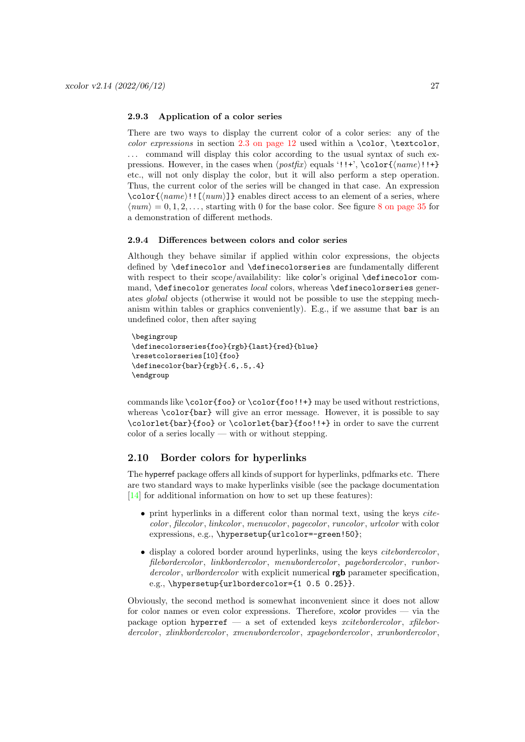#### <span id="page-26-0"></span>2.9.3 Application of a color series

There are two ways to display the current color of a color series: any of the color expressions in section [2.3 on page 12](#page-11-0) used within a \color, \textcolor, ... command will display this color according to the usual syntax of such expressions. However, in the cases when  $\{postfix\}$  equals '!!+', \color{ $\{name\}$ !!+} etc., will not only display the color, but it will also perform a step operation. Thus, the current color of the series will be changed in that case. An expression  $\color({name})!$ [⟨num⟩]} enables direct access to an element of a series, where  $\langle num \rangle = 0, 1, 2, \ldots$ , starting with 0 for the base color. See figure [8 on page 35](#page-34-0) for a demonstration of different methods.

#### <span id="page-26-1"></span>2.9.4 Differences between colors and color series

Although they behave similar if applied within color expressions, the objects defined by \definecolor and \definecolorseries are fundamentally different with respect to their scope/availability: like color's original **\definecolor** command, \definecolor generates local colors, whereas \definecolorseries generates global objects (otherwise it would not be possible to use the stepping mechanism within tables or graphics conveniently). E.g., if we assume that bar is an undefined color, then after saying

```
\begingroup
\definecolorseries{foo}{rgb}{last}{red}{blue}
\resetcolorseries[10]{foo}
\definecolor{bar}{rgb}{.6,.5,.4}
\endgroup
```
commands like \color{foo} or \color{foo!!+} may be used without restrictions, whereas \color{bar} will give an error message. However, it is possible to say \colorlet{bar}{foo} or \colorlet{bar}{foo!!+} in order to save the current color of a series locally — with or without stepping.

# <span id="page-26-2"></span>2.10 Border colors for hyperlinks

The hyperref package offers all kinds of support for hyperlinks, pdfmarks etc. There are two standard ways to make hyperlinks visible (see the package documentation [\[14\]](#page-57-9) for additional information on how to set up these features):

- print hyperlinks in a different color than normal text, using the keys *cite*color, filecolor, linkcolor, menucolor, pagecolor, runcolor, urlcolor with color expressions, e.g., \hypersetup{urlcolor=-green!50};
- $\bullet$  display a colored border around hyperlinks, using the keys *citebordercolor*, filebordercolor, linkbordercolor, menubordercolor, pagebordercolor, runbordercolor, urlbordercolor with explicit numerical **rgb** parameter specification, e.g., \hypersetup{urlbordercolor={1 0.5 0.25}}.

Obviously, the second method is somewhat inconvenient since it does not allow for color names or even color expressions. Therefore, xcolor provides — via the package option hyperref — a set of extended keys xcitebordercolor, xfilebordercolor, xlinkbordercolor, xmenubordercolor, xpagebordercolor, xrunbordercolor,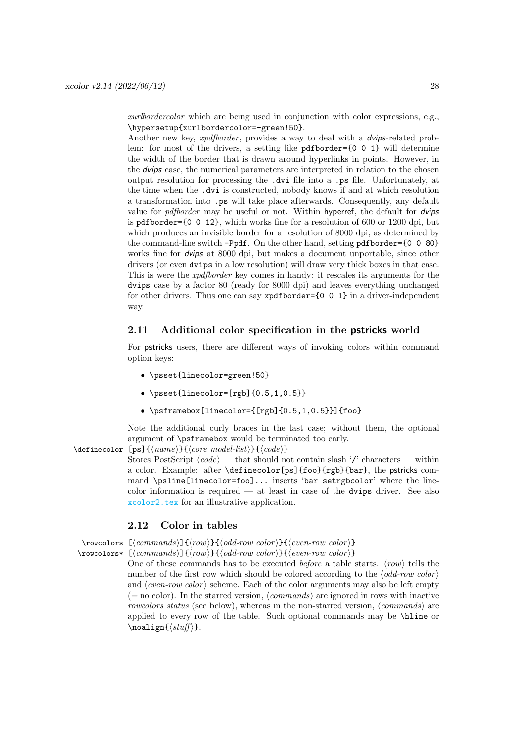xurlbordercolor which are being used in conjunction with color expressions, e.g., \hypersetup{xurlbordercolor=-green!50}.

Another new key, *xpdfborder*, provides a way to deal with a *dvips*-related problem: for most of the drivers, a setting like pdfborder={0 0 1} will determine the width of the border that is drawn around hyperlinks in points. However, in the dvips case, the numerical parameters are interpreted in relation to the chosen output resolution for processing the .dvi file into a .ps file. Unfortunately, at the time when the .dvi is constructed, nobody knows if and at which resolution a transformation into .ps will take place afterwards. Consequently, any default value for *pdfborder* may be useful or not. Within hyperref, the default for *dvips* is pdfborder={0 0 12}, which works fine for a resolution of 600 or 1200 dpi, but which produces an invisible border for a resolution of 8000 dpi, as determined by the command-line switch -Ppdf. On the other hand, setting pdfborder={0 0 80} works fine for *dvips* at 8000 dpi, but makes a document unportable, since other drivers (or even dvips in a low resolution) will draw very thick boxes in that case. This is were the xpdfborder key comes in handy: it rescales its arguments for the dvips case by a factor 80 (ready for 8000 dpi) and leaves everything unchanged for other drivers. Thus one can say  $xpdfborder={0 \ 0 \ 1}$  in a driver-independent way.

# <span id="page-27-0"></span>2.11 Additional color specification in the pstricks world

For pstricks users, there are different ways of invoking colors within command option keys:

- \psset{linecolor=green!50}
- $\text{linecolor}[\text{rgb}]\{0.5, 1, 0.5\}$
- \psframebox[linecolor={ $[rgb]$ {0.5,1,0.5}}]{foo}

Note the additional curly braces in the last case; without them, the optional argument of \psframebox would be terminated too early.

# $\setminus$ definecolor [ps]{ $\langle name \rangle$ }{ $\langle core \ model-list \rangle$ }{ $\langle code \rangle$ }

<span id="page-27-2"></span>Stores PostScript  $\langle code \rangle$  — that should not contain slash '/' characters — within a color. Example: after \definecolor[ps]{foo}{rgb}{bar}, the pstricks command \psline[linecolor=foo]... inserts 'bar setrgbcolor' where the linecolor information is required — at least in case of the dvips driver. See also [xcolor2.tex](#page-0-0) for an illustrative application.

# <span id="page-27-3"></span><span id="page-27-1"></span>2.12 Color in tables

\rowcolors [⟨commands⟩]{⟨row⟩}{⟨odd-row color ⟩}{⟨even-row color ⟩}

\rowcolors\* [⟨commands⟩]{⟨row⟩}{⟨odd-row color ⟩}{⟨even-row color ⟩}

<span id="page-27-4"></span>One of these commands has to be executed *before* a table starts.  $\langle row \rangle$  tells the number of the first row which should be colored according to the  $\langle odd\text{-}row\ color\rangle$ and  $\langle even\text{-}row\text{ color}\rangle$  scheme. Each of the color arguments may also be left empty  $(=$  no color). In the starred version,  $\langle commands \rangle$  are ignored in rows with inactive rowcolors status (see below), whereas in the non-starred version, ⟨commands⟩ are applied to every row of the table. Such optional commands may be \hline or \noalign{⟨stuff ⟩}.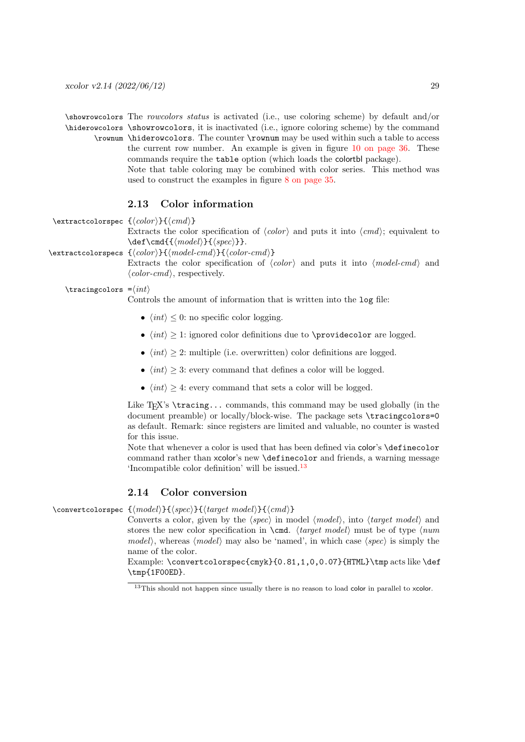<span id="page-28-6"></span>\showrowcolors The rowcolors status is activated (i.e., use coloring scheme) by default and/or \hiderowcolors \showrowcolors, it is inactivated (i.e., ignore coloring scheme) by the command \rownum \hiderowcolors. The counter \rownum may be used within such a table to access

the current row number. An example is given in figure [10 on page 36.](#page-35-1) These commands require the table option (which loads the colortbl package). Note that table coloring may be combined with color series. This method was used to construct the examples in figure [8 on page 35.](#page-34-0)

# <span id="page-28-7"></span><span id="page-28-5"></span><span id="page-28-4"></span><span id="page-28-0"></span>2.13 Color information

\extractcolorspec {⟨color ⟩}{⟨cmd⟩} Extracts the color specification of  $\langle color \rangle$  and puts it into  $\langle cmd \rangle$ ; equivalent to  $\det\c{{{model}}{\spec}}.$ \extractcolorspecs {⟨color ⟩}{⟨model-cmd⟩}{⟨color-cmd⟩}

Extracts the color specification of  $\langle color \rangle$  and puts it into  $\langle model-cmd \rangle$  and  $\langle color-cmd\rangle$ , respectively.

# $\tau = \langle int \rangle$

<span id="page-28-8"></span>Controls the amount of information that is written into the log file:

- $\langle int \rangle \leq 0$ : no specific color logging.
- $\langle int \rangle \geq 1$ : ignored color definitions due to **\providecolor** are logged.
- $\langle int \rangle > 2$ : multiple (i.e. overwritten) color definitions are logged.
- $\langle int \rangle > 3$ : every command that defines a color will be logged.
- $\langle int \rangle \geq 4$ : every command that sets a color will be logged.

Like  $T_F X$ 's  $\tau$ ... commands, this command may be used globally (in the document preamble) or locally/block-wise. The package sets \tracingcolors=0 as default. Remark: since registers are limited and valuable, no counter is wasted for this issue.

Note that whenever a color is used that has been defined via color's \definecolor command rather than xcolor's new \definecolor and friends, a warning message 'Incompatible color definition' will be issued.[13](#page-28-2)

# <span id="page-28-1"></span>2.14 Color conversion

\convertcolorspec {⟨model⟩}{⟨spec⟩}{⟨target model⟩}{⟨cmd⟩}

<span id="page-28-3"></span>Converts a color, given by the  $\langle spec \rangle$  in model  $\langle model \rangle$ , into  $\langle target \ model \rangle$  and stores the new color specification in  $\text{cmd. } \langle target \ model \rangle$  must be of type  $\langle num \ \rangle$ model $\rangle$ , whereas  $\langle model \rangle$  may also be 'named', in which case  $\langle spec \rangle$  is simply the name of the color.

Example: \convertcolorspec{cmyk}{0.81,1,0,0.07}{HTML}\tmp acts like \def \tmp{1F00ED}.

<span id="page-28-2"></span><sup>&</sup>lt;sup>13</sup>This should not happen since usually there is no reason to load color in parallel to xcolor.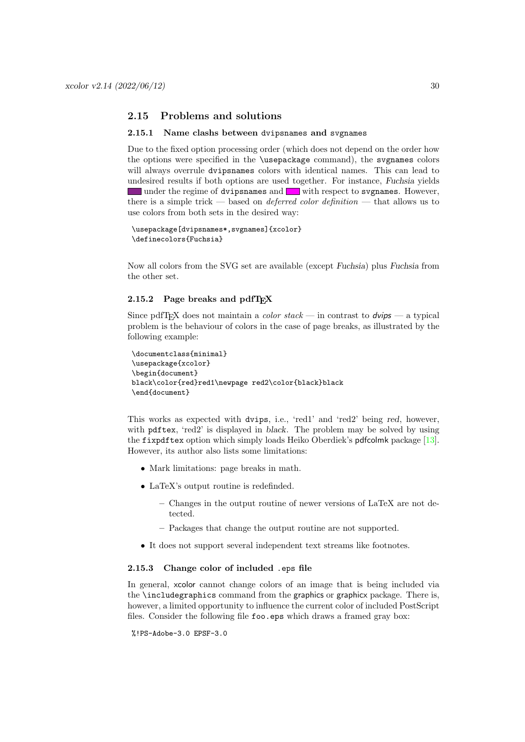# <span id="page-29-0"></span>2.15 Problems and solutions

## <span id="page-29-1"></span>2.15.1 Name clashs between dvipsnames and svgnames

Due to the fixed option processing order (which does not depend on the order how the options were specified in the \usepackage command), the svgnames colors will always overrule dvipsnames colors with identical names. This can lead to undesired results if both options are used together. For instance, Fuchsia yields under the regime of dvipsnames and with respect to svgnames. However, there is a simple trick — based on *deferred color definition* — that allows us to use colors from both sets in the desired way:

```
\usepackage[dvipsnames*,svgnames]{xcolor}
\definecolors{Fuchsia}
```
Now all colors from the SVG set are available (except Fuchsia) plus Fuchsia from the other set.

# <span id="page-29-2"></span>2.15.2 Page breaks and pdfT $\overline{F}X$

Since pdfT<sub>E</sub>X does not maintain a *color stack* — in contrast to  $dvips$  — a typical problem is the behaviour of colors in the case of page breaks, as illustrated by the following example:

```
\documentclass{minimal}
\usepackage{xcolor}
\begin{document}
black\color{red}red1\newpage red2\color{black}black
\end{document}
```
This works as expected with dvips, i.e., 'red1' and 'red2' being red, however, with pdftex, 'red2' is displayed in black. The problem may be solved by using the fixpdftex option which simply loads Heiko Oberdiek's pdfcolmk package [\[13\]](#page-57-10). However, its author also lists some limitations:

- Mark limitations: page breaks in math.
- LaTeX's output routine is redefinded.
	- Changes in the output routine of newer versions of LaTeX are not detected.
	- Packages that change the output routine are not supported.
- It does not support several independent text streams like footnotes.

# <span id="page-29-3"></span>2.15.3 Change color of included .eps file

In general, xcolor cannot change colors of an image that is being included via the \includegraphics command from the graphics or graphicx package. There is, however, a limited opportunity to influence the current color of included PostScript files. Consider the following file foo.eps which draws a framed gray box:

%!PS-Adobe-3.0 EPSF-3.0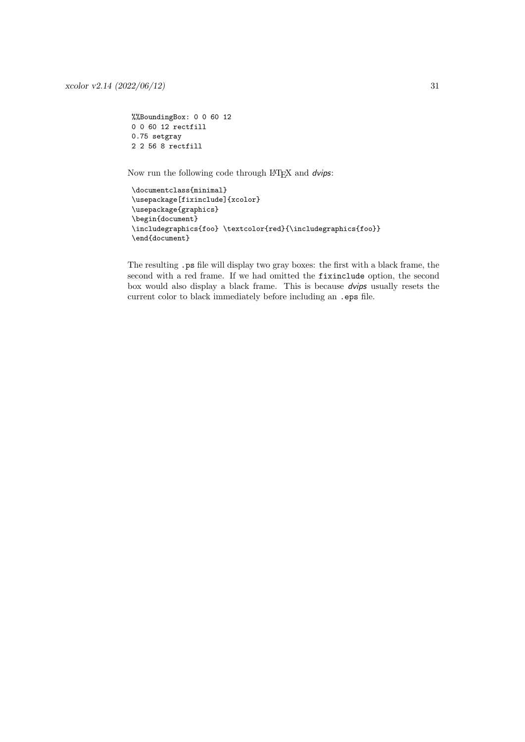```
%%BoundingBox: 0 0 60 12
0 0 60 12 rectfill
0.75 setgray
2 2 56 8 rectfill
```
Now run the following code through LATEX and dvips:

```
\documentclass{minimal}
\usepackage[fixinclude]{xcolor}
\usepackage{graphics}
\begin{document}
\includegraphics{foo} \textcolor{red}{\includegraphics{foo}}
\end{document}
```
The resulting .ps file will display two gray boxes: the first with a black frame, the second with a red frame. If we had omitted the fixinclude option, the second box would also display a black frame. This is because dvips usually resets the current color to black immediately before including an .eps file.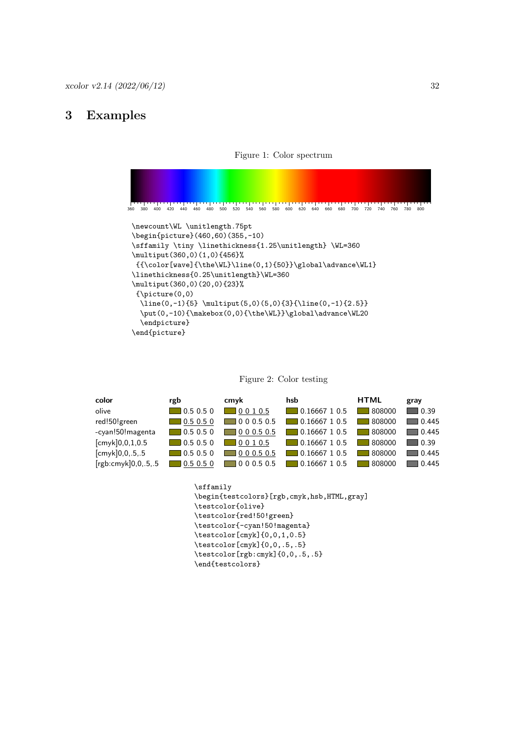# 3 Examples

<span id="page-31-0"></span>

# <span id="page-31-2"></span>Figure 2: Color testing

| color               | rgb              | cmyk      | hsb                  | <b>HTML</b> | gray               |
|---------------------|------------------|-----------|----------------------|-------------|--------------------|
| olive               | $\,0.5\;0.5\;0$  | 0 0 1 0 5 | 0.16667 1 0.5        | 808000      | 0.39               |
| red!50!green        | 0.50.50          | 000.50.5  | 0.1666710.5          | 808000      | ∥0.445             |
| -cyan!50!magenta    | $\Box$ 0.5 0.5 0 | 000.50.5  | $\Box$ 0.16667 1 0.5 | 808000      | ▌0.445             |
| [cmyk]0,0,1,0.5     | $\Box$ 0.5 0.5 0 | 0 0 1 0.5 | $\Box$ 0.16667 1 0.5 | 808000      | l 0.39             |
| [cmyk]0,0,.5,.5     | $\Box$ 0.5 0.5 0 | 000.50.5  | 0.1666710.5          | 808000      | $\mathbb{I}$ 0.445 |
| [rgb:cmyk]0,0,.5,.5 | 0.50.50          | 000.50.5  | 0.1666710.5          | 808000      | l 0.445            |

```
\sffamily
\begin{testcolors}[rgb,cmyk,hsb,HTML,gray]
\testcolor{olive}
\testcolor{red!50!green}
\testcolor{-cyan!50!magenta}
\testcolor[cmyk]{0,0,1,0.5}
\testcolor[cmyk]{0,0,.5,.5}
\testcolor[rgb:cmyk]{0,0,.5,.5}
\end{testcolors}
```
#### <span id="page-31-1"></span>Figure 1: Color spectrum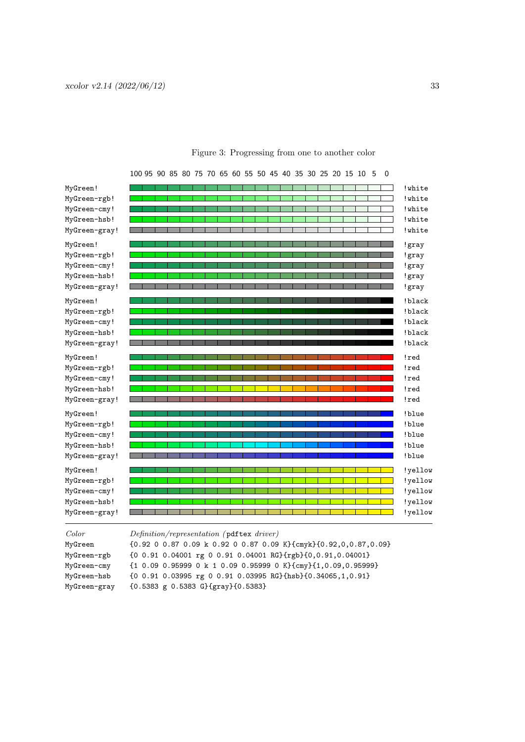|               | 100 95 90 85 80 75 70 65 60 55 50 45 40 35 30 25 20 15 10 |  |  |  |  |  |  |  |  | -5 | $\mathbf 0$ |         |
|---------------|-----------------------------------------------------------|--|--|--|--|--|--|--|--|----|-------------|---------|
| MyGreen!      |                                                           |  |  |  |  |  |  |  |  |    |             | ! white |
| MyGreen-rgb!  |                                                           |  |  |  |  |  |  |  |  |    |             | ! white |
| MyGreen-cmy!  |                                                           |  |  |  |  |  |  |  |  |    |             | ! white |
| MyGreen-hsb!  |                                                           |  |  |  |  |  |  |  |  |    |             | !white  |
| MyGreen-gray! |                                                           |  |  |  |  |  |  |  |  |    |             | ! white |
| MyGreen!      |                                                           |  |  |  |  |  |  |  |  |    |             | !gray   |
| MyGreen-rgb!  |                                                           |  |  |  |  |  |  |  |  |    |             | !gray   |
| MyGreen-cmy!  |                                                           |  |  |  |  |  |  |  |  |    |             | !gray   |
| MyGreen-hsb!  |                                                           |  |  |  |  |  |  |  |  |    |             | !gray   |
| MyGreen-gray! |                                                           |  |  |  |  |  |  |  |  |    |             | !gray   |
| MyGreen!      |                                                           |  |  |  |  |  |  |  |  |    |             | !black  |
| MyGreen-rgb!  |                                                           |  |  |  |  |  |  |  |  |    |             | !black  |
| MyGreen-cmy!  |                                                           |  |  |  |  |  |  |  |  |    |             | !black  |
| MyGreen-hsb!  |                                                           |  |  |  |  |  |  |  |  |    |             | !black  |
| MyGreen-gray! |                                                           |  |  |  |  |  |  |  |  |    |             | !black  |
| MyGreen!      |                                                           |  |  |  |  |  |  |  |  |    |             | !red    |
| MyGreen-rgb!  |                                                           |  |  |  |  |  |  |  |  |    |             | !red    |
| MyGreen-cmy!  |                                                           |  |  |  |  |  |  |  |  |    |             | !red    |
| MyGreen-hsb!  |                                                           |  |  |  |  |  |  |  |  |    |             | !red    |
| MyGreen-gray! |                                                           |  |  |  |  |  |  |  |  |    |             | !red    |
| MyGreen!      |                                                           |  |  |  |  |  |  |  |  |    |             | !blue   |
| MyGreen-rgb!  |                                                           |  |  |  |  |  |  |  |  |    |             | !blue   |
| MyGreen-cmy!  |                                                           |  |  |  |  |  |  |  |  |    |             | !blue   |
| MyGreen-hsb!  |                                                           |  |  |  |  |  |  |  |  |    |             | !blue   |
| MyGreen-gray! |                                                           |  |  |  |  |  |  |  |  |    |             | !blue   |
| MyGreen!      |                                                           |  |  |  |  |  |  |  |  |    |             | !yellow |
| MyGreen-rgb!  |                                                           |  |  |  |  |  |  |  |  |    |             | !yellow |
| MyGreen-cmy!  |                                                           |  |  |  |  |  |  |  |  |    |             | !yellow |
| MyGreen-hsb!  |                                                           |  |  |  |  |  |  |  |  |    |             | !yellow |
| MyGreen-gray! |                                                           |  |  |  |  |  |  |  |  |    |             | !yellow |

# <span id="page-32-0"></span>Figure 3: Progressing from one to another color

| $11891901$ $1190$ |                                                                           |
|-------------------|---------------------------------------------------------------------------|
| MyGreen-gray!     |                                                                           |
|                   |                                                                           |
| Color             | Definition/representation (pdftex driver)                                 |
|                   |                                                                           |
| MyGreen           | {0.92 0 0.87 0.09 k 0.92 0 0.87 0.09 K}{cmyk}{0.92,0,0.87,0.09}           |
| MyGreen-rgb       | {0 0.91 0.04001 rg 0 0.91 0.04001 RG}{rgb}{0,0.91,0.04001}                |
| MyGreen-cmy       | ${10.090.959990 k10.090.959990 K}$ cmy}{1,0.09,0.95999}                   |
| MyGreen-hsb       | ${0.91 0.03995 \text{ rg 0 0.91 0.03995 RG}{\text{hsb}}{0.34065,1,0.91}}$ |

MyGreen-gray {0.5383 g 0.5383 G}{gray}{0.5383}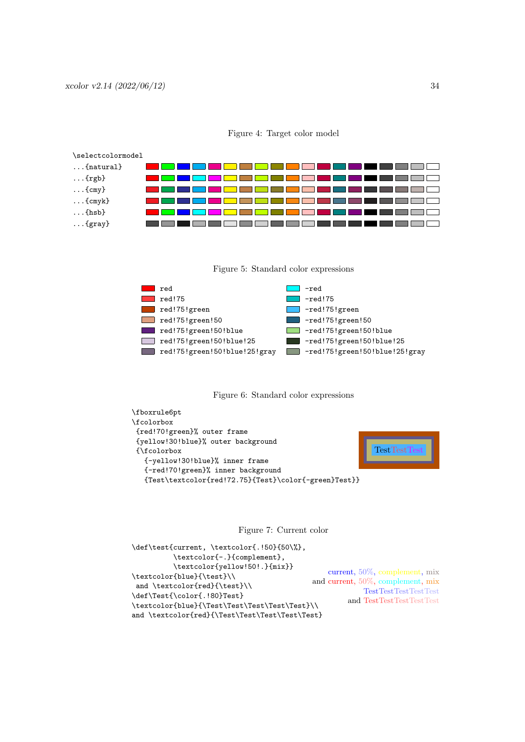| \selectcolormodel  |  |  |  |  |
|--------------------|--|--|--|--|
| $\ldots$ {natural} |  |  |  |  |
| $\ldots$ {rgb}     |  |  |  |  |
| $\ldots$ {cmy}     |  |  |  |  |
| $\ldots$ {cmyk}    |  |  |  |  |
| $\ldots$ {hsb}     |  |  |  |  |
| $\ldots$ {gray}    |  |  |  |  |

<span id="page-33-0"></span>

<span id="page-33-1"></span>



<span id="page-33-2"></span>



# <span id="page-33-3"></span>Figure 7: Current color

| \def\test{current, \textcolor{.!50}{50\%},     |                                                                      |
|------------------------------------------------|----------------------------------------------------------------------|
| \textcolor{-.}{complement},                    |                                                                      |
| \textcolor{yellow!50!.}{mix}}                  |                                                                      |
| \textcolor{blue}{\test}\\                      | current, $50\%$ , complement, mix                                    |
| and \textcolor{red}{\test}\\                   | and current, $50\%$ , complement, mix<br><b>TestTestTestTestTest</b> |
| \def\Test{\color{.!80}Test}                    |                                                                      |
| \textcolor{blue}{\Test\Test\Test\Test\Test}\\  | and TestTestTestTestTest                                             |
| and \textcolor{red}{\Test\Test\Test\Test\Test} |                                                                      |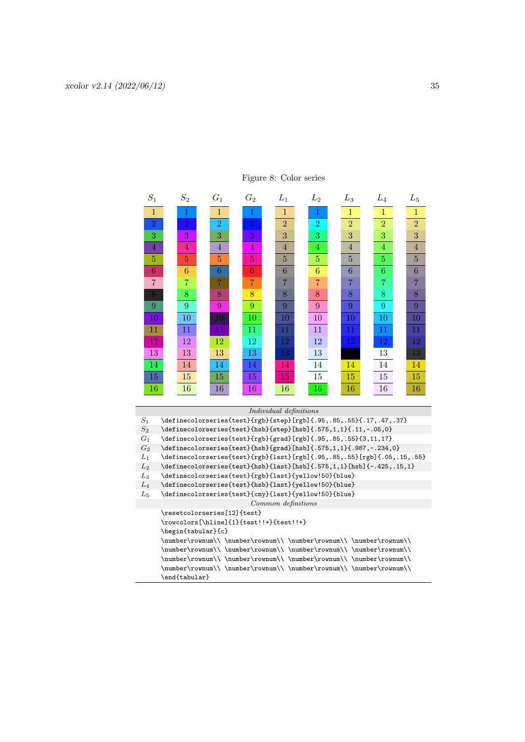| $S_1$          | $S_2$                                                                   | $G_1$           | $G_2$          | $L_1$                  | $L_2$          | $L_3$          | $L_4$          | $L_{\rm 5}$    |  |  |
|----------------|-------------------------------------------------------------------------|-----------------|----------------|------------------------|----------------|----------------|----------------|----------------|--|--|
| $\overline{1}$ | 1                                                                       | $\mathbf{1}$    | 1              | $\mathbf{1}$           | 1              | $\mathbf{1}$   | $\mathbf{1}$   | $\mathbf{1}$   |  |  |
| $\sqrt{2}$     | $\overline{2}$                                                          | $\overline{2}$  | $\overline{2}$ | $\overline{2}$         | $\overline{2}$ | $\overline{2}$ | $\overline{2}$ | $\overline{2}$ |  |  |
| 3              | 3                                                                       | 3               | 3              | 3                      | 3              | 3              | 3              | $\overline{3}$ |  |  |
| 4              | 4                                                                       | $\overline{4}$  | 4              | $\overline{4}$         | 4              | $\overline{4}$ | 4              | $\overline{4}$ |  |  |
| 5              | $\overline{5}$                                                          | 5               | 5.             | $\overline{5}$         | $\overline{5}$ | 5              | $\overline{5}$ | 5              |  |  |
| 6              | 6                                                                       | 6               | 6              | 6                      | 6              | 6              | 6              | 6              |  |  |
| $\overline{7}$ | $\overline{7}$                                                          | $\overline{7}$  | $\overline{7}$ | $\overline{7}$         | $\overline{7}$ | 7              | 7              | $\overline{7}$ |  |  |
| 8              | 8                                                                       | 8               | 8              | 8                      | 8              | 8              | 8              | 8              |  |  |
| 9              | 9                                                                       | 9               | 9              | 9                      | 9              | 9              | 9              | 9              |  |  |
| 10             | 10                                                                      | 10 <sup>°</sup> | 10             | 10                     | 10             | 10             | 10             | 10             |  |  |
| 11             | 11                                                                      | 11              | 11             | 11                     | 11             | 11             | 11             | 11             |  |  |
| 12             | 12                                                                      | 12              | 12             | 12                     | 12             | 12             | 12             | 12             |  |  |
| 13             | 13                                                                      | 13              | 13             | 13                     | 13             |                | 13             | 13             |  |  |
| 14             | 14                                                                      | 14              | 14             | 14                     | 14             | 14             | 14             | 14             |  |  |
| 15             | 15                                                                      | 15              | 15             | 15                     | 15             | 15             | 15             | 15             |  |  |
| 16             | 16                                                                      | 16              | 16             | 16                     | 16             | 16             | 16             | 16             |  |  |
|                |                                                                         |                 |                |                        |                |                |                |                |  |  |
|                |                                                                         |                 |                | Individual definitions |                |                |                |                |  |  |
| $S_1$          | \definecolorseries{test}{rgb}{step}[rgb]{.95,.85,.55}{.17,.47,.37}      |                 |                |                        |                |                |                |                |  |  |
| $S_2$          | \definecolorseries{test}{hsb}{step}[hsb]{.575,1,1}{.11,-.05,0}          |                 |                |                        |                |                |                |                |  |  |
| $G_1$          | \definecolorseries{test}{rgb}{grad}[rgb]{.95,.85,.55}{3,11,17}          |                 |                |                        |                |                |                |                |  |  |
| $G_2$          | \definecolorseries{test}{hsb}{grad}[hsb]{.575,1,1}{.987,-.234,0}        |                 |                |                        |                |                |                |                |  |  |
| $L_1$          | \definecolorseries{test}{rgb}{last}[rgb]{.95,.85,.55}[rgb]{.05,.15,.55} |                 |                |                        |                |                |                |                |  |  |
| $L_2$          | \definecolorseries{test}{hsb}{last}[hsb]{.575,1,1}[hsb]{-.425,.15,1}    |                 |                |                        |                |                |                |                |  |  |
| $L_3$          | \definecolorseries{test}{rgb}{last}{yellow!50}{blue}                    |                 |                |                        |                |                |                |                |  |  |
| $L_4$          | \definecolorseries{test}{hsb}{last}{yellow!50}{blue}                    |                 |                |                        |                |                |                |                |  |  |
| $L_{5}$        | \definecolorseries{test}{cmy}{last}{yellow!50}{blue}                    |                 |                |                        |                |                |                |                |  |  |
|                |                                                                         |                 |                | Common definitions     |                |                |                |                |  |  |
|                | \resetcolorseries[12]{test}                                             |                 |                |                        |                |                |                |                |  |  |
|                | \rowcolors[\hline]{1}{test!!+}{test!!+}                                 |                 |                |                        |                |                |                |                |  |  |
|                | \begin{tabular}{c}                                                      |                 |                |                        |                |                |                |                |  |  |

\number\rownum\\ \number\rownum\\ \number\rownum\\ \number\rownum\\ \number\rownum\\ \number\rownum\\ \number\rownum\\ \number\rownum\\ \number\rownum\\ \number\rownum\\ \number\rownum\\ \number\rownum\\ \number\rownum\\ \number\rownum\\ \number\rownum\\ \number\rownum\\ \number\rownum\\ \number\rownum\\ \ \number\rownum\\ \number\rownum\\ \number\rownum\\ \number\rownum\\ \number\rownum\\ \number\rownum\\ \number\rownum\\ \number\rownum\\ \number\rownum\\ \number\rownum\\ \number\rownum\\ \number\rownum\\ \number\rownum\\ \number\rownum\\ \number\rownum\\ \number\rownum\\ \number\rownum\\ \number\rownum\\ \number\rownum\\ \number\rownum\\ \number\rownum\\ \number\rownum\\ \number\rownum\\ \number\rownum\\ \number\rownum\\ \number\rownum\\

\end{tabular}

# <span id="page-34-0"></span>Figure 8: Color series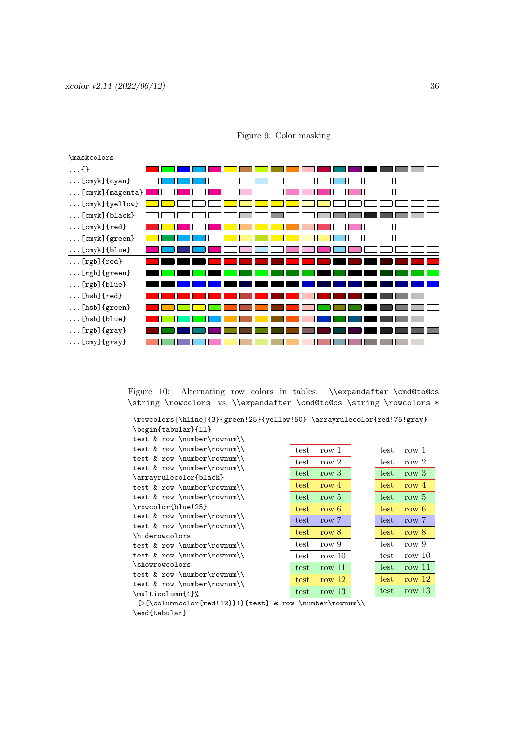| \maskcolors             |  |
|-------------------------|--|
| $\ldots$ { }            |  |
| $\ldots$ [cmyk] {cyan}  |  |
| [cmyk] {magenta}        |  |
| $[{\rm cmyk}]$ {yellow} |  |
| [cmyk] {black}          |  |
| $[cmyk]$ {red}          |  |
| $[cmyk]$ {green}        |  |
| $\ldots$ [cmyk] {blue}  |  |
| $\ldots$ [rgb] {red}    |  |
| $\ldots$ [rgb] {green}  |  |
| $[rgb]$ {blue}          |  |
| $\ldots$ [hsb] {red}    |  |
| $\ldots$ [hsb] {green}  |  |
| $\ldots$ [hsb] {blue}   |  |
| $\ldots$ [rgb] {gray}   |  |
| $[cm]$ {gray}           |  |

<span id="page-35-0"></span>Figure 9: Color masking

<span id="page-35-1"></span>Figure 10: Alternating row colors in tables: \\expandafter \cmd@to@cs \string \rowcolors vs. \\expandafter \cmd@to@cs \string \rowcolors \*

| \rowcolors[\hline]{3}{green!25}{yellow!50} \arrayrulecolor{red!75!gray} |      |          |  |      |          |  |  |  |  |
|-------------------------------------------------------------------------|------|----------|--|------|----------|--|--|--|--|
| \begin{tabular}{11}                                                     |      |          |  |      |          |  |  |  |  |
| test & row \number\rownum\\                                             |      |          |  |      |          |  |  |  |  |
| test & row \number\rownum\\                                             | test | row 1    |  | test | row 1    |  |  |  |  |
| test & row \number\rownum\\                                             | test | row $2$  |  | test | row $2$  |  |  |  |  |
| test & row \number\rownum\\                                             | test |          |  |      |          |  |  |  |  |
| \arrayrulecolor{black}                                                  |      | row 3    |  | test | row $3$  |  |  |  |  |
| test & row \number\rownum\\                                             | test | row $4$  |  | test | row $4$  |  |  |  |  |
| test & row \number\rownum\\                                             | test | row 5    |  | test | row 5    |  |  |  |  |
| \rowcolor{blue!25}                                                      | test | row $6$  |  | test | row 6    |  |  |  |  |
| test & row \number\rownum\\                                             | test | row 7    |  | test | row 7    |  |  |  |  |
| test & row \number\rownum\\                                             |      |          |  |      |          |  |  |  |  |
| \hiderowcolors                                                          | test | row $8$  |  | test | row $8$  |  |  |  |  |
| test & row \number\rownum\\                                             | test | row 9    |  | test | row 9    |  |  |  |  |
| test & row \number\rownum\\                                             | test | row $10$ |  | test | row $10$ |  |  |  |  |
| \showrowcolors                                                          | test | row $11$ |  | test | row $11$ |  |  |  |  |
| test & row \number\rownum\\                                             | test | row $12$ |  | test | row $12$ |  |  |  |  |
| test & row \number\rownum\\                                             |      |          |  |      |          |  |  |  |  |
| \multicolumn{1}%                                                        | test | row $13$ |  | test | row $13$ |  |  |  |  |
| $\{\verb columncolor{red!12}\1]{test}$ & row \number\rownum\\           |      |          |  |      |          |  |  |  |  |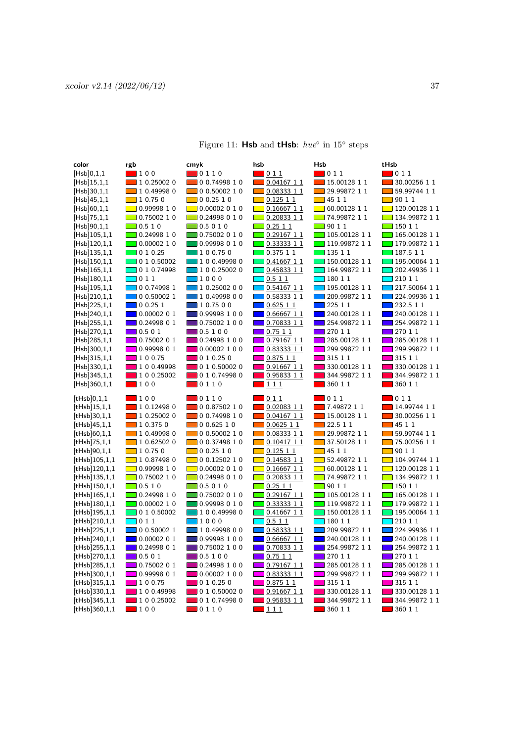| color            | rgb                        | cmyk                         | hsb                          | <b>Hsb</b>               | tHsb                                             |
|------------------|----------------------------|------------------------------|------------------------------|--------------------------|--------------------------------------------------|
| [Hsb]0,1,1       | $\blacksquare$ 100         | $\blacksquare$ 0 1 1 0       | $\blacksquare$ 0 1 1         | $\blacksquare$ 0 1 1     | $\blacksquare$ 0 1 1                             |
| [Hsb]15,1,1      | 1 0.25002 0                | $\Box$ 0 0.74998 1 0         | 0.04167 1 1                  | 15.00128 1 1             | 30.00256 1 1                                     |
| [Hsb]30,1,1      | 1 0.49998 0                | $\Box$ 0 0.50002 1 0         | 0.08333 1 1                  | 29.99872 1 1             | $\Box$ 59.99744 1 1                              |
| [Hsb]45,1,1      | $\Box$ 1 0.75 0            | $\Box$ 0 0.25 1 0            | $\Box$ 0.125 1 1             | $\Box$ 45 1 1            | $\Box$ 90 1 1                                    |
| [Hsb]60,1,1      | $\boxed{1}$ 0.99998 1 0    | $\Box$ 0.00002 0 1 0         | $\boxed{0.1666711}$          | $\Box$ 60.00128 1 1      | $\boxed{120.00128}$ 1 1                          |
| $[Hsb]$ 75,1,1   | $\Box$ 0.75002 1 0         | $\Box$ 0.24998 0 1 0         | 0.20833 1 1                  | $\boxed{ }$ 74.99872 1 1 | $\boxed{134.9987211}$                            |
| [Hsb]90,1,1      | $\Box$ 0.5 1 0             | $\Box$ 0.5 0 1 0             | 0.2511                       | $\Box$ 90 1 1            | $\Box$ 150 1 1                                   |
| [Hsb]105,1,1     | $\Box$ 0.24998 1 0         | $\Box$ 0.75002 0 1 0         | $\boxed{)}$ 0.29167 1 1      | $\Box$ 105.00128 1 1     | $\Box$ 165.00128 1 1                             |
| [Hsb]120,1,1     | $\Box$ 0.00002 1 0         | 0.99998 0 1 0                | 0.3333311                    | $\Box$ 119.99872 1 1     | $\Box$ 179.99872 1 1                             |
| $[Hsb]$ 135,1,1  | $\Box$ 0 1 0.25            | $\Box$ 1 0 0.75 0            | $\Box$ 0.375 1 1             | $\Box$ 135 1 1           | $\Box$ 187.5 1 1                                 |
| [Hsb]150,1,1     | 0 1 0.50002                | 100.499980                   | 0.41667 1 1                  | 150.00128 1 1            | 195.00064 1 1                                    |
| [Hsb]165,1,1     | $\Box$ 0 1 0.74998         | 100.250020                   | $\sqrt{0.45833}11$           | 164.99872 1 1            | $\Box$ 202.49936 1 1                             |
| [Hsb]180,1,1     | $\Box$ 0 1 1               | 1000                         | 0.511                        | $\blacksquare$ 180 1 1   | $\blacksquare$ 210 1 1                           |
| [Hsb]195,1,1     | $\Box$ 0 0.74998 1         | 10.2500200                   | $0.54167$ 1 1                | $\Box$ 195.00128 1 1     | $\Box$ 217.50064 1 1                             |
| [Hsb]210,1,1     | $\Box$ 0 0.50002 1         | 1 0.49998 0 0                | 0.58333 1 1                  | 209.99872 1 1            | 224.99936 1 1                                    |
| [Hsb]225,1,1     | $\Box$ 0 0.25 1            | $\blacksquare$ 1 0.75 0 0    | $\Box$ 0.625 1 1             | $\Box$ 225 1 1           | $\Box$ 232.5 1 1                                 |
| [Hsb]240,1,1     | $\Box$ 0.00002 0 1         | $\Box$ 0.99998 1 0 0         | $0.66667$ 1 1<br><b>Tara</b> | $\boxed{240.00128}$ 1 1  | $\boxed{240.00128}$ 1 1                          |
| [Hsb]255,1,1     | $\Box$ 0.24998 0 1         | $\Box$ 0.75002 1 0 0         | $\Box$ 0.70833 1 1           | $\Box$ 254.99872 1 1     | $\blacksquare$ 254.99872 1 1                     |
| [Hsb]270,1,1     | 0.501                      | $\Box$ 0.5 1 0 0             | 0.7511                       | 270 1 1                  | 270 1 1                                          |
| [Hsb]285,1,1     | 0.75002 0 1                | 0.24998 1 0 0                | 0.79167 1 1                  | 285.00128 1 1            | 285.00128 1 1                                    |
| [Hsb]300,1,1     | 0.99998 0 1                | 0.00002100                   | 0.83333 1 1                  | 299.99872 1 1            | 299.99872 1 1                                    |
| [Hsb]315,1,1     | 1 0 0.75                   | 010.250                      | 0.87511                      | 315 1 1                  | 315 1 1                                          |
| [Hsb]330,1,1     | $\blacksquare$ 1 0 0.49998 | $\Box$ 0 1 0.50002 0         | 0.91667 1 1                  | 330.00128 1 1            | 330.00128 1 1                                    |
| [Hsb]345,1,1     | 1 0 0.25002                | $\Box$ 0 1 0.74998 0         | 0.95833 1 1                  | 344.99872 1 1            | 344.99872 1 1                                    |
| [Hsb]360,1,1     | $\blacksquare$ 100         | $\blacksquare$ 0 1 1 0       | $\blacksquare$ 1 1 1         | $\blacksquare$ 360 1 1   | $\blacksquare$ 360 1 1                           |
| [tHsb]0,1,1      | $\blacksquare$ 100         | 0110                         | $\blacksquare$ 0 1 1         | $\blacksquare$ 0 1 1     | $\blacksquare$ 0 1 1                             |
| [tHsb]15,1,1     | 1 0.12498 0                | 0 0.87502 1 0                | 0.02083 1 1                  | 7.49872 1 1              | 14.99744 1 1                                     |
| [tHsb]30,1,1     | 1 0.25002 0                | 0 0.74998 1 0                | 0.04167 1 1                  | 15.00128 1 1             | 30.00256 1 1                                     |
| [tHsb]45,1,1     | 1 0.375 0                  | 00.62510                     | 0.062511                     | 22.5 1 1                 | 45 1 1                                           |
| [tHsb]60,1,1     | $\boxed{10.499980}$        | $\Box$ 0 0.50002 1 0         | 0.08333 1 1                  | $\Box$ 29.99872 1 1      | $\boxed{ }$ 59.99744 1 1                         |
| $[tHsb]$ 75,1,1  | $\Box$ 1 0.62502 0         | $\Box$ 0 0.37498 1 0         | 0.10417 1 1                  | $\Box$ 37.50128 1 1      | $\boxed{ }$ 75.00256 1 1                         |
| [tHsb]90,1,1     | $\Box$ 1 0.75 0            | $\Box$ 0 0.25 1 0            | $\Box$ 0.125 1 1             | $\Box$ 45 1 1            | $\Box$ 90 1 1                                    |
| [tHsb]105,1,1    | $\boxed{10.874980}$        | $\boxed{ }$ 0 0.12502 1 0    | $\Box$ 0.14583 1 1           | $\boxed{ }$ 52.49872 1 1 | $\boxed{ }$ 104.99744 1 1                        |
| [tHsb]120,1,1    | $\Box$ 0.99998 1 0         | $\Box$ 0.00002 0 1 0         | $\boxed{1}$ 0.16667 1 1      | $\Box$<br>60.00128 1 1   | $\overline{\phantom{a}}$<br>$\Box$ 120.00128 1 1 |
| $[tHsb]$ 135,1,1 | $\Box$ 0.75002 1 0         | $\Box$ 0.24998 0 1 0         | $\boxed{ }$ 0.20833 1 1      | $\boxed{ }$ 74.99872 1 1 | $\boxed{134.9987211}$                            |
| [tHsb]150,1,1    | $\Box$ 0.5 1 0             | $\Box$ 0.5 0 1 0             | $\Box$ 0.25 1 1              | $\Box$ 90 1 1            | $\Box$ 150 1 1                                   |
| [tHsb]165,1,1    | $\Box$ 0.24998 1 0         | $\Box$ 0.75002 0 1 0         | 0.2916711                    | 105.00128 1 1            | $\Box$ 165.00128 1 1                             |
| [tHsb]180,1,1    | $\Box$ 0.00002 1 0         | $\Box$ 0.99998 0 1 0         | $\Box$ 0.33333 1 1           | $\boxed{119.9987211}$    | $\boxed{ }$ 179.99872 1 1                        |
| $[tHsb]$ 195,1,1 | $\Box$ 0 1 0.50002         | $\Box$ 1 0 0.49998 0         | $\Box$ 0.41667 1 1           | $\Box$ 150.00128 1 1     | $\Box$ 195.00064 1 1                             |
| [tHsb]210,1,1    | $\Box$ 0 1 1               | $\Box$ 1000                  | $\Box$ 0.5 1 1               | $\Box$ 180 1 1           | $\Box$ 210 1 1                                   |
| [tHsb]225,1,1    | $\Box$ 0 0.50002 1         | $\Box$ 1 0.49998 0 0         | 0.58333 1 1                  | 209.99872 1 1            | 224.99936 1 1                                    |
| [tHsb]240,1,1    | $\Box$ 0.00002 0 1         | 0.99998100                   | 0.66667 1 1                  | 240.00128 1 1            | $\Box$ 240.00128 1 1                             |
| [tHsb]255,1,1    | $\Box$ 0.24998 0 1         | ▌0.75002 100                 | 0.70833 1 1                  | 254.99872 1 1            | 254.99872 1 1                                    |
| [tHsb]270,1,1    | $\Box$ 0.5 0 1             | $\Box$ 0.5 1 0 0             | 0.7511                       | 270 1 1                  | 270 1 1                                          |
| [tHsb]285,1,1    | 0.7500201                  | $\blacksquare$ 0.24998 1 0 0 | 0.79167 1 1                  | 285.00128 1 1            | 285.00128 1 1                                    |
| [tHsb]300,1,1    | 0.99998 0 1                | 0.00002100                   | 0.83333 1 1                  | 299.99872 1 1            | 299.99872 1 1                                    |
| [tHsb]315,1,1    | 1 0 0.75                   | 010.250                      | 0.875 1 1                    | 315 1 1                  | 315 1 1                                          |
| [tHsb]330,1,1    | 1 0 0.49998                | 0 1 0.50002 0                | $0.91667$ 1 1                | 330.00128 1 1            | 330.00128 1 1                                    |
| [tHsb]345,1,1    | 100.25002                  | 0 1 0.74998 0                | 0.95833 1 1                  | 344.99872 1 1            | 344.99872 1 1                                    |
| [tHsb]360,1,1    | $\blacksquare$ 100         | $\Box$ 0110                  | $\blacksquare$ 1 1 1         | 360 1 1                  | $\blacksquare$ 360 1 1                           |

<span id="page-36-0"></span>Figure 11: **Hsb** and **tHsb**:  $hue°$  in 15° steps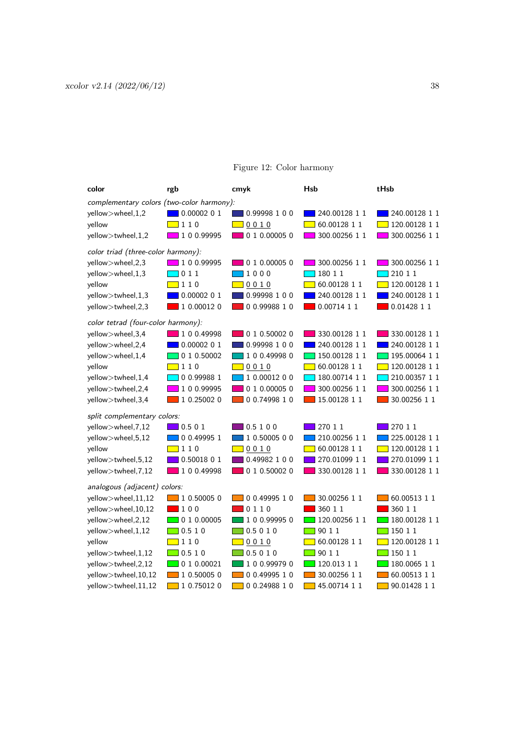| color                                     | rgb                        | cmyk             | Hsb             | tHsb                   |
|-------------------------------------------|----------------------------|------------------|-----------------|------------------------|
| complementary colors (two-color harmony): |                            |                  |                 |                        |
| yellow>wheel,1,2                          | 0.0000201                  | 0.99998 1 0 0    | 240.00128 1 1   | 240.00128 1 1          |
| yellow                                    | 110                        | 0010             | 60.00128 1 1    | 120.00128 1 1          |
| yellow>twheel,1,2                         | 100.99995                  | 0 1 0.00005 0    | 300.00256 1 1   | 300.00256 1 1          |
| color triad (three-color harmony):        |                            |                  |                 |                        |
| yellow>wheel,2,3                          | 100.99995                  | 0 1 0.00005 0    | 300.00256 1 1   | 300.00256 1 1          |
| yellow>wheel,1,3                          | 011                        | $\Box$ 1000      | 180 1 1         | 210 1 1                |
| yellow                                    | $\Box$ 1 1 0               | 0010             | 60.00128 1 1    | 120.00128 1 1          |
| yellow>twheel,1,3                         | 0.00002 0 1                | 0.99998 1 0 0    | 240.00128 1 1   | 240.00128 1 1          |
| yellow>twheel,2,3                         | 1 0.00012 0                | 0 0.99988 1 0    | 0.00714 1 1     | 0.01428 1 1            |
| color tetrad (four-color harmony):        |                            |                  |                 |                        |
| yellow>wheel,3,4                          | 100.49998                  | 0 1 0.50002 0    | 330.00128 1 1   | 330.00128 1 1          |
| yellow>wheel,2,4                          | 0.00002 0 1                | 0.99998 1 0 0    | 240.00128 1 1   | 240.00128 1 1          |
| yellow>wheel,1,4                          | 0 1 0.50002                | 100.499980       | 150.00128 1 1   | 195.00064 1 1          |
| yellow                                    | $\Box$ 1 1 0               | 0010             | 60.00128 1 1    | 120.00128 1 1          |
| yellow>twheel,1,4                         | 0 0.99988 1                | 10.0001200       | 180.00714 1 1   | 210.00357 1 1          |
| yellow>twheel,2,4                         | 100.99995                  | 0 1 0.00005 0    | 300.00256 1 1   | 300.00256 1 1          |
| yellow>twheel,3,4                         | 10.250020                  | 0 0.74998 1 0    | 15.00128 1 1    | 30.00256 1 1           |
| split complementary colors:               |                            |                  |                 |                        |
| yellow>wheel,7,12                         | 0.501                      | 0.5 1 0 0        | 270 1 1         | 270 1 1                |
| yellow>wheel,5,12                         | $\Box$ 0 0.49995 1         | 10.5000500       | 210.00256 1 1   | 225.00128 1 1          |
| yellow                                    | $\Box$ 1 1 0               |                  | 60.00128 1 1    | 120.00128 1 1          |
| yellow>twheel,5,12                        | 0.50018 0 1                | 0.49982 1 0 0    | 270.01099 1 1   | 270.01099 1 1          |
| yellow>twheel,7,12                        | 1 0 0.49998                | 0 1 0.50002 0    | 330.00128 1 1   | 330.00128 1 1          |
| analogous (adjacent) colors:              |                            |                  |                 |                        |
| yellow>wheel,11,12                        | $\blacksquare$ 1 0.50005 0 | 0 0.49995 1 0    | 30.00256 1 1    | 60.00513 1 1           |
| yellow>wheel,10,12                        | $\blacksquare$ 100         | 0110             | 360 1 1         | 360 1 1                |
| yellow>wheel,2,12                         | $\Box$ 0 1 0.00005         | 10 0.99995 0     | $120.00256$ 1 1 | 180.0012811            |
| yellow>wheel,1,12                         | $\Box$ 0.5 1 0             | $\Box$ 0.5 0 1 0 | $\Box$ 90 1 1   | $\boxed{150}$ 1 1      |
| yellow                                    | $\boxed{110}$              |                  | 60.00128 11     | $\Box$ 120.00128 1 1   |
| yellow>twheel,1,12                        | $\Box$ 0.5 1 0             | $\Box$ 0.5 0 1 0 | 9011            | $\blacksquare$ 150 1 1 |
| yellow>twheel,2,12                        | 0 1 0.00021                | 100.999790       | 120.013 1 1     | 180.0065 1 1           |
| yellow>twheel,10,12                       | 1 0.50005 0                | 0 0.49995 1 0    | 30.00256 1 1    | 60.00513 1 1           |
| yellow>twheel.11.12                       | 1 0.75012 0                | 0 0.24988 1 0    | 45.00714 1 1    | 90.01428 1 1           |

# <span id="page-37-0"></span>Figure 12: Color harmony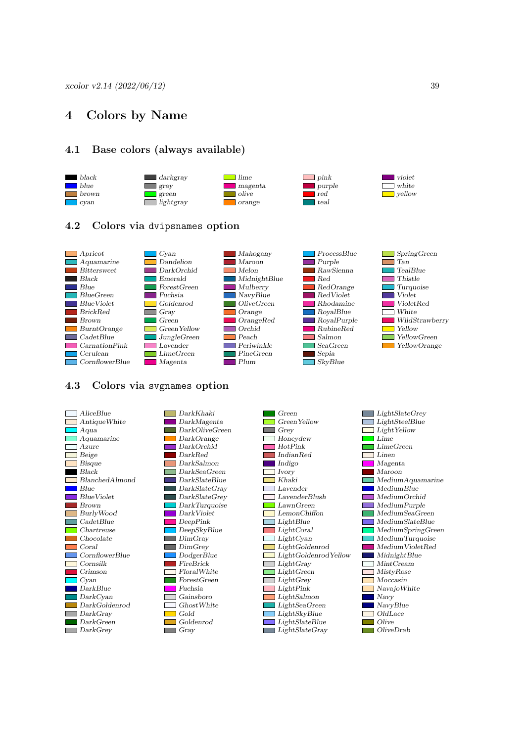# <span id="page-38-0"></span>4 Colors by Name

# <span id="page-38-1"></span>4.1 Base colors (always available)



# <span id="page-38-2"></span>4.2 Colors via dvipsnames option



# <span id="page-38-3"></span>4.3 Colors via svgnames option

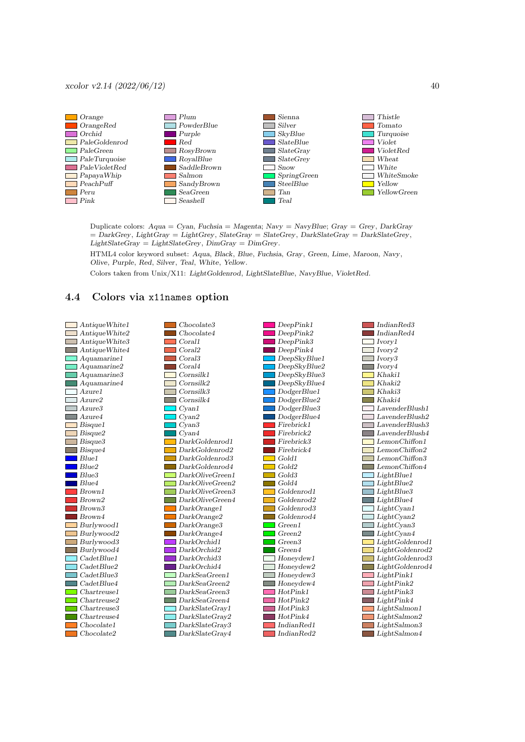

Duplicate colors: Aqua = Cyan, Fuchsia = Magenta; Navy = NavyBlue; Gray = Grey, DarkGray  $=$  DarkGrey, LightGray  $=$  LightGrey, SlateGray  $=$  SlateGrey, DarkSlateGray  $=$  DarkSlateGrey,  $LightStateGray = LightStateGrey, DimGray = DimGrey.$ 

HTML4 color keyword subset: Aqua, Black, Blue, Fuchsia, Gray, Green, Lime, Maroon, Navy, Olive, Purple, Red, Silver, Teal, White, Yellow.

<span id="page-39-0"></span>Colors taken from Unix/X11: LightGoldenrod, LightSlateBlue, NavyBlue, VioletRed.

# 4.4 Colors via x11names option

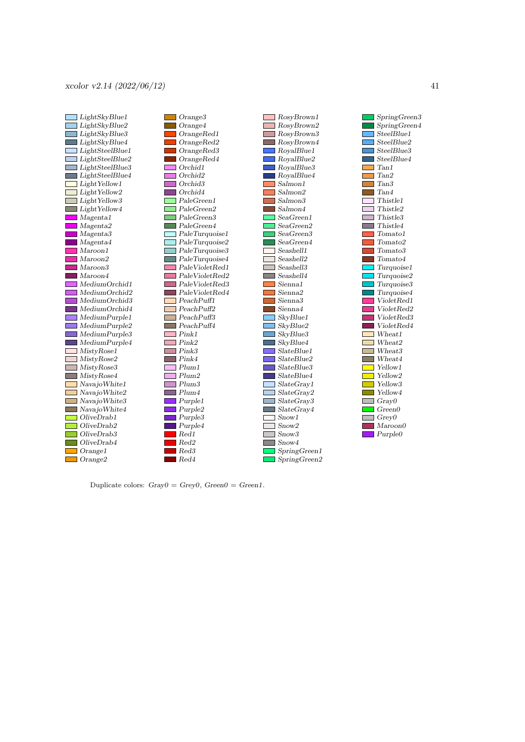

Duplicate colors:  $Grav0 = Grev0$ ,  $Green0 = Green1$ .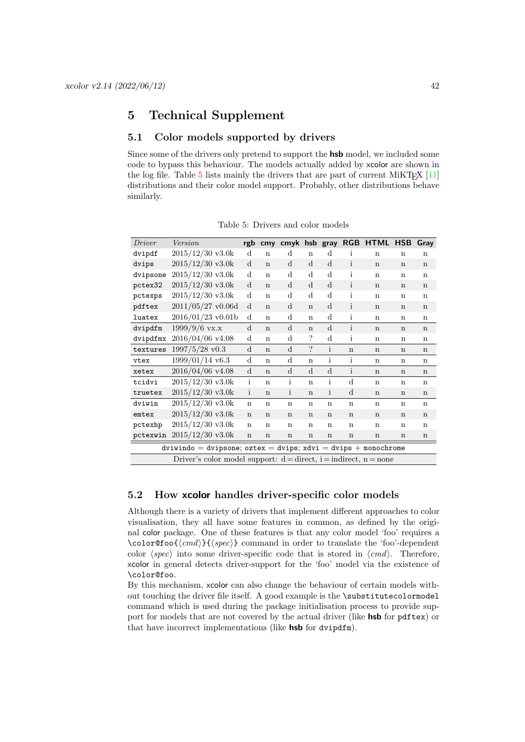# <span id="page-41-0"></span>5 Technical Supplement

# <span id="page-41-1"></span>5.1 Color models supported by drivers

Since some of the drivers only pretend to support the **hsb** model, we included some code to bypass this behaviour. The models actually added by xcolor are shown in the log file. Table [5](#page-41-3) lists mainly the drivers that are part of current MiKTEX  $[11]$ distributions and their color model support. Probably, other distributions behave similarly.

| Driver   | Version                                                                |              |             |              |                    |              |              | rgb cmy cmyk hsb gray RGB HTML HSB |             | Gray        |
|----------|------------------------------------------------------------------------|--------------|-------------|--------------|--------------------|--------------|--------------|------------------------------------|-------------|-------------|
| dvipdf   | $2015/12/30$ v3.0k                                                     | d            | $\mathbf n$ | $\rm d$      | $\mathbf n$        | $\rm d$      | i            | $\mathbf n$                        | $\mathbf n$ | n           |
| dvips    | $2015/12/30$ v3.0k                                                     | d            | $\mathbf n$ | d            | d                  | $\mathbf d$  | $\mathbf{i}$ | n                                  | $\mathbf n$ | n           |
| dvipsone | $2015/12/30$ v3.0k                                                     | $\mathbf d$  | $\mathbf n$ | $\rm d$      | $\rm d$            | d            | i            | $\mathbf n$                        | $\mathbf n$ | $\mathbf n$ |
| pctex32  | $2015/12/30$ v3.0k                                                     | d            | $\mathbf n$ | d            | d                  | d            | $\mathbf{i}$ | n                                  | $\mathbf n$ | $\mathbf n$ |
| pctexps  | $2015/12/30$ v3.0k                                                     | $\rm d$      | $\mathbf n$ | $\rm d$      | $\rm d$            | d            | $\mathbf{i}$ | $\mathbf n$                        | n           | $\mathbf n$ |
| pdftex   | $2011/05/27$ v0.06d                                                    | $\mathbf d$  | $\mathbf n$ | $\mathbf d$  | $\mathbf n$        | d            | $\mathbf{i}$ | n                                  | $\mathbf n$ | $\mathbf n$ |
| luatex   | $2016/01/23$ v0.01b                                                    | d            | $\mathbf n$ | $\rm d$      | $\mathbf n$        | d            | $\mathbf{i}$ | $\mathbf n$                        | $\mathbf n$ | $\mathbf n$ |
| dvipdfm  | $1999/9/6$ vx.x                                                        | $\mathbf d$  | $\mathbf n$ | $\mathbf d$  | $\mathbf n$        | d            | $\mathbf{i}$ | n                                  | $\mathbf n$ | $\mathbf n$ |
| dvipdfmx | $2016/04/06$ v4.08                                                     | $\rm d$      | $\mathbf n$ | d            | ?                  | $\rm d$      | $\mathbf{i}$ | $\mathbf n$                        | $\mathbf n$ | $\mathbf n$ |
| textures | $1997/5/28$ v0.3                                                       | $\mathbf d$  | $\mathbf n$ | $\mathbf d$  | $\overline{\cdot}$ | $\mathbf{i}$ | $\mathbf n$  | $\mathbf n$                        | $\mathbf n$ | $\mathbf n$ |
| vtex     | $1999/01/14$ v6.3                                                      | $\mathbf d$  | $\mathbf n$ | $\rm d$      | $\mathbf n$        | $\mathbf{i}$ | $\mathbf{i}$ | $\mathbf n$                        | n           | n           |
| xetex    | 2016/04/06 v4.08                                                       | $\mathbf d$  | $\mathbf n$ | $\mathbf d$  | $\mathbf d$        | d            | $\mathbf{i}$ | $\mathbf n$                        | $\mathbf n$ | $\mathbf n$ |
| tcidvi   | $2015/12/30$ v3.0k                                                     | i            | $\mathbf n$ | i            | $\mathbf n$        | $\mathbf{i}$ | d            | $\mathbf n$                        | $\mathbf n$ | $\mathbf n$ |
| truetex  | $2015/12/30$ v3.0k                                                     | $\mathbf{i}$ | $\mathbf n$ | $\mathbf{i}$ | $\bf n$            | $\mathbf{i}$ | $\mathbf d$  | $\mathbf n$                        | $\mathbf n$ | $\mathbf n$ |
| dviwin   | $2015/12/30$ v3.0k                                                     | $\mathbf n$  | n           | $\mathbf n$  | $\mathbf n$        | $\mathbf n$  | $\mathbf n$  | $\mathbf n$                        | n           | $\mathbf n$ |
| emtex    | $2015/12/30$ v3.0k                                                     | $\mathbf n$  | $\mathbf n$ | $\mathbf n$  | $\mathbf n$        | n            | n            | n                                  | $\mathbf n$ | $\mathbf n$ |
| pctexhp  | $2015/12/30$ v3.0k                                                     | $\mathbf n$  | $\mathbf n$ | $\mathbf n$  | $\mathbf n$        | $\mathbf n$  | $\mathbf n$  | $\mathbf n$                        | $\mathbf n$ | $\mathbf n$ |
| pctexwin | $2015/12/30$ v3.0k                                                     | $\bf n$      | $\mathbf n$ | $\bf n$      | $\bf n$            | $\bf n$      | $\mathbf n$  | $\mathbf n$                        | $\mathbf n$ | $\bf n$     |
|          | dviwindo = dvipsone; oztex = dvips; xdvi = dvips + monochrome          |              |             |              |                    |              |              |                                    |             |             |
|          | Driver's color model support: $d =$ direct, $i =$ indirect, $n =$ none |              |             |              |                    |              |              |                                    |             |             |

<span id="page-41-3"></span>Table 5: Drivers and color models

# <span id="page-41-2"></span>5.2 How xcolor handles driver-specific color models

Although there is a variety of drivers that implement different approaches to color visualisation, they all have some features in common, as defined by the original color package. One of these features is that any color model 'foo' requires a \color@foo{⟨cmd⟩}{⟨spec⟩} command in order to translate the 'foo'-dependent color  $\langle spec \rangle$  into some driver-specific code that is stored in  $\langle cmd \rangle$ . Therefore, xcolor in general detects driver-support for the 'foo' model via the existence of \color@foo.

By this mechanism, xcolor can also change the behaviour of certain models without touching the driver file itself. A good example is the \substitutecolormodel command which is used during the package initialisation process to provide support for models that are not covered by the actual driver (like **hsb** for pdftex) or that have incorrect implementations (like **hsb** for dvipdfm).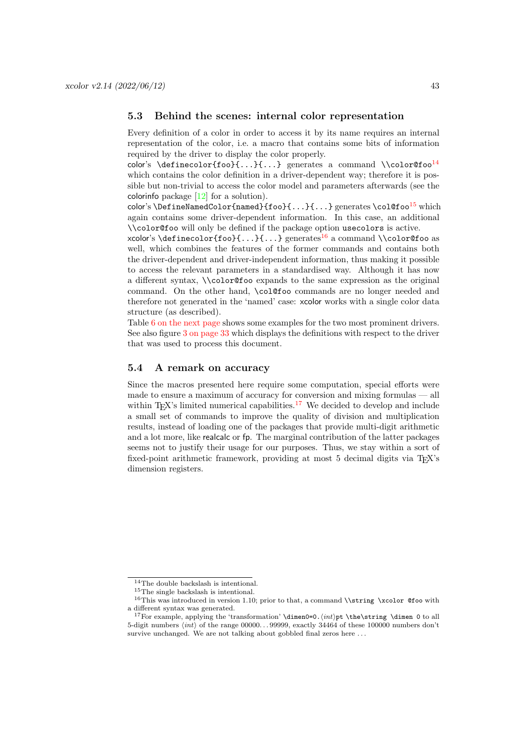# <span id="page-42-0"></span>5.3 Behind the scenes: internal color representation

Every definition of a color in order to access it by its name requires an internal representation of the color, i.e. a macro that contains some bits of information required by the driver to display the color properly.

color's \definecolor{foo}{...}{...} generates a command \\color@foo<sup>[14](#page-42-2)</sup> which contains the color definition in a driver-dependent way; therefore it is possible but non-trivial to access the color model and parameters afterwards (see the colorinfo package  $[12]$  for a solution).

color's \DefineNamedColor{named}{foo}{...}{...} generates \col@foo<sup>[15](#page-42-3)</sup> which again contains some driver-dependent information. In this case, an additional \\color@foo will only be defined if the package option usecolors is active.

xcolor's \definecolor{foo}{...}{...} generates<sup>[16](#page-42-4)</sup> a command \\color@foo as well, which combines the features of the former commands and contains both the driver-dependent and driver-independent information, thus making it possible to access the relevant parameters in a standardised way. Although it has now a different syntax, \\color@foo expands to the same expression as the original command. On the other hand, \col@foo commands are no longer needed and therefore not generated in the 'named' case: xcolor works with a single color data structure (as described).

Table [6 on the next page](#page-43-0) shows some examples for the two most prominent drivers. See also figure [3 on page 33](#page-32-0) which displays the definitions with respect to the driver that was used to process this document.

# <span id="page-42-1"></span>5.4 A remark on accuracy

Since the macros presented here require some computation, special efforts were made to ensure a maximum of accuracy for conversion and mixing formulas — all within T<sub>E</sub>X's limited numerical capabilities.<sup>[17](#page-42-5)</sup> We decided to develop and include a small set of commands to improve the quality of division and multiplication results, instead of loading one of the packages that provide multi-digit arithmetic and a lot more, like realcalc or fp. The marginal contribution of the latter packages seems not to justify their usage for our purposes. Thus, we stay within a sort of fixed-point arithmetic framework, providing at most 5 decimal digits via TFX's dimension registers.

<span id="page-42-2"></span><sup>14</sup>The double backslash is intentional.

<span id="page-42-4"></span><span id="page-42-3"></span> $^{15}\mathrm{The}$  single backslash is intentional.

 $^{16}$ This was introduced in version 1.10; prior to that, a command **\\string \xcolor @foo** with a different syntax was generated.

<span id="page-42-5"></span><sup>&</sup>lt;sup>17</sup>For example, applying the 'transformation' \dimen0=0. $\int$ pt \the\string \dimen 0 to all 5-digit numbers  $\langle int \rangle$  of the range 00000...99999, exactly 34464 of these 100000 numbers don't survive unchanged. We are not talking about gobbled final zeros here ...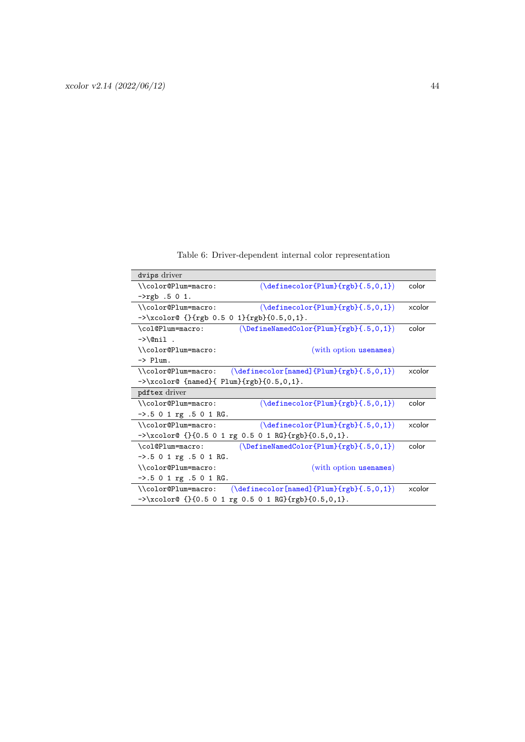<span id="page-43-0"></span>Table 6: Driver-dependent internal color representation

| dvips driver                                                                    |                                                                                       |        |  |  |  |  |  |
|---------------------------------------------------------------------------------|---------------------------------------------------------------------------------------|--------|--|--|--|--|--|
| \\color@Plum=macro:                                                             | $(\definecolor{Plum}{rgb}{.5,0,1})$                                                   | color  |  |  |  |  |  |
| $-$ >rgb .5 0 1.                                                                |                                                                                       |        |  |  |  |  |  |
| \\color@Plum=macro:                                                             | $(\definecolor{Plum}{rgb}{.5,0,1})$                                                   | xcolor |  |  |  |  |  |
| $-\lambda x \cdot 0 \cdot 0 \cdot {\text{rgb } 0.5 0 1} {\text{rgb}(0.5,0,1)}.$ |                                                                                       |        |  |  |  |  |  |
| \col@Plum=macro:                                                                | $(\Delta)$ ( $\Delta$ ) $\{rgb\}$ { $.5, 0, 1$ }                                      | color  |  |  |  |  |  |
| $-\lambda$ $\theta$ nil.                                                        |                                                                                       |        |  |  |  |  |  |
| \\color@Plum=macro:                                                             | (with option usenames)                                                                |        |  |  |  |  |  |
| $\rightarrow$ Plum.                                                             |                                                                                       |        |  |  |  |  |  |
| \\color@Plum=macro:                                                             | $(\definecolor[named]{\text{Plum}}{rgb}{.5,0,1})$                                     | xcolor |  |  |  |  |  |
| $-\lambda \xcdot 0$ {named}{ Plum}{rgb}{0.5,0,1}.                               |                                                                                       |        |  |  |  |  |  |
| pdftex driver                                                                   |                                                                                       |        |  |  |  |  |  |
| \\color@Plum=macro:                                                             | $(\definecolor{Plum}{rgb}{.5,0,1})$                                                   | color  |  |  |  |  |  |
| $-$ >.5 0 1 rg .5 0 1 RG.                                                       |                                                                                       |        |  |  |  |  |  |
| \\color@Plum=macro:                                                             | $(\definecolor{Plum}{rgb}{.5,0,1})$                                                   | xcolor |  |  |  |  |  |
|                                                                                 | $-\lambda x \cdot 0$ or ( $\{0.5 \ 0 \ 1 \ r g \ 0.5 \ 0 \ 1 \ R G\}$ {rgb}{0.5,0,1}. |        |  |  |  |  |  |
| \col@Plum=macro:                                                                | $(\Delta)$ ( $\Delta$ ) ( $\Delta$ ) $\{rgb\}$ (.5,0,1})                              | color  |  |  |  |  |  |
| $-$ >.5 0 1 rg .5 0 1 RG.                                                       |                                                                                       |        |  |  |  |  |  |
| \\color@Plum=macro:                                                             | (with option usenames)                                                                |        |  |  |  |  |  |
| $-$ >.5 0 1 rg .5 0 1 RG.                                                       |                                                                                       |        |  |  |  |  |  |
| \\color@Plum=macro:                                                             | $(\definecolor[named]{\text{Plum}}{rgb}{.5,0,1})$                                     | xcolor |  |  |  |  |  |
|                                                                                 | $\rightarrow$ \xcolor@ {}{0.5 0 1 rg 0.5 0 1 RG}{rgb}{0.5,0,1}.                       |        |  |  |  |  |  |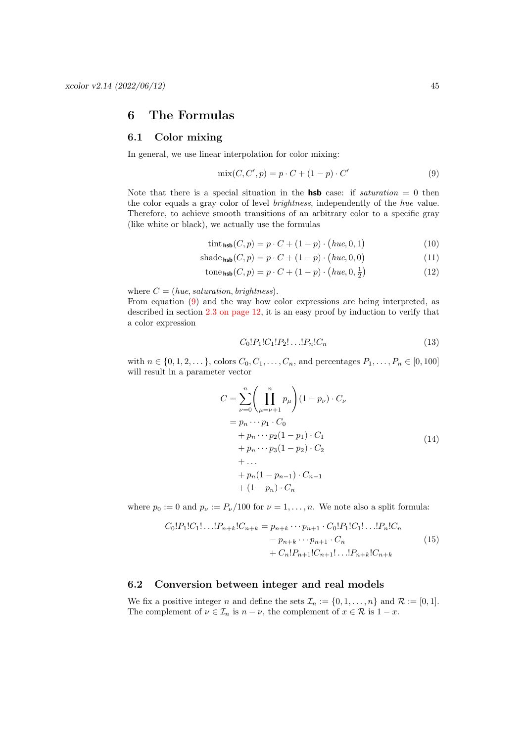# <span id="page-44-0"></span>6 The Formulas

# <span id="page-44-1"></span>6.1 Color mixing

In general, we use linear interpolation for color mixing:

<span id="page-44-3"></span>
$$
\text{mix}(C, C', p) = p \cdot C + (1 - p) \cdot C'
$$
\n(9)

Note that there is a special situation in the **hsb** case: if *saturation* = 0 then the color equals a gray color of level brightness, independently of the hue value. Therefore, to achieve smooth transitions of an arbitrary color to a specific gray (like white or black), we actually use the formulas

$$
\operatorname{tint}_{\text{hsb}}(C, p) = p \cdot C + (1 - p) \cdot \left( hue, 0, 1 \right) \tag{10}
$$

$$
\operatorname{shade}_{\mathsf{hsb}}(C, p) = p \cdot C + (1 - p) \cdot \big( hue, 0, 0 \big) \tag{11}
$$

$$
\text{tone}_{\text{hsb}}(C, p) = p \cdot C + (1 - p) \cdot \left( hue, 0, \frac{1}{2} \right) \tag{12}
$$

where  $C = (hue, saturation, brightness)$ .

From equation [\(9\)](#page-44-3) and the way how color expressions are being interpreted, as described in section [2.3 on page 12,](#page-11-0) it is an easy proof by induction to verify that a color expression

$$
C_0!P_1!C_1!P_2!\dots!P_n!C_n\tag{13}
$$

with  $n \in \{0, 1, 2, \ldots\}$ , colors  $C_0, C_1, \ldots, C_n$ , and percentages  $P_1, \ldots, P_n \in [0, 100]$ will result in a parameter vector

$$
C = \sum_{\nu=0}^{n} \left( \prod_{\mu=\nu+1}^{n} p_{\mu} \right) (1 - p_{\nu}) \cdot C_{\nu}
$$
  
=  $p_n \cdots p_1 \cdot C_0$   
+  $p_n \cdots p_2 (1 - p_1) \cdot C_1$   
+  $p_n \cdots p_3 (1 - p_2) \cdot C_2$   
+ ...  
+  $p_n (1 - p_{n-1}) \cdot C_{n-1}$   
+  $(1 - p_n) \cdot C_n$  (14)

where  $p_0 := 0$  and  $p_\nu := P_\nu/100$  for  $\nu = 1, \ldots, n$ . We note also a split formula:

$$
C_0!P_1!C_1!\dots!P_{n+k}!C_{n+k} = p_{n+k}\cdots p_{n+1} \cdot C_0!P_1!C_1!\dots!P_n!C_n
$$
  

$$
- p_{n+k}\cdots p_{n+1} \cdot C_n
$$
  

$$
+ C_n!P_{n+1}!C_{n+1}!\dots!P_{n+k}!C_{n+k}
$$
  
(15)

# <span id="page-44-2"></span>6.2 Conversion between integer and real models

We fix a positive integer n and define the sets  $\mathcal{I}_n := \{0, 1, \ldots, n\}$  and  $\mathcal{R} := [0, 1]$ . The complement of  $\nu \in \mathcal{I}_n$  is  $n - \nu$ , the complement of  $x \in \mathcal{R}$  is  $1 - x$ .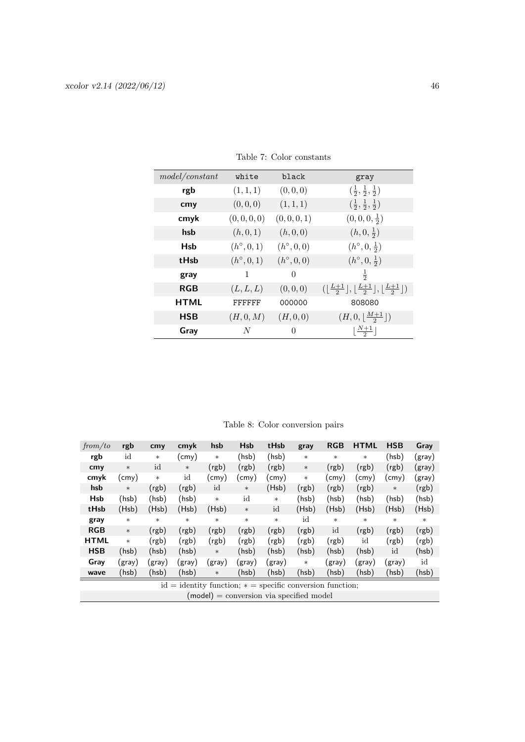| model/constant | white               | black               | gray                                                                                            |
|----------------|---------------------|---------------------|-------------------------------------------------------------------------------------------------|
| rgb            | (1, 1, 1)           | (0,0,0)             | $(\frac{1}{2},\frac{1}{2},\frac{1}{2})$                                                         |
| cmy            | (0, 0, 0)           | (1, 1, 1)           | $(\frac{1}{2}, \frac{1}{2}, \frac{1}{2})$                                                       |
| cmyk           | (0, 0, 0, 0)        | (0, 0, 0, 1)        | $(0,0,0,\frac{1}{2})$                                                                           |
| hsb            | (h, 0, 1)           | (h, 0, 0)           | $(h, 0, \frac{1}{2})$                                                                           |
| <b>Hsb</b>     | $(h^{\circ}, 0, 1)$ | $(h^{\circ}, 0, 0)$ | $(h^{\circ}, 0, \frac{1}{2})$                                                                   |
| tHsb           | $(h^{\circ}, 0, 1)$ | $(h^{\circ}, 0, 0)$ | $(h^{\circ}, 0, \frac{1}{2})$                                                                   |
| gray           | 1                   | $\Omega$            | $\frac{1}{2}$                                                                                   |
| <b>RGB</b>     | (L, L, L)           | (0,0,0)             | $(\lfloor \frac{L+1}{2} \rfloor, \lfloor \frac{L+1}{2} \rfloor, \lfloor \frac{L+1}{2} \rfloor)$ |
| <b>HTML</b>    | FFFFFF              | 000000              | 808080                                                                                          |
| <b>HSB</b>     | (H,0,M)             | (H, 0, 0)           | $(H,0,\lfloor \frac{M+1}{2}\rfloor)$                                                            |
| Gray           | N                   | 0                   | $\lfloor \frac{N+1}{2} \rfloor$                                                                 |

<span id="page-45-0"></span>Table 7: Color constants

<span id="page-45-1"></span>Table 8: Color conversion pairs

| from/to                                  | rgb    | cmy    | cmyk   | hsb    | <b>Hsb</b> | tHsb                                                        | gray   | <b>RGB</b> | <b>HTML</b> | <b>HSB</b> | Gray   |
|------------------------------------------|--------|--------|--------|--------|------------|-------------------------------------------------------------|--------|------------|-------------|------------|--------|
| rgb                                      | id     | $\ast$ | (cmy)  | $\ast$ | (hsb)      | (hsb)                                                       | $\ast$ | $\ast$     | $\ast$      | (hsb)      | (gray) |
| cmy                                      | $\ast$ | id     | $\ast$ | (rgb)  | (rgb)      | (rgb)                                                       | $\ast$ | (rgb)      | (rgb)       | (rgb)      | (gray) |
| cmyk                                     | (cmy)  | $\ast$ | id     | (cmy)  | (cmy)      | (cmy)                                                       | $\ast$ | (cmy)      | (cmy)       | (cmy)      | (gray) |
| hsb                                      | $\ast$ | (rgb)  | (rgb)  | id     | $\ast$     | (Hsb)                                                       | (rgb)  | (rgb)      | (rgb)       | $\ast$     | (rgb)  |
| Hsb                                      | (hsb)  | (hsb)  | (hsb)  | $\ast$ | id         | $\ast$                                                      | (hsb)  | (hsb)      | (hsb)       | (hsb)      | (hsb)  |
| tHsb                                     | (Hsb)  | (Hsb)  | (Hsb)  | (Hsb)  | $\ast$     | id                                                          | (Hsb)  | (Hsb)      | (Hsb)       | (Hsb)      | (Hsb)  |
| gray                                     | $\ast$ | $\ast$ | $\ast$ | $\ast$ | $\ast$     | $\ast$                                                      | id     | $\ast$     | $\ast$      | $\ast$     | $\ast$ |
| <b>RGB</b>                               | $\ast$ | (rgb)  | (rgb)  | (rgb)  | (rgb)      | (rgb)                                                       | (rgb)  | id         | (rgb)       | (rgb)      | (rgb)  |
| <b>HTML</b>                              | $\ast$ | (rgb)  | (rgb)  | (rgb)  | (rgb)      | (rgb)                                                       | (rgb)  | (rgb)      | id          | (rgb)      | (rgb)  |
| <b>HSB</b>                               | (hsb)  | (hsb)  | (hsb)  | $\ast$ | (hsb)      | (hsb)                                                       | (hsb)  | (hsb)      | (hsb)       | id         | (hsb)  |
| Gray                                     | (gray) | (gray) | (gray) | (gray) | (gray)     | (gray)                                                      | $\ast$ | (gray)     | (gray)      | (gray)     | id     |
| wave                                     | (hsb)  | (hsb)  | (hsb)  | $\ast$ | (hsb)      | (hsb)                                                       | (hsb)  | (hsb)      | (hsb)       | (hsb)      | (hsb)  |
|                                          |        |        |        |        |            | $id = identity function; * = specific conversion function;$ |        |            |             |            |        |
| (model) = conversion via specified model |        |        |        |        |            |                                                             |        |            |             |            |        |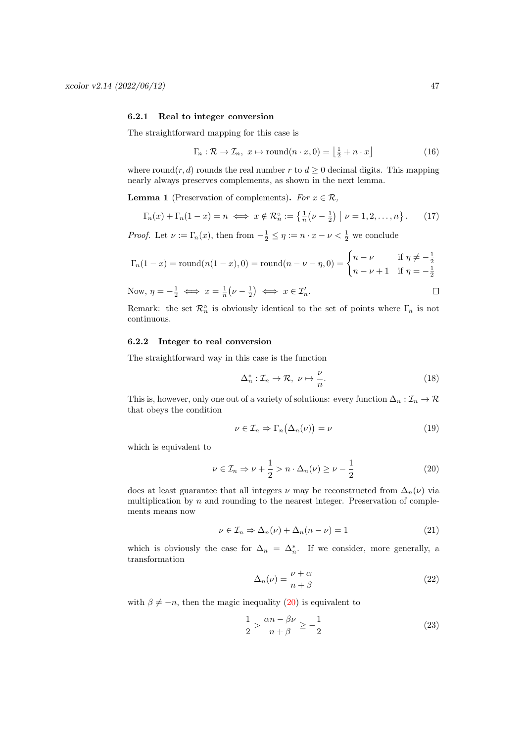#### <span id="page-46-0"></span>6.2.1 Real to integer conversion

The straightforward mapping for this case is

$$
\Gamma_n: \mathcal{R} \to \mathcal{I}_n, \ x \mapsto \text{round}(n \cdot x, 0) = \left\lfloor \frac{1}{2} + n \cdot x \right\rfloor \tag{16}
$$

where round(r, d) rounds the real number r to  $d \geq 0$  decimal digits. This mapping nearly always preserves complements, as shown in the next lemma.

**Lemma 1** (Preservation of complements). For  $x \in \mathcal{R}$ ,

$$
\Gamma_n(x) + \Gamma_n(1-x) = n \iff x \notin \mathcal{R}_n^\circ := \left\{ \frac{1}{n} \left( \nu - \frac{1}{2} \right) \middle| \nu = 1, 2, \dots, n \right\}.
$$
 (17)

*Proof.* Let  $\nu := \Gamma_n(x)$ , then from  $-\frac{1}{2} \leq \eta := n \cdot x - \nu < \frac{1}{2}$  we conclude

$$
\Gamma_n(1-x) = \text{round}(n(1-x), 0) = \text{round}(n - \nu - \eta, 0) = \begin{cases} n - \nu & \text{if } \eta \neq -\frac{1}{2} \\ n - \nu + 1 & \text{if } \eta = -\frac{1}{2} \end{cases}
$$

Now,  $\eta = -\frac{1}{2} \iff x = \frac{1}{n}(\nu - \frac{1}{2}) \iff x \in \mathcal{I}'_n$ .

Remark: the set  $\mathcal{R}_n^{\circ}$  is obviously identical to the set of points where  $\Gamma_n$  is not continuous.

# <span id="page-46-1"></span>6.2.2 Integer to real conversion

The straightforward way in this case is the function

$$
\Delta_n^* : \mathcal{I}_n \to \mathcal{R}, \ \nu \mapsto \frac{\nu}{n}.\tag{18}
$$

This is, however, only one out of a variety of solutions: every function  $\Delta_n : \mathcal{I}_n \to \mathcal{R}$ that obeys the condition

$$
\nu \in \mathcal{I}_n \Rightarrow \Gamma_n(\Delta_n(\nu)) = \nu \tag{19}
$$

which is equivalent to

$$
\nu \in \mathcal{I}_n \Rightarrow \nu + \frac{1}{2} > n \cdot \Delta_n(\nu) \ge \nu - \frac{1}{2}
$$
 (20)

does at least guarantee that all integers  $\nu$  may be reconstructed from  $\Delta_n(\nu)$  via multiplication by  $n$  and rounding to the nearest integer. Preservation of complements means now

$$
\nu \in \mathcal{I}_n \Rightarrow \Delta_n(\nu) + \Delta_n(n - \nu) = 1 \tag{21}
$$

which is obviously the case for  $\Delta_n = \Delta_n^*$ . If we consider, more generally, a transformation

$$
\Delta_n(\nu) = \frac{\nu + \alpha}{n + \beta} \tag{22}
$$

with  $\beta \neq -n$ , then the magic inequality [\(20\)](#page-46-2) is equivalent to

$$
\frac{1}{2} > \frac{\alpha n - \beta \nu}{n + \beta} \ge -\frac{1}{2} \tag{23}
$$

<span id="page-46-2"></span> $\Box$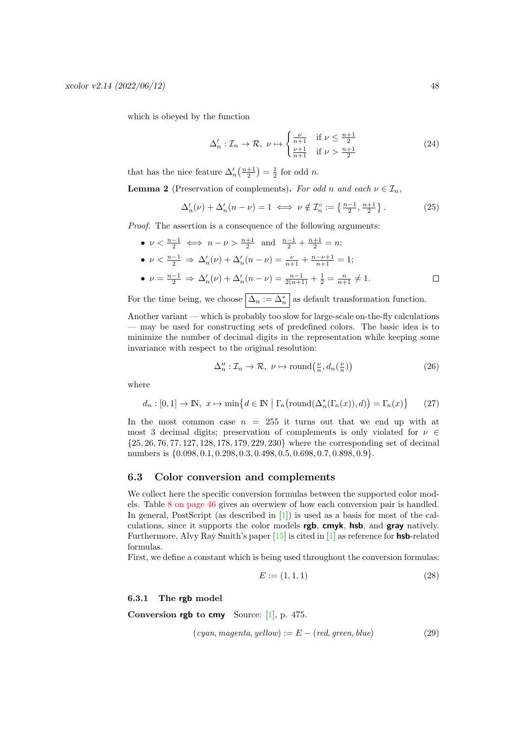which is obeyed by the function

$$
\Delta'_n: \mathcal{I}_n \to \mathcal{R}, \ \nu \mapsto \begin{cases} \frac{\nu}{n+1} & \text{if } \nu \le \frac{n+1}{2} \\ \frac{\nu+1}{n+1} & \text{if } \nu > \frac{n+1}{2} \end{cases} \tag{24}
$$

that has the nice feature  $\Delta'_n\left(\frac{n+1}{2}\right) = \frac{1}{2}$  for odd *n*.

**Lemma 2** (Preservation of complements). For odd n and each  $\nu \in \mathcal{I}_n$ ,

$$
\Delta'_n(\nu) + \Delta'_n(n-\nu) = 1 \iff \nu \notin \mathcal{I}_n^\circ := \left\{ \frac{n-1}{2}, \frac{n+1}{2} \right\}. \tag{25}
$$

Proof. The assertion is a consequence of the following arguments:

- $\nu < \frac{n-1}{2} \iff n \nu > \frac{n+1}{2}$  and  $\frac{n-1}{2} + \frac{n+1}{2} = n$ ;
- $\nu < \frac{n-1}{2} \Rightarrow \Delta'_n(\nu) + \Delta'_n(n-\nu) = \frac{\nu}{n+1} + \frac{n-\nu+1}{n+1} = 1;$

• 
$$
\nu = \frac{n-1}{2} \implies \Delta'_n(\nu) + \Delta'_n(n-\nu) = \frac{n-1}{2(n+1)} + \frac{1}{2} = \frac{n}{n+1} \neq 1.
$$

For the time being, we choose  $\left|\Delta_n := \Delta_n^*\right|$  as default transformation function.

Another variant — which is probably too slow for large-scale on-the-fly calculations — may be used for constructing sets of predefined colors. The basic idea is to minimize the number of decimal digits in the representation while keeping some invariance with respect to the original resolution:

$$
\Delta_n'' : \mathcal{I}_n \to \mathcal{R}, \ \nu \mapsto \text{round}\left(\frac{\nu}{n}, d_n\left(\frac{\nu}{n}\right)\right) \tag{26}
$$

where

$$
d_n: [0,1] \to \mathbb{N}, \ x \mapsto \min\{d \in \mathbb{N} \mid \Gamma_n(\text{round}(\Delta_n^*(\Gamma_n(x)), d)) = \Gamma_n(x)\} \tag{27}
$$

In the most common case  $n = 255$  it turns out that we end up with at most 3 decimal digits; preservation of complements is only violated for  $\nu \in$ {25, 26, 76, 77, 127, 128, 178, 179, 229, 230} where the corresponding set of decimal numbers is  $\{0.098, 0.1, 0.298, 0.3, 0.498, 0.5, 0.698, 0.7, 0.898, 0.9\}.$ 

# <span id="page-47-0"></span>6.3 Color conversion and complements

We collect here the specific conversion formulas between the supported color models. Table [8 on page 46](#page-45-1) gives an overwiew of how each conversion pair is handled. In general, PostScript (as described in [\[1\]](#page-57-4)) is used as a basis for most of the calculations, since it supports the color models rgb, cmyk, hsb, and gray natively. Furthermore, Alvy Ray Smith's paper  $[15]$  is cited in  $[1]$  as reference for **hsb**-related formulas.

First, we define a constant which is being used throughout the conversion formulas:

$$
E := (1, 1, 1) \tag{28}
$$

# <span id="page-47-1"></span>6.3.1 The rgb model

<span id="page-47-2"></span>Conversion rgb to cmy Source:  $[1]$ , p. 475.

$$
(cyan, magenta, yellow) := E - (red, green, blue)
$$
\n
$$
(29)
$$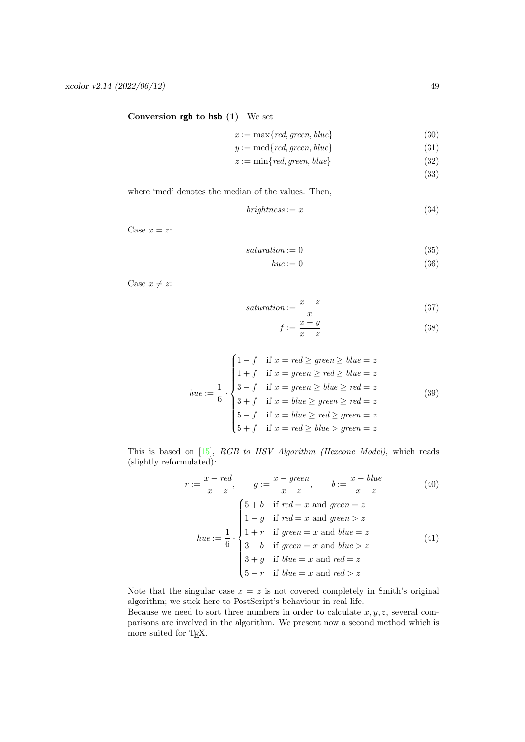Conversion rgb to hsb (1) We set

$$
x := \max\{red, green, blue\} \tag{30}
$$

$$
y := \text{med}\{red, green, blue\} \tag{31}
$$

- $z := \min\{red, green, blue\}$  (32)
	- (33)

where 'med' denotes the median of the values. Then,

 $\overline{\phantom{a}}$ 

$$
brightness := x \tag{34}
$$

Case  $x = z$ :

$$
saturation := 0 \tag{35}
$$

$$
hue := 0 \tag{36}
$$

Case 
$$
x \neq z
$$
:

$$
saturation := \frac{x - z}{x} \tag{37}
$$

<span id="page-48-0"></span>
$$
f := \frac{x - y}{x - z} \tag{38}
$$

$$
hue := \frac{1}{6} \cdot \begin{cases} 1 - f & \text{if } x = red \ge \text{green} \ge \text{blue} = z \\ 1 + f & \text{if } x = \text{green} \ge \text{red} \ge \text{blue} = z \\ 3 - f & \text{if } x = \text{green} \ge \text{blue} \ge \text{red} = z \\ 3 + f & \text{if } x = \text{blue} \ge \text{green} \ge \text{red} = z \\ 5 - f & \text{if } x = \text{blue} \ge \text{red} \ge \text{green} = z \\ 5 + f & \text{if } x = \text{red} \ge \text{blue} > \text{green} = z \end{cases} \tag{39}
$$

This is based on [\[15\]](#page-57-1), RGB to HSV Algorithm (Hexcone Model), which reads (slightly reformulated):

$$
r := \frac{x - red}{x - z}, \qquad g := \frac{x - green}{x - z}, \qquad b := \frac{x - blue}{x - z} \tag{40}
$$

$$
hue := \frac{1}{6} \cdot \begin{cases} 5+b & \text{if } red=x \text{ and } green=z \\ 1-g & \text{if } red=x \text{ and } green>z \\ 1+r & \text{if } green=x \text{ and } blue=z \\ 3-b & \text{if } green=x \text{ and } blue>z \\ 3+g & \text{if } blue=x \text{ and } red=z \\ 5-r & \text{if } blue=x \text{ and } red>z \end{cases} \tag{41}
$$

Note that the singular case  $x = z$  is not covered completely in Smith's original algorithm; we stick here to PostScript's behaviour in real life.

Because we need to sort three numbers in order to calculate  $x, y, z$ , several comparisons are involved in the algorithm. We present now a second method which is more suited for T<sub>E</sub>X.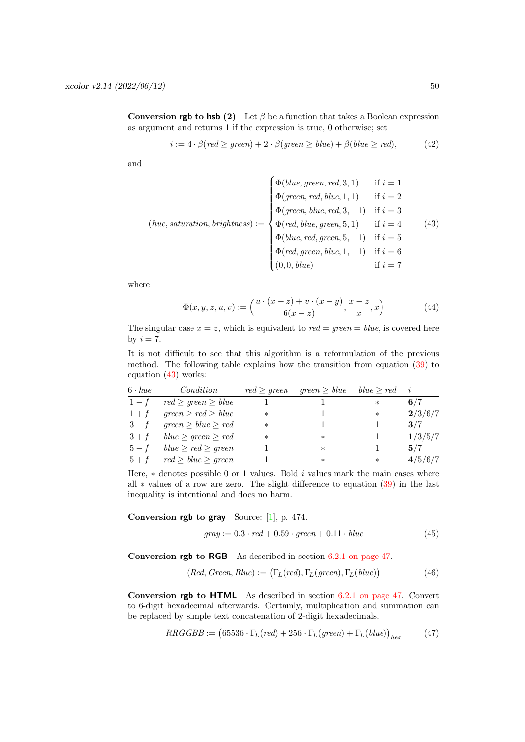Conversion rgb to hsb (2) Let  $\beta$  be a function that takes a Boolean expression as argument and returns 1 if the expression is true, 0 otherwise; set

$$
i := 4 \cdot \beta (red \ge green) + 2 \cdot \beta (green \ge blue) + \beta (blue \ge red), \tag{42}
$$

and

$$
(hue, saturation, brightness) := \begin{cases} \Phi(blue, green, red, 3, 1) & \text{if } i = 1 \\ \Phi(green, red, blue, 1, 1) & \text{if } i = 2 \\ \Phi(green, blue, red, 3, -1) & \text{if } i = 3 \\ \Phi(\text{red, blue, green, 5, 1}) & \text{if } i = 4 \\ \Phi(blue, red, green, 5, -1) & \text{if } i = 5 \\ \Phi(\text{red, green, blue, 1, -1}) & \text{if } i = 6 \\ (0, 0, blue) & \text{if } i = 7 \end{cases}
$$
(43)

where

<span id="page-49-0"></span>
$$
\Phi(x, y, z, u, v) := \left(\frac{u \cdot (x - z) + v \cdot (x - y)}{6(x - z)}, \frac{x - z}{x}, x\right)
$$
(44)

The singular case  $x = z$ , which is equivalent to  $red = green = blue$ , is covered here by  $i = 7$ .

It is not difficult to see that this algorithm is a reformulation of the previous method. The following table explains how the transition from equation [\(39\)](#page-48-0) to equation [\(43\)](#page-49-0) works:

| $6 \cdot hue$ | Condition                | red > green | $green \ge blue$ | blue > red | $\dot{i}$ |
|---------------|--------------------------|-------------|------------------|------------|-----------|
| $1-f$         | $red \ge green \ge blue$ |             |                  | $\ast$     | 6/7       |
| $1+f$         | $green \ge red \ge blue$ | $\ast$      |                  | $\ast$     | 2/3/6/7   |
| $3-f$         | $green \ge blue \ge red$ | $\ast$      |                  |            | 3/7       |
| $3+f$         | $blue \ge green \ge red$ | $\ast$      | $\ast$           |            | 1/3/5/7   |
| $5-f$         | $blue \ge red \ge green$ |             | $\ast$           |            | 5/7       |
| $5+f$         | $red \ge blue \ge green$ |             | $\ast$           | $^\ast$    | 4/5/6/7   |

Here,  $*$  denotes possible 0 or 1 values. Bold  $i$  values mark the main cases where all ∗ values of a row are zero. The slight difference to equation [\(39\)](#page-48-0) in the last inequality is intentional and does no harm.

Conversion rgb to gray Source: [\[1\]](#page-57-4), p. 474.

$$
gray := 0.3 \cdot red + 0.59 \cdot green + 0.11 \cdot blue \tag{45}
$$

Conversion rgb to RGB As described in section [6.2.1 on page 47.](#page-46-0)

$$
(Red, Green, Blue) := (\Gamma_L (red), \Gamma_L (green), \Gamma_L (blue))
$$
\n(46)

Conversion rgb to HTML As described in section [6.2.1 on page 47.](#page-46-0) Convert to 6-digit hexadecimal afterwards. Certainly, multiplication and summation can be replaced by simple text concatenation of 2-digit hexadecimals.

$$
RRGGBB := (65536 \cdot \Gamma_L (red) + 256 \cdot \Gamma_L (green) + \Gamma_L (blue))_{hex}
$$
 (47)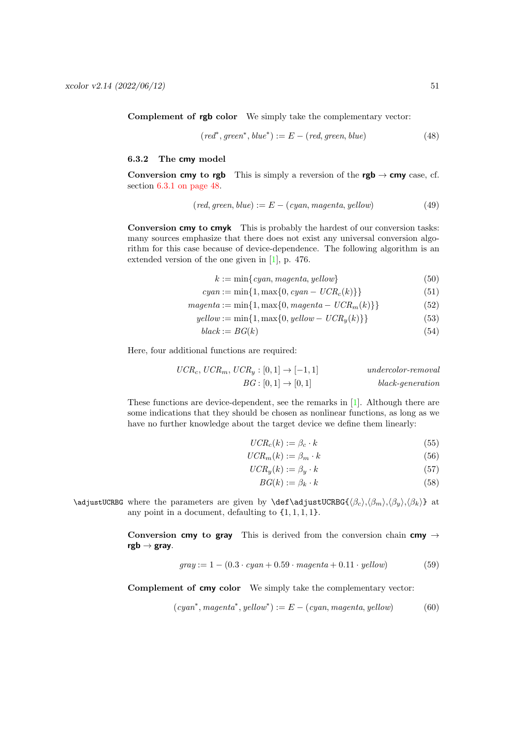Complement of rgb color We simply take the complementary vector:

$$
(red^*, green^*, blue^*) := E - (red, green, blue)
$$
\n
$$
(48)
$$

# <span id="page-50-0"></span>6.3.2 The cmy model

**Conversion cmy to rgb** This is simply a reversion of the **rgb**  $\rightarrow$  cmy case, cf. section [6.3.1 on page 48.](#page-47-2)

$$
(red, green, blue) := E - (cyan, magenta, yellow)
$$
\n
$$
(49)
$$

<span id="page-50-1"></span>Conversion cmy to cmyk This is probably the hardest of our conversion tasks: many sources emphasize that there does not exist any universal conversion algorithm for this case because of device-dependence. The following algorithm is an extended version of the one given in [\[1\]](#page-57-4), p. 476.

$$
k := \min\{cyan, magnta, yellow\} \tag{50}
$$

$$
cyan := \min\{1, \max\{0, cyan - UCR_c(k)\}\}\tag{51}
$$

$$
magenta := \min\{1, \max\{0, \text{magenta} - UCR_m(k)\}\}\tag{52}
$$

 $yellow := min\{1, max\{0, yellow - UCR<sub>v</sub>(k)\}\}\$  (53)

$$
black := BG(k) \tag{54}
$$

Here, four additional functions are required:

$$
UCR_c, UCR_m, UCR_y : [0, 1] \rightarrow [-1, 1]
$$
  

$$
BG : [0, 1] \rightarrow [0, 1]
$$
  
*black-generation*

These functions are device-dependent, see the remarks in [\[1\]](#page-57-4). Although there are some indications that they should be chosen as nonlinear functions, as long as we have no further knowledge about the target device we define them linearly:

$$
UCR_c(k) := \beta_c \cdot k \tag{55}
$$

$$
UCR_m(k) := \beta_m \cdot k \tag{56}
$$

$$
UCR_y(k) := \beta_y \cdot k \tag{57}
$$

$$
BG(k) := \beta_k \cdot k \tag{58}
$$

\adjustUCRBG where the parameters are given by \def\adjustUCRBG{ $\langle \beta_c \rangle$ , $\langle \beta_m \rangle$ , $\langle \beta_k \rangle$ } at any point in a document, defaulting to  $\{1, 1, 1, 1\}.$ 

> <span id="page-50-2"></span>Conversion cmy to gray This is derived from the conversion chain cmy  $\rightarrow$  $rgb \rightarrow gray.$

$$
gray := 1 - (0.3 \cdot cyan + 0.59 \cdot magenta + 0.11 \cdot yellow)
$$
\n
$$
(59)
$$

Complement of cmy color We simply take the complementary vector:

$$
(cyan, magenta^*, yellow^*) := E - (cyan, magenta, yellow)
$$
 (60)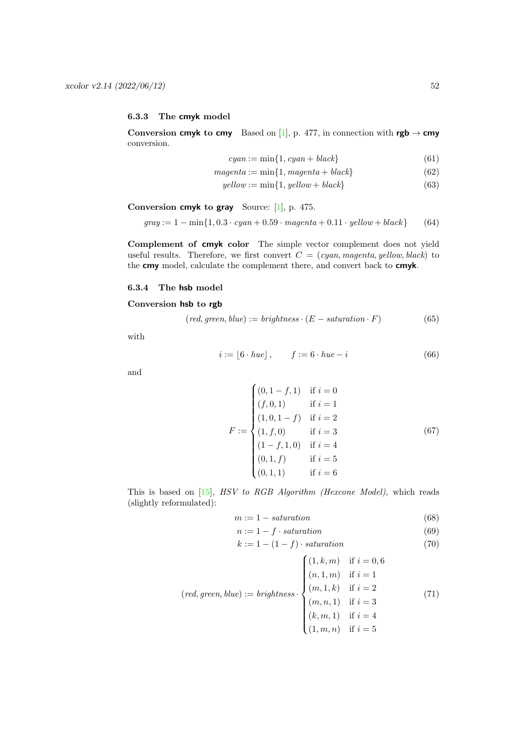# <span id="page-51-0"></span>6.3.3 The cmyk model

Conversion cmyk to cmy Based on [\[1\]](#page-57-4), p. 477, in connection with rgb  $\rightarrow$  cmy conversion.

 $cyan := \min\{1, cyan + black\}$  (61)

 $magenta := min\{1, magenta + black\}$  (62)

$$
yellow := \min\{1, yellow + black\}
$$
 (63)

Conversion cmyk to gray Source: [\[1\]](#page-57-4), p. 475.

$$
gray := 1 - min\{1, 0.3 \cdot cyan + 0.59 \cdot magneta + 0.11 \cdot yellow + black\}
$$
 (64)

Complement of cmyk color The simple vector complement does not yield useful results. Therefore, we first convert  $C = (cyan, magenta, yellow, black)$  to the cmy model, calculate the complement there, and convert back to cmyk.

# <span id="page-51-1"></span>6.3.4 The hsb model

# Conversion hsb to rgb

$$
(red, green, blue) := brightness \cdot (E - saturation \cdot F) \tag{65}
$$

with

$$
i := [6 \cdot hue], \qquad f := 6 \cdot hue - i \tag{66}
$$

and

<span id="page-51-2"></span>
$$
F := \begin{cases} (0, 1 - f, 1) & \text{if } i = 0 \\ (f, 0, 1) & \text{if } i = 1 \\ (1, 0, 1 - f) & \text{if } i = 2 \\ (1, f, 0) & \text{if } i = 3 \\ (1 - f, 1, 0) & \text{if } i = 4 \\ (0, 1, f) & \text{if } i = 5 \\ (0, 1, 1) & \text{if } i = 6 \end{cases}
$$
(67)

This is based on [\[15\]](#page-57-1), HSV to RGB Algorithm (Hexcone Model), which reads (slightly reformulated):

$$
m := 1 - saturation \tag{68}
$$

$$
n := 1 - f \cdot saturation \tag{69}
$$

<span id="page-51-3"></span>
$$
k := 1 - (1 - f) \cdot saturation \tag{70}
$$

$$
(red, green, blue) := brightness \cdot \begin{cases} (1, k, m) & \text{if } i = 0, 6 \\ (n, 1, m) & \text{if } i = 1 \\ (m, 1, k) & \text{if } i = 2 \\ (m, n, 1) & \text{if } i = 3 \\ (k, m, 1) & \text{if } i = 4 \\ (1, m, n) & \text{if } i = 5 \end{cases} (71)
$$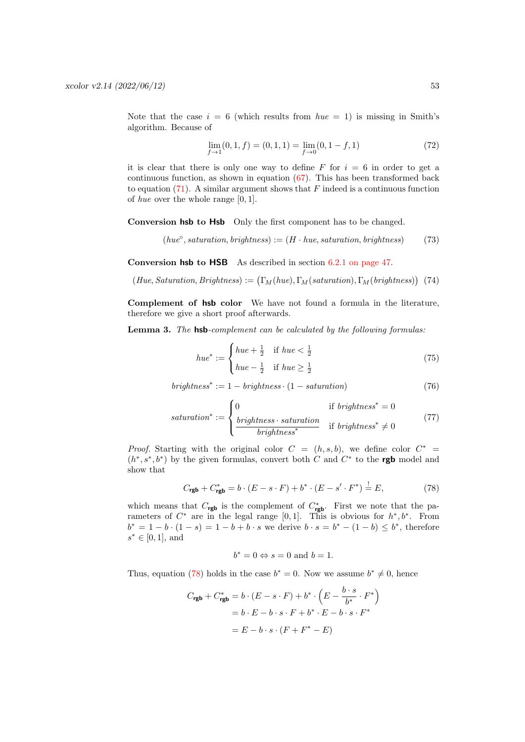Note that the case  $i = 6$  (which results from  $hue = 1$ ) is missing in Smith's algorithm. Because of

$$
\lim_{f \to 1} (0, 1, f) = (0, 1, 1) = \lim_{f \to 0} (0, 1 - f, 1)
$$
\n(72)

it is clear that there is only one way to define  $F$  for  $i = 6$  in order to get a continuous function, as shown in equation  $(67)$ . This has been transformed back to equation  $(71)$ . A similar argument shows that F indeed is a continuous function of hue over the whole range  $[0, 1]$ .

Conversion hsb to Hsb Only the first component has to be changed.

 $(hue^{\circ}, saturation, brightness) := (H \cdot hue, saturation, brightness)$  (73)

Conversion hsb to HSB As described in section [6.2.1 on page 47.](#page-46-0)

 $(Hue, Saturation, Brightness) := (\Gamma_M(hue), \Gamma_M(saturation), \Gamma_M(brightness))$  (74)

Complement of hsb color We have not found a formula in the literature, therefore we give a short proof afterwards.

Lemma 3. The hsb-complement can be calculated by the following formulas:

$$
hue^* := \begin{cases} hu e + \frac{1}{2} & \text{if } hu e < \frac{1}{2} \\ hu e - \frac{1}{2} & \text{if } hu e \ge \frac{1}{2} \end{cases}
$$
(75)

$$
brightness^* := 1 - brightness \cdot (1 - saturation)
$$
\n(76)

$$
saturation^* := \begin{cases} 0 & \text{if } brightness^* = 0\\ \frac{brightness \cdot saturation}{brightness^*} & \text{if } brightness^* \neq 0 \end{cases}
$$
(77)

*Proof.* Starting with the original color  $C = (h, s, b)$ , we define color  $C^* =$  $(h^*, s^*, b^*)$  by the given formulas, convert both C and C<sup>\*</sup> to the **rgb** model and show that

$$
C_{\text{rgb}} + C_{\text{rgb}}^{*} = b \cdot (E - s \cdot F) + b^{*} \cdot (E - s' \cdot F^{*}) \stackrel{!}{=} E,\tag{78}
$$

which means that  $C_{rgb}$  is the complement of  $C_{rgb}^*$ . First we note that the parameters of  $C^*$  are in the legal range [0,1]. This is obvious for  $h^*, b^*$ . From  $b^* = 1 - b \cdot (1 - s) = 1 - b + b \cdot s$  we derive  $b \cdot s = b^* - (1 - b) \leq b^*$ , therefore  $s^* \in [0, 1]$ , and

<span id="page-52-0"></span>
$$
b^* = 0 \Leftrightarrow s = 0 \text{ and } b = 1.
$$

Thus, equation [\(78\)](#page-52-0) holds in the case  $b^* = 0$ . Now we assume  $b^* \neq 0$ , hence

$$
C_{\text{rgb}} + C_{\text{rgb}}^{*} = b \cdot (E - s \cdot F) + b^{*} \cdot \left(E - \frac{b \cdot s}{b^{*}} \cdot F^{*}\right)
$$

$$
= b \cdot E - b \cdot s \cdot F + b^{*} \cdot E - b \cdot s \cdot F^{*}
$$

$$
= E - b \cdot s \cdot (F + F^{*} - E)
$$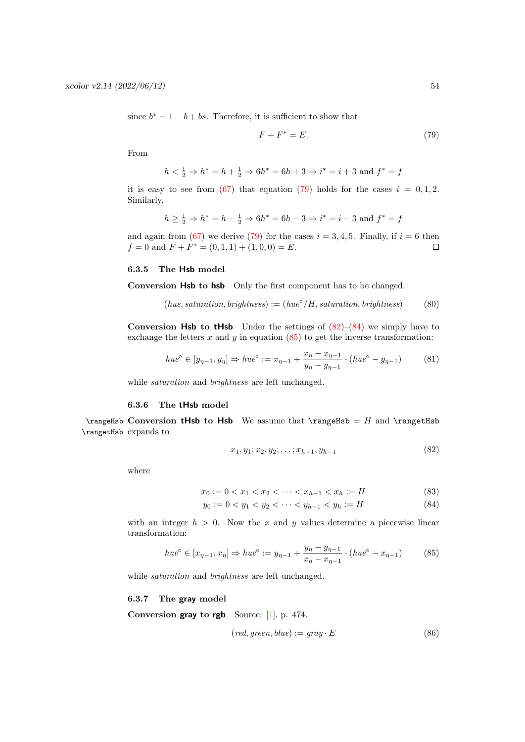since  $b^* = 1 - b + bs$ . Therefore, it is sufficient to show that

<span id="page-53-4"></span>
$$
F + F^* = E. \tag{79}
$$

From

$$
h < \frac{1}{2} \Rightarrow h^* = h + \frac{1}{2} \Rightarrow 6h^* = 6h + 3 \Rightarrow i^* = i + 3
$$
 and  $f^* = f$ 

it is easy to see from [\(67\)](#page-51-2) that equation [\(79\)](#page-53-4) holds for the cases  $i = 0, 1, 2$ . Similarly,

$$
h \ge \frac{1}{2} \Rightarrow h^* = h - \frac{1}{2} \Rightarrow 6h^* = 6h - 3 \Rightarrow i^* = i - 3
$$
 and  $f^* = f$ 

and again from [\(67\)](#page-51-2) we derive [\(79\)](#page-53-4) for the cases  $i = 3, 4, 5$ . Finally, if  $i = 6$  then  $f = 0$  and  $F + F^* = (0, 1, 1) + (1, 0, 0) = E$ .  $\Box$ 

# <span id="page-53-0"></span>6.3.5 The Hsb model

Conversion Hsb to hsb Only the first component has to be changed.

(hue, saturation, brightness) := 
$$
(hue^{\circ}/H, saturation, brightness)
$$
 (80)

**Conversion Hsb to tHsb** Under the settings of  $(82)$ – $(84)$  we simply have to exchange the letters  $x$  and  $y$  in equation [\(85\)](#page-53-7) to get the inverse transformation:

$$
hue^{\circ} \in [y_{\eta-1}, y_{\eta}] \Rightarrow hue^{\circ} := x_{\eta-1} + \frac{x_{\eta} - x_{\eta-1}}{y_{\eta} - y_{\eta-1}} \cdot (hue^{\circ} - y_{\eta-1})
$$
(81)

while *saturation* and *brightness* are left unchanged.

# <span id="page-53-3"></span><span id="page-53-1"></span>6.3.6 The tHsb model

\rangeHsb Conversion tHsb to Hsb We assume that \rangeHsb = H and \rangetHsb \rangetHsb expands to

<span id="page-53-8"></span><span id="page-53-6"></span><span id="page-53-5"></span>
$$
x_1, y_1; x_2, y_2; \dots; x_{h-1}, y_{h-1} \tag{82}
$$

where

$$
x_0 := 0 < x_1 < x_2 < \dots < x_{h-1} < x_h := H \tag{83}
$$

$$
y_0 := 0 < y_1 < y_2 < \dots < y_{h-1} < y_h := H \tag{84}
$$

with an integer  $h > 0$ . Now the x and y values determine a piecewise linear transformation:

$$
hue^{\circ} \in [x_{\eta-1}, x_{\eta}] \Rightarrow hue^{\circ} := y_{\eta-1} + \frac{y_{\eta} - y_{\eta-1}}{x_{\eta} - x_{\eta-1}} \cdot (hue^{\circ} - x_{\eta-1})
$$
(85)

while *saturation* and *brightness* are left unchanged.

#### <span id="page-53-2"></span>6.3.7 The gray model

Conversion gray to rgb Source:  $[1]$ , p. 474.

<span id="page-53-7"></span>
$$
(red, green, blue) := gray \cdot E \tag{86}
$$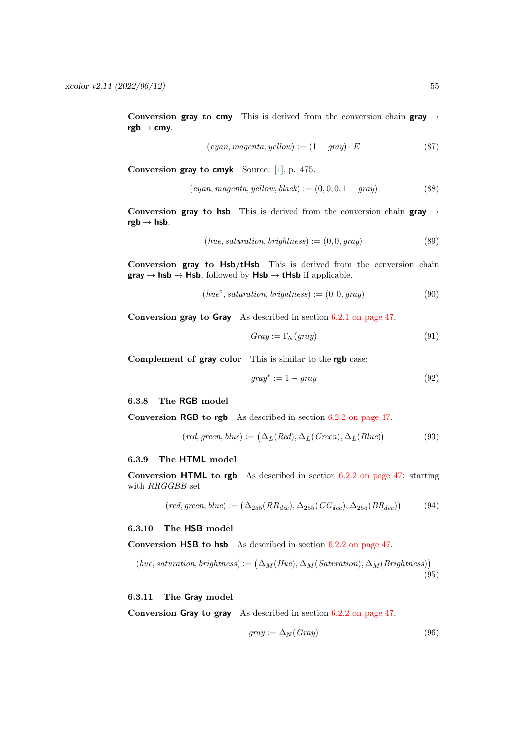Conversion gray to cmy This is derived from the conversion chain gray  $\rightarrow$  $rgb \rightarrow cmy.$ 

$$
(cyan, magenta, yellow) := (1 - gray) \cdot E \tag{87}
$$

Conversion gray to cmyk Source: [\[1\]](#page-57-4), p. 475.

$$
(cyan, magenta, yellow, black) := (0, 0, 0, 1 - gray)
$$
\n
$$
(88)
$$

Conversion gray to hsb This is derived from the conversion chain gray  $\rightarrow$  $rgb \rightarrow hsb.$ 

$$
(hue, saturation, brightness) := (0, 0, gray)
$$
\n
$$
(89)
$$

Conversion gray to  $Hsb/tHsb$  This is derived from the conversion chain  $gray \rightarrow hsb \rightarrow Hsb$ , followed by  $Hsb \rightarrow tHsb$  if applicable.

$$
(hue^{\circ}, saturation, brightness) := (0, 0, gray)
$$
\n
$$
(90)
$$

Conversion gray to Gray As described in section [6.2.1 on page 47.](#page-46-0)

$$
Gray := \Gamma_N(gray) \tag{91}
$$

Complement of gray color This is similar to the rgb case:

$$
gray^* := 1 - gray \tag{92}
$$

# <span id="page-54-0"></span>6.3.8 The RGB model

Conversion RGB to rgb As described in section [6.2.2 on page 47.](#page-46-1)

$$
(red, green, blue) := (\Delta_L (Red), \Delta_L (Green), \Delta_L (Blue))
$$
\n(93)

# <span id="page-54-1"></span>6.3.9 The HTML model

Conversion HTML to rgb As described in section [6.2.2 on page 47:](#page-46-1) starting with RRGGBB set

$$
(\text{red}, \text{green}, \text{blue}) := (\Delta_{255}(RR_{dec}), \Delta_{255}(GG_{dec}), \Delta_{255}(BB_{dec})) \tag{94}
$$

# <span id="page-54-2"></span>6.3.10 The HSB model

Conversion HSB to hsb As described in section [6.2.2 on page 47.](#page-46-1)

(hue, saturation, brightness) := 
$$
(\Delta_M(Hue), \Delta_M(Saturation), \Delta_M(Brightness))
$$
\n(95)

# <span id="page-54-3"></span>6.3.11 The Gray model

Conversion Gray to gray As described in section [6.2.2 on page 47.](#page-46-1)

$$
gray := \Delta_N(Gray) \tag{96}
$$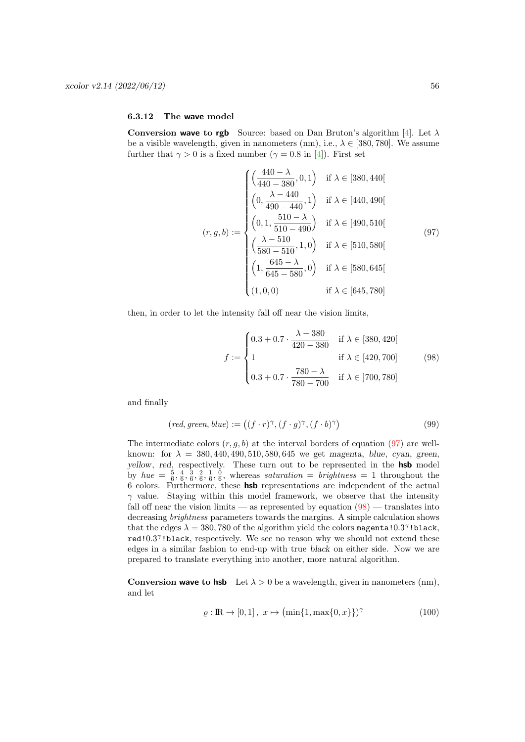#### <span id="page-55-0"></span>6.3.12 The wave model

**Conversion wave to rgb** Source: based on Dan Bruton's algorithm [\[4\]](#page-57-13). Let  $\lambda$ be a visible wavelength, given in nanometers (nm), i.e.,  $\lambda \in [380, 780]$ . We assume further that  $\gamma > 0$  is a fixed number  $(\gamma = 0.8 \text{ in } [4])$  $(\gamma = 0.8 \text{ in } [4])$  $(\gamma = 0.8 \text{ in } [4])$ . First set

$$
(r, g, b) := \begin{cases} \left(\frac{440 - \lambda}{440 - 380}, 0, 1\right) & \text{if } \lambda \in [380, 440[\\ \left(0, \frac{\lambda - 440}{490 - 440}, 1\right) & \text{if } \lambda \in [440, 490[\\ \left(0, 1, \frac{510 - \lambda}{510 - 490}\right) & \text{if } \lambda \in [490, 510[\\ \left(\frac{\lambda - 510}{580 - 510}, 1, 0\right) & \text{if } \lambda \in [510, 580[\\ \left(1, \frac{645 - \lambda}{645 - 580}, 0\right) & \text{if } \lambda \in [580, 645[\\ \left(1, 0, 0\right) & \text{if } \lambda \in [645, 780] \end{cases}
$$

then, in order to let the intensity fall off near the vision limits,

<span id="page-55-2"></span><span id="page-55-1"></span>
$$
f := \begin{cases} 0.3 + 0.7 \cdot \frac{\lambda - 380}{420 - 380} & \text{if } \lambda \in [380, 420[\\ 1 & \text{if } \lambda \in [420, 700] \\ 0.3 + 0.7 \cdot \frac{780 - \lambda}{780 - 700} & \text{if } \lambda \in [700, 780] \end{cases}
$$
(98)

and finally

$$
(red, green, blue) := ((f \cdot r)^{\gamma}, (f \cdot g)^{\gamma}, (f \cdot b)^{\gamma})
$$
\n(99)

The intermediate colors  $(r, g, b)$  at the interval borders of equation [\(97\)](#page-55-1) are wellknown: for  $\lambda = 380, 440, 490, 510, 580, 645$  we get magenta, blue, cyan, green, yellow, red, respectively. These turn out to be represented in the **hsb** model by  $hue = \frac{5}{6}, \frac{4}{6}, \frac{3}{6}, \frac{2}{6}, \frac{1}{6}, \frac{0}{6}$ , whereas *saturation* = *brightness* = 1 throughout the 6 colors. Furthermore, these hsb representations are independent of the actual  $\gamma$  value. Staying within this model framework, we observe that the intensity fall off near the vision limits — as represented by equation  $(98)$  — translates into decreasing brightness parameters towards the margins. A simple calculation shows that the edges  $\lambda = 380, 780$  of the algorithm yield the colors magenta! $0.3^{\gamma}$ !black, red!0.3<sup>7</sup>!black, respectively. We see no reason why we should not extend these edges in a similar fashion to end-up with true black on either side. Now we are prepared to translate everything into another, more natural algorithm.

Conversion wave to hsb Let  $\lambda > 0$  be a wavelength, given in nanometers (nm), and let

$$
\varrho : \mathbb{R} \to [0, 1], \ x \mapsto (\min\{1, \max\{0, x\}\})^{\gamma} \tag{100}
$$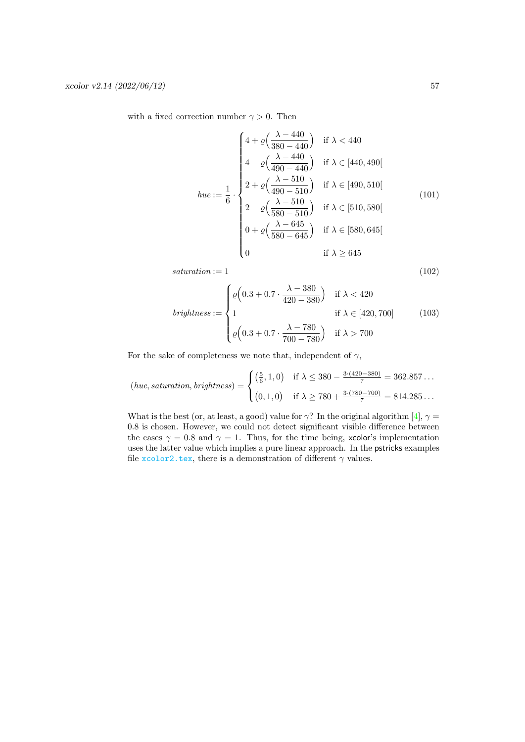with a fixed correction number  $\gamma > 0$ . Then

$$
hue := \frac{1}{6} \cdot \begin{cases} 4 + \varrho \left( \frac{\lambda - 440}{380 - 440} \right) & \text{if } \lambda < 440 \\ 4 - \varrho \left( \frac{\lambda - 440}{490 - 440} \right) & \text{if } \lambda \in [440, 490[ \\ 2 + \varrho \left( \frac{\lambda - 510}{490 - 510} \right) & \text{if } \lambda \in [490, 510[ \\ 2 - \varrho \left( \frac{\lambda - 510}{580 - 510} \right) & \text{if } \lambda \in [510, 580[ \\ 0 + \varrho \left( \frac{\lambda - 645}{580 - 645} \right) & \text{if } \lambda \in [580, 645[ \\ 0 & \text{if } \lambda \geq 645 \end{cases}
$$
 (101)

 $saturation := 1$  (102)

$$
brightness := \begin{cases} \n\varrho \Big( 0.3 + 0.7 \cdot \frac{\lambda - 380}{420 - 380} \Big) & \text{if } \lambda < 420 \\
1 & \text{if } \lambda \in [420, 700] \\
\varrho \Big( 0.3 + 0.7 \cdot \frac{\lambda - 780}{700 - 780} \Big) & \text{if } \lambda > 700\n\end{cases} \tag{103}
$$

For the sake of completeness we note that, independent of  $\gamma,$ 

$$
(hue, saturation, brightness) = \begin{cases} \left(\frac{5}{6}, 1, 0\right) & \text{if } \lambda \le 380 - \frac{3 \cdot (420 - 380)}{7} = 362.857 \dots \\ \left(0, 1, 0\right) & \text{if } \lambda \ge 780 + \frac{3 \cdot (780 - 700)}{7} = 814.285 \dots \end{cases}
$$

What is the best (or, at least, a good) value for  $\gamma$ ? In the original algorithm [\[4\]](#page-57-13),  $\gamma$  = 0.8 is chosen. However, we could not detect significant visible difference between the cases  $\gamma = 0.8$  and  $\gamma = 1$ . Thus, for the time being, xcolor's implementation uses the latter value which implies a pure linear approach. In the pstricks examples file [xcolor2.tex](#page-0-0), there is a demonstration of different  $\gamma$  values.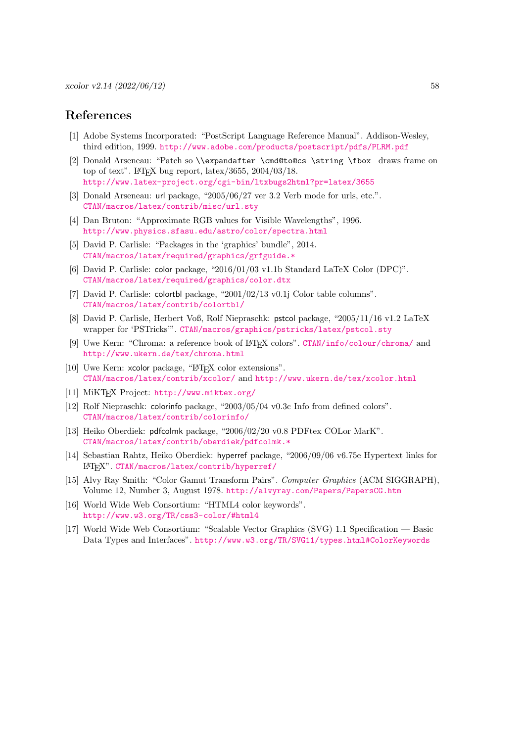# <span id="page-57-0"></span>References

- <span id="page-57-4"></span>[1] Adobe Systems Incorporated: "PostScript Language Reference Manual". Addison-Wesley, third edition, 1999. <http://www.adobe.com/products/postscript/pdfs/PLRM.pdf>
- <span id="page-57-8"></span>[2] Donald Arseneau: "Patch so \\expandafter \cmd@to@cs \string \fbox draws frame on top of text". LAT<sub>EX</sub> bug report, latex/3655,  $2004/03/18$ . <http://www.latex-project.org/cgi-bin/ltxbugs2html?pr=latex/3655>
- [3] Donald Arseneau: url package, "2005/06/27 ver 3.2 Verb mode for urls, etc.". [CTAN/macros/latex/contrib/misc/url.sty](http://www.ctan.org/tex-archive/macros/latex/contrib/misc/)
- <span id="page-57-13"></span>[4] Dan Bruton: "Approximate RGB values for Visible Wavelengths", 1996. <http://www.physics.sfasu.edu/astro/color/spectra.html>
- <span id="page-57-2"></span>[5] David P. Carlisle: "Packages in the 'graphics' bundle", 2014. [CTAN/macros/latex/required/graphics/grfguide.\\*](http://www.ctan.org/tex-archive/macros/latex/required/graphics/)
- <span id="page-57-3"></span>[6] David P. Carlisle: color package, "2016/01/03 v1.1b Standard LaTeX Color (DPC)". [CTAN/macros/latex/required/graphics/color.dtx](http://www.ctan.org/tex-archive/macros/latex/required/graphics/)
- [7] David P. Carlisle: colortbl package, "2001/02/13 v0.1j Color table columns". [CTAN/macros/latex/contrib/colortbl/](http://www.ctan.org/tex-archive/macros/latex/contrib/colortbl/)
- [8] David P. Carlisle, Herbert Voß, Rolf Niepraschk: pstcol package, "2005/11/16 v1.2 LaTeX wrapper for 'PSTricks'". [CTAN/macros/graphics/pstricks/latex/pstcol.sty](http://www.ctan.org/tex-archive/macros/graphics/pstricks/latex/)
- <span id="page-57-5"></span>[9] Uwe Kern: "Chroma: a reference book of LATEX colors". [CTAN/info/colour/chroma/](http://www.ctan.org/tex-archive/info/colour/chroma/) and <http://www.ukern.de/tex/chroma.html>
- [10] Uwe Kern: xcolor package, "LAT<sub>EX</sub> color extensions". [CTAN/macros/latex/contrib/xcolor/](http://www.ctan.org/tex-archive/macros/latex/contrib/xcolor/) and <http://www.ukern.de/tex/xcolor.html>
- <span id="page-57-11"></span>[11] MiKTFX Project: <http://www.miktex.org/>
- <span id="page-57-12"></span>[12] Rolf Niepraschk: colorinfo package, "2003/05/04 v0.3c Info from defined colors". [CTAN/macros/latex/contrib/colorinfo/](http://www.ctan.org/tex-archive/macros/latex/contrib/colorinfo/)
- <span id="page-57-10"></span>[13] Heiko Oberdiek: pdfcolmk package, "2006/02/20 v0.8 PDFtex COLor MarK". [CTAN/macros/latex/contrib/oberdiek/pdfcolmk.\\*](http://www.ctan.org/tex-archive/macros/latex/contrib/oberdiek/)
- <span id="page-57-9"></span>[14] Sebastian Rahtz, Heiko Oberdiek: hyperref package, "2006/09/06 v6.75e Hypertext links for LATEX". [CTAN/macros/latex/contrib/hyperref/](http://www.ctan.org/tex-archive/macros/latex/contrib/hyperref/)
- <span id="page-57-1"></span>[15] Alvy Ray Smith: "Color Gamut Transform Pairs". Computer Graphics (ACM SIGGRAPH), Volume 12, Number 3, August 1978. <http://alvyray.com/Papers/PapersCG.htm>
- <span id="page-57-7"></span>[16] World Wide Web Consortium: "HTML4 color keywords". <http://www.w3.org/TR/css3-color/#html4>
- <span id="page-57-6"></span>[17] World Wide Web Consortium: "Scalable Vector Graphics (SVG) 1.1 Specification — Basic Data Types and Interfaces". <http://www.w3.org/TR/SVG11/types.html#ColorKeywords>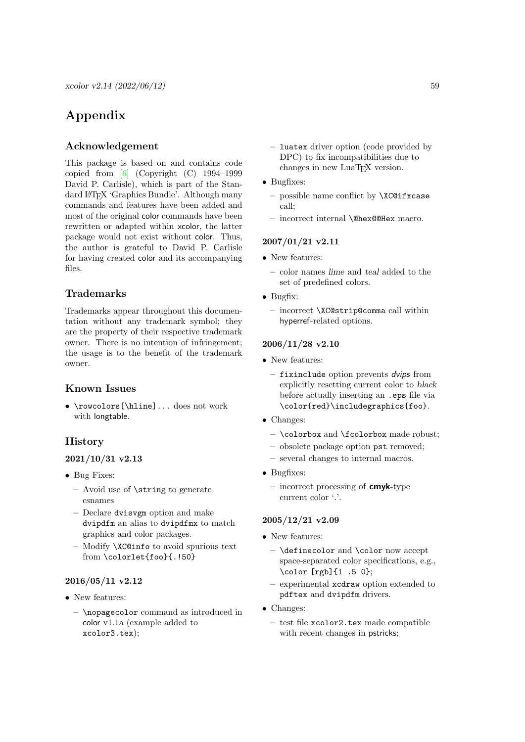# <span id="page-58-0"></span>Appendix

# <span id="page-58-1"></span>Acknowledgement

This package is based on and contains code copied from [\[6\]](#page-57-3) (Copyright (C) 1994–1999 David P. Carlisle), which is part of the Standard LATEX 'Graphics Bundle'. Although many commands and features have been added and most of the original color commands have been rewritten or adapted within xcolor, the latter package would not exist without color. Thus, the author is grateful to David P. Carlisle for having created color and its accompanying files.

# <span id="page-58-2"></span>Trademarks

Trademarks appear throughout this documentation without any trademark symbol; they are the property of their respective trademark owner. There is no intention of infringement; the usage is to the benefit of the trademark owner.

# <span id="page-58-3"></span>Known Issues

• \rowcolors[\hline]... does not work with longtable.

# <span id="page-58-4"></span>History

# 2021/10/31 v2.13

- Bug Fixes:
	- Avoid use of \string to generate csnames
	- Declare dvisvgm option and make dvipdfm an alias to dvipdfmx to match graphics and color packages.
	- Modify \XC@info to avoid spurious text from \colorlet{foo}{.!50}

# 2016/05/11 v2.12

- New features:
	- \nopagecolor command as introduced in color v1.1a (example added to xcolor3.tex);
- luatex driver option (code provided by DPC) to fix incompatibilities due to changes in new LuaT<sub>EX</sub> version.
- Bugfixes:
	- possible name conflict by \XC@ifxcase call;
	- incorrect internal \@hex@@Hex macro.

# 2007/01/21 v2.11

- New features:
	- color names lime and teal added to the set of predefined colors.
- Bugfix:
	- incorrect \XC@strip@comma call within hyperref-related options.

# 2006/11/28 v2.10

- New features:
	- fixinclude option prevents dvips from explicitly resetting current color to black before actually inserting an .eps file via \color{red}\includegraphics{foo}.
- Changes:
	- \colorbox and \fcolorbox made robust;
	- obsolete package option pst removed;
	- several changes to internal macros.
- Bugfixes:
	- incorrect processing of  $\mathsf{cm}$ yk-type current color '.'.

# 2005/12/21 v2.09

- New features:
	- \definecolor and \color now accept space-separated color specifications, e.g., \color [rgb]{1 .5 0};
	- experimental xcdraw option extended to pdftex and dvipdfm drivers.
- Changes:
	- test file xcolor2.tex made compatible with recent changes in pstricks;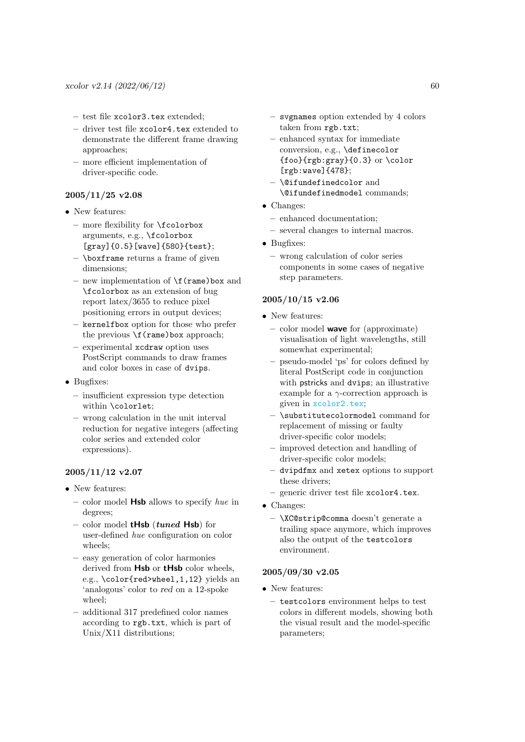- test file xcolor3.tex extended;
- driver test file xcolor4.tex extended to demonstrate the different frame drawing approaches;
- more efficient implementation of driver-specific code.

# 2005/11/25 v2.08

- New features:
	- more flexibility for \fcolorbox arguments, e.g., \fcolorbox [gray]{0.5}[wave]{580}{test};
	- \boxframe returns a frame of given dimensions;
	- new implementation of  $\mathcal{F}(\mathbf{r})$  hox and \fcolorbox as an extension of bug report latex/3655 to reduce pixel positioning errors in output devices;
	- kernelfbox option for those who prefer the previous  $\f{(\text{rame})}$  box approach;
	- experimental xcdraw option uses PostScript commands to draw frames and color boxes in case of dvips.
- Bugfixes:
	- insufficient expression type detection within \colorlet;
	- wrong calculation in the unit interval reduction for negative integers (affecting color series and extended color expressions).

# $2005/11/12$  v2.07

- New features:
	- color model  $\mathsf{Hsb}$  allows to specify hue in degrees;
	- color model  $tHsb$  (*tuned*  $Hsb$ ) for user-defined hue configuration on color wheels;
	- easy generation of color harmonies derived from **Hsb** or **tHsb** color wheels. e.g., \color{red>wheel,1,12} yields an 'analogous' color to red on a 12-spoke wheel;
	- additional 317 predefined color names according to rgb.txt, which is part of Unix/X11 distributions;
- svgnames option extended by 4 colors taken from rgb.txt;
- enhanced syntax for immediate conversion, e.g., \definecolor {foo}{rgb:gray}{0.3} or \color [rgb:wave]{478};
- \@ifundefinedcolor and \@ifundefinedmodel commands;
- Changes:
- enhanced documentation; – several changes to internal macros.
- 
- Bugfixes:
	- wrong calculation of color series components in some cases of negative step parameters.

# 2005/10/15 v2.06

- New features:
	- $-$  color model **wave** for (approximate) visualisation of light wavelengths, still somewhat experimental;
	- pseudo-model 'ps' for colors defined by literal PostScript code in conjunction with pstricks and dvips; an illustrative example for a γ-correction approach is given in [xcolor2.tex](#page-0-0);
	- \substitutecolormodel command for replacement of missing or faulty driver-specific color models;
	- improved detection and handling of driver-specific color models;
	- dvipdfmx and xetex options to support these drivers;
	- generic driver test file xcolor4.tex.
- Changes:
	- \XC@strip@comma doesn't generate a trailing space anymore, which improves also the output of the testcolors environment.

# 2005/09/30 v2.05

- New features:
	- testcolors environment helps to test colors in different models, showing both the visual result and the model-specific parameters;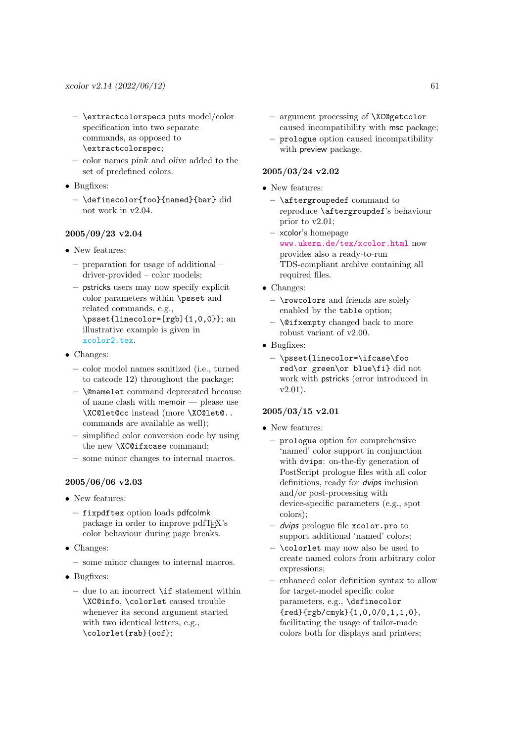- \extractcolorspecs puts model/color specification into two separate commands, as opposed to \extractcolorspec;
- color names pink and olive added to the set of predefined colors.
- Bugfixes:
	- \definecolor{foo}{named}{bar} did not work in v2.04.

# 2005/09/23 v2.04

- New features:
	- preparation for usage of additional driver-provided – color models;
	- pstricks users may now specify explicit color parameters within \psset and related commands, e.g., \psset{linecolor=[rgb]{1,0,0}}; an illustrative example is given in [xcolor2.tex](#page-0-0).
- Changes:
	- color model names sanitized (i.e., turned to catcode 12) throughout the package;
	- \@namelet command deprecated because of name clash with memoir — please use \XC@let@cc instead (more \XC@let@.. commands are available as well);
	- simplified color conversion code by using the new \XC@ifxcase command;
	- some minor changes to internal macros.

# 2005/06/06 v2.03

- New features:
	- fixpdftex option loads pdfcolmk package in order to improve pdfTEX's color behaviour during page breaks.
- Changes:
	- some minor changes to internal macros.
- Bugfixes:
	- due to an incorrect  $\iota$  if statement within \XC@info, \colorlet caused trouble whenever its second argument started with two identical letters, e.g., \colorlet{rab}{oof};
- argument processing of \XC@getcolor caused incompatibility with msc package;
- prologue option caused incompatibility with preview package.

# 2005/03/24 v2.02

- New features:
	- $-$  \aftergroupedef command to reproduce \aftergroupdef's behaviour prior to v2.01;
	- xcolor's homepage [www.ukern.de/tex/xcolor.html](http://www.ukern.de/tex/xcolor.html) now provides also a ready-to-run TDS-compliant archive containing all required files.
- Changes:
	- \rowcolors and friends are solely enabled by the table option;
	- $-$  **\@ifxempty** changed back to more robust variant of v2.00.
- Bugfixes:
	- \psset{linecolor=\ifcase\foo red\or green\or blue\fi} did not work with pstricks (error introduced in v2.01).

# 2005/03/15 v2.01

- New features:
	- prologue option for comprehensive 'named' color support in conjunction with dvips: on-the-fly generation of PostScript prologue files with all color definitions, ready for dvips inclusion and/or post-processing with device-specific parameters (e.g., spot colors);
	- dvips prologue file xcolor.pro to support additional 'named' colors;
	- \colorlet may now also be used to create named colors from arbitrary color expressions;
	- enhanced color definition syntax to allow for target-model specific color parameters, e.g., \definecolor {red}{rgb/cmyk}{1,0,0/0,1,1,0}, facilitating the usage of tailor-made colors both for displays and printers;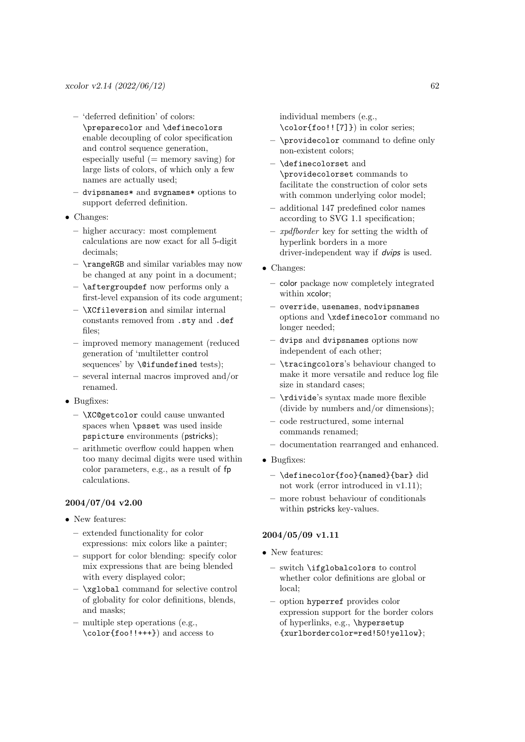- 'deferred definition' of colors: \preparecolor and \definecolors enable decoupling of color specification and control sequence generation, especially useful  $(=$  memory saving) for large lists of colors, of which only a few names are actually used;
- dvipsnames\* and svgnames\* options to support deferred definition.
- Changes:
	- higher accuracy: most complement calculations are now exact for all 5-digit decimals;
	- \rangeRGB and similar variables may now be changed at any point in a document;
	- \aftergroupdef now performs only a first-level expansion of its code argument;
	- \XCfileversion and similar internal constants removed from .sty and .def files;
	- improved memory management (reduced generation of 'multiletter control sequences' by **\@ifundefined** tests);
	- several internal macros improved and/or renamed.
- Bugfixes:
	- \XC@getcolor could cause unwanted spaces when \psset was used inside pspicture environments (pstricks);
	- arithmetic overflow could happen when too many decimal digits were used within color parameters, e.g., as a result of fp calculations.

# 2004/07/04 v2.00

- New features:
	- extended functionality for color expressions: mix colors like a painter;
	- support for color blending: specify color mix expressions that are being blended with every displayed color;
	- $\xq$ lobal command for selective control of globality for color definitions, blends, and masks;
	- multiple step operations (e.g., \color{foo!!+++}) and access to

individual members (e.g., \color{foo!![7]}) in color series;

- \providecolor command to define only non-existent colors;
- \definecolorset and \providecolorset commands to facilitate the construction of color sets with common underlying color model;
- additional 147 predefined color names according to SVG 1.1 specification;
- xpdfborder key for setting the width of hyperlink borders in a more driver-independent way if dvips is used.
- Changes:
	- color package now completely integrated within xcolor;
	- override, usenames, nodvipsnames options and \xdefinecolor command no longer needed;
	- dvips and dvipsnames options now independent of each other;
	- \tracingcolors's behaviour changed to make it more versatile and reduce log file size in standard cases;
	- \rdivide's syntax made more flexible (divide by numbers and/or dimensions);
	- code restructured, some internal commands renamed;
	- documentation rearranged and enhanced.
- Bugfixes:
	- \definecolor{foo}{named}{bar} did not work (error introduced in v1.11);
	- more robust behaviour of conditionals within pstricks key-values.

# 2004/05/09 v1.11

- New features:
	- switch \ifglobalcolors to control whether color definitions are global or local;
	- option hyperref provides color expression support for the border colors of hyperlinks, e.g., \hypersetup {xurlbordercolor=red!50!yellow};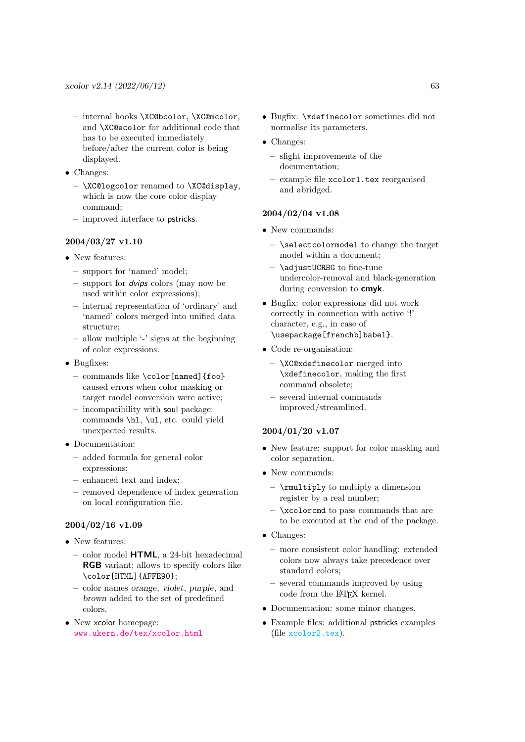- internal hooks \XC@bcolor, \XC@mcolor, and \XC@ecolor for additional code that has to be executed immediately before/after the current color is being displayed.
- Changes:
	- \XC@logcolor renamed to \XC@display, which is now the core color display command;
	- improved interface to pstricks.

# 2004/03/27 v1.10

- New features:
	- support for 'named' model;
	- support for dvips colors (may now be used within color expressions);
	- internal representation of 'ordinary' and 'named' colors merged into unified data structure;
	- allow multiple '-' signs at the beginning of color expressions.
- Bugfixes:
	- $-$  commands like \color[named]{foo} caused errors when color masking or target model conversion were active;
	- incompatibility with soul package: commands \hl, \ul, etc. could yield unexpected results.
- Documentation:
	- added formula for general color expressions;
	- enhanced text and index;
	- removed dependence of index generation on local configuration file.

# 2004/02/16 v1.09

- New features:
	- color model HTML, a 24-bit hexadecimal RGB variant; allows to specify colors like \color[HTML]{AFFE90};
	- color names orange, violet, purple, and brown added to the set of predefined colors.
- New xcolor homepage: [www.ukern.de/tex/xcolor.html](http://www.ukern.de/tex/xcolor.html)
- Bugfix: \xdefinecolor sometimes did not normalise its parameters.
- Changes:
	- slight improvements of the documentation;
	- example file xcolor1.tex reorganised and abridged.

# 2004/02/04 v1.08

- New commands:
	- \selectcolormodel to change the target model within a document;
	- $-$  \adjustUCRBG to fine-tune undercolor-removal and black-generation during conversion to **cmyk**.
- Bugfix: color expressions did not work correctly in connection with active '!' character, e.g., in case of \usepackage[frenchb]babel}.
- Code re-organisation:
	- \XC@xdefinecolor merged into \xdefinecolor, making the first command obsolete;
	- several internal commands improved/streamlined.

# 2004/01/20 v1.07

- New feature: support for color masking and color separation.
- New commands:
	- $-$  \rmultiply to multiply a dimension register by a real number;
	- \xcolorcmd to pass commands that are to be executed at the end of the package.
- Changes:
	- more consistent color handling: extended colors now always take precedence over standard colors;
	- several commands improved by using code from the L<sup>AT</sup>EX kernel.
- Documentation: some minor changes.
- Example files: additional pstricks examples (file [xcolor2.tex](#page-0-0)).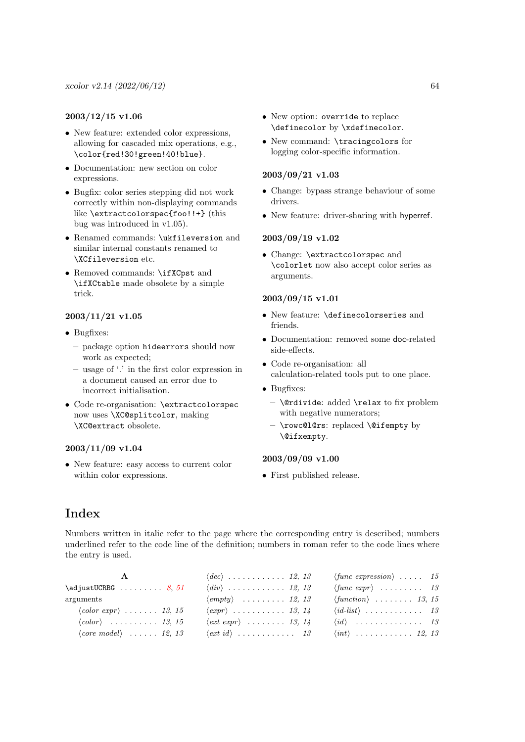# 2003/12/15 v1.06

- New feature: extended color expressions, allowing for cascaded mix operations, e.g., \color{red!30!green!40!blue}.
- Documentation: new section on color expressions.
- Bugfix: color series stepping did not work correctly within non-displaying commands like \extractcolorspec{foo!!+} (this bug was introduced in v1.05).
- Renamed commands: \ukfileversion and similar internal constants renamed to \XCfileversion etc.
- Removed commands: \ifXCpst and \ifXCtable made obsolete by a simple trick.

# 2003/11/21 v1.05

- Bugfixes:
	- package option hideerrors should now work as expected;
	- usage of '.' in the first color expression in a document caused an error due to incorrect initialisation.
- Code re-organisation: \extractcolorspec now uses \XC@splitcolor, making \XC@extract obsolete.

# 2003/11/09 v1.04

• New feature: easy access to current color within color expressions.

- New option: override to replace \definecolor by \xdefinecolor.
- New command: \tracingcolors for logging color-specific information.

# 2003/09/21 v1.03

- Change: bypass strange behaviour of some drivers
- New feature: driver-sharing with hyperref.

# 2003/09/19 v1.02

• Change: \extractcolorspec and \colorlet now also accept color series as arguments.

# 2003/09/15 v1.01

- New feature: \definecolorseries and friends.
- Documentation: removed some doc-related side-effects.
- Code re-organisation: all calculation-related tools put to one place.
- Bugfixes:
	- $\$ telax to fix problem with negative numerators;
	- \rowc@l@rs: replaced \@ifempty by \@ifxempty.

# 2003/09/09 v1.00

• First published release.

# <span id="page-63-0"></span>Index

Numbers written in italic refer to the page where the corresponding entry is described; numbers underlined refer to the code line of the definition; numbers in roman refer to the code lines where the entry is used.

|                                                               | $\langle dec \rangle$ 12, 13         | $\langle$ func expression $\rangle$ 15                |
|---------------------------------------------------------------|--------------------------------------|-------------------------------------------------------|
| $\adjustUCRBG \ldots \ldots 8, 51$                            | $\langle div \rangle$ 12, 13         | $\langle$ func expr $\rangle \ldots \ldots \ldots 13$ |
| arguments                                                     | $\langle empty \rangle$ 12, 13       |                                                       |
| $\langle color \; expr \rangle \; \ldots \; \ldots \; 13, 15$ | $\langle expr \rangle$ 13, 14        | $\langle id\text{-}list\rangle$ 13                    |
| $\langle color \rangle$ 13, 15                                | $\langle ext \; expr \rangle$ 13, 14 | $\langle id \rangle$ 13                               |
| $\langle core \ model \rangle$ 12, 13                         | $\langle ext\ id \rangle$ 13         | $\langle int \rangle$ 12, 13                          |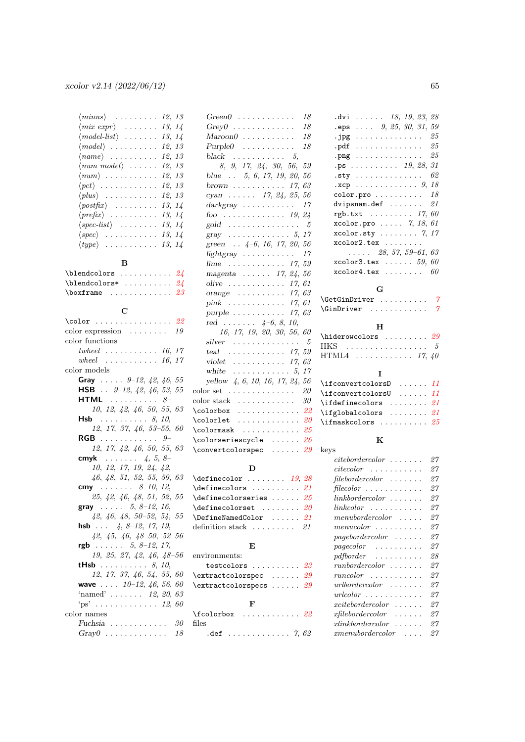| $\langle minus \rangle$ 12, 13                                   |  |  |  |  |  |  |
|------------------------------------------------------------------|--|--|--|--|--|--|
| $\langle mix \; expr \rangle \quad \ldots \quad 13, 14$          |  |  |  |  |  |  |
| $\langle model\text{-}list\rangle \ldots \ldots 13, 14$          |  |  |  |  |  |  |
| $\langle model \rangle$ 12, 13                                   |  |  |  |  |  |  |
| $\langle name \rangle$ 12, 13                                    |  |  |  |  |  |  |
| $\langle num \ model \rangle \ \ \ldots \ \ \ldots \ \ 12, \ 13$ |  |  |  |  |  |  |
| $\langle num \rangle$ 12, 13                                     |  |  |  |  |  |  |
| $\langle pct \rangle$ 12, 13                                     |  |  |  |  |  |  |
| $\langle plus \rangle$ 12, 13                                    |  |  |  |  |  |  |
| $\langle \textit{postfix} \rangle$ 13, 14                        |  |  |  |  |  |  |
|                                                                  |  |  |  |  |  |  |
| $\langle spec-list \rangle$ 13, 14                               |  |  |  |  |  |  |
| $\langle spec \rangle$ 13, 14                                    |  |  |  |  |  |  |
| $\langle type \rangle$ 13, 14                                    |  |  |  |  |  |  |
|                                                                  |  |  |  |  |  |  |

# $\, {\bf B}$

| $\blacksquare$ blendcolors*  24                |  |  |  |  |  |  |  |
|------------------------------------------------|--|--|--|--|--|--|--|
| $\text{boxframe} \dots \dots \dots \dots \ 23$ |  |  |  |  |  |  |  |

# C

| $\texttt{\textbackslashcolor}$ 22                    |  |
|------------------------------------------------------|--|
| color expression $\ldots \ldots \ldots$ 19           |  |
| color functions                                      |  |
| twheel $16, 17$                                      |  |
| wheel $\ldots \ldots \ldots 16, 17$                  |  |
| color models                                         |  |
| Gray $9-12, 42, 46, 55$                              |  |
| <b>HSB</b> $9-12$ , $42$ , $46$ , $53$ , $55$        |  |
| <b>HTML</b> $8-$                                     |  |
| 10, 12, 42, 46, 50, 55, 63                           |  |
| <b>b</b> 8, 10,<br>12, 17, 37, 46, 53-55, 60<br>Hsb. |  |
|                                                      |  |
| <b>RGB</b> $9-$<br>12, 17, 42, 46, 50, 55, 63        |  |
|                                                      |  |
| cmyk  4, 5, 8-<br>10, 12, 17, 19, 24, 42,            |  |
|                                                      |  |
| 46, 48, 51, 52, 55, 59, 63                           |  |
| cmy $8-10, 12,$                                      |  |
| 25, 42, 46, 48, 51, 52, 55                           |  |
| <b>gray</b> 5, 8-12, 16,                             |  |
| $42, 46, 48, 50-52, 54, 55$                          |  |
| <b>hsb</b> 4, 8-12, 17, 19,                          |  |
| $42, 45, 46, 48-50, 52-56$                           |  |
| <b>rgb</b> 5, 8-12, 17,                              |  |
| $19, 25, 27, 42, 46, 48 - 56$                        |  |
| <b>tHsb</b> 8, 10,                                   |  |
| 12, 17, 37, 46, 54, 55, 60                           |  |
| wave $\ldots$ 10-12, 46, 56, 60                      |  |
| 'named' $12, 20, 63$                                 |  |
| $\text{``ps'}$ 12, 60                                |  |
| color names                                          |  |
| Fuchsia $30$                                         |  |
| Gray $0 \ldots \ldots \ldots \ldots 18$              |  |

| $Green0$<br>18                                 |
|------------------------------------------------|
| 18<br>$Grev0$                                  |
| 18<br>$Maroon0 \ldots \ldots \ldots$           |
| $Purple0$<br>18                                |
| black<br>. 5,                                  |
| 8, 9, 17, 24, 30, 56, 59                       |
| blue $\ldots$ 5, 6, 17, 19, 20, 56             |
| $\ldots \ldots \ldots 17, 63$<br>$brown \dots$ |
| cyan $17, 24, 25, 56$                          |
| 17<br>$darkgray \dots \dots \dots$             |
| foo $19, 24$                                   |
| - 5<br>gold.<br>.                              |
| 17<br>. 5,<br>gray                             |
| green $\ldots$ 4-6, 16, 17, 20,<br>56          |
| 17<br>$lightgray$                              |
| lime $\ldots \ldots \ldots \ldots 17, 59$      |
| magenta $17, 24, 56$                           |
| 17, 61<br>olive $\dots \dots \dots$            |
| 17,63<br>$orange \dots \dots \dots$            |
| $pink \ldots \ldots \ldots$<br>17, 61          |
| purple $\ldots \ldots \ldots 17, 63$           |
| $\ldots$ 4-6, 8, 10,<br>$\text{red} \dots$     |
| 16, 17, 19, 20, 30, 56, 60                     |
| silver<br>- 5<br>.                             |
| . <i>17</i> , <i>59</i><br>teal.               |
| . 17, 63<br>violet                             |
| . 5, 17<br>white                               |
| yellow 4, 6, 10, 16, 17, 24, 56                |
| color set<br>20<br>.                           |
| color stack<br>30<br>.                         |
| - 22                                           |
| . 20<br>\colorlet                              |
| $\text{Conormask}$ $25$                        |
| $\text{colorseries} \dots \dots 26$            |
| \convertcolorspec<br>29<br>.                   |

# D

| $\definecolor 19, 28$               |  |  |  |
|-------------------------------------|--|--|--|
| $\definecolors \dots \dots 21$      |  |  |  |
| \definecolorseries $25$             |  |  |  |
| $\texttt{definecolorset}$ $20$      |  |  |  |
| $\Delta$ DefineNamedColor  21       |  |  |  |
| definition stack $\ldots \ldots 21$ |  |  |  |
|                                     |  |  |  |

# E

| environments:                            |  |  |  |  |
|------------------------------------------|--|--|--|--|
| testcolors $\ldots \ldots \ldots 23$     |  |  |  |  |
| $\text{textcolorspec}$ 29                |  |  |  |  |
| $\texttt{textcolorspecs} \dots \dots 29$ |  |  |  |  |
|                                          |  |  |  |  |
| F                                        |  |  |  |  |
| $\text{1}$ Colorbox  22                  |  |  |  |  |
| files                                    |  |  |  |  |
| $\det$ $7,62$                            |  |  |  |  |

| $\ldots$ . 18, 19, 23,<br>.dvi                                                                                        | 28 |
|-----------------------------------------------------------------------------------------------------------------------|----|
| $\ldots$ 9, 25, 30, 31,<br>.eps                                                                                       | 59 |
| .jpg<br>$\sim$ $\sim$ $\sim$ $\sim$ $\sim$<br>$\mathcal{L}$ is a set of the set of $\mathcal{L}$                      | 25 |
| .pdf<br>.                                                                                                             | 25 |
| . $png \ldots \ldots \ldots \ldots$                                                                                   | 25 |
| $\text{PS} \dots \dots \dots \dots 19, 28,$                                                                           | 31 |
| .sty<br>$\mathcal{L}$ , and $\mathcal{L}$ , and $\mathcal{L}$<br>.                                                    | 62 |
| $\ldots$ 9,<br>.xcp<br>.<br>$\ddotsc$<br>$\ddot{\phantom{0}}$                                                         | 18 |
| color.pyro<br>$\cdots$<br>$\ddotsc$                                                                                   | 18 |
| dvipsnam.def<br>$\mathbb{Z}^2$ . $\mathbb{Z}^2$<br>$\ddot{\phantom{0}}$                                               | 21 |
| $rgb.txt$ $17$ ,                                                                                                      | 60 |
| $xcolor.pyro$ $7, 18,$                                                                                                | 61 |
| xcolor.sty<br>. 7,<br>$\ldots$                                                                                        | 17 |
| $xcolor2.text \dots$ .                                                                                                |    |
| $\ldots$ 28, 57, 59-61,                                                                                               | 63 |
| $xcolor3.$ tex $59$ ,                                                                                                 | 60 |
| $xcolor4.text \dots$                                                                                                  | 60 |
|                                                                                                                       |    |
| G                                                                                                                     |    |
| \GetGinDriver                                                                                                         |    |
| \GinDriver                                                                                                            |    |
|                                                                                                                       |    |
| н                                                                                                                     |    |
| $\hbox{\rm\char'42}$ \hiderowcolors  29                                                                               |    |
| HKS<br>.                                                                                                              | 5  |
| HTML4 $\ldots \ldots \ldots \ldots 17, 40$                                                                            |    |
|                                                                                                                       |    |
| T                                                                                                                     |    |
| \ifconvertcolorsD                                                                                                     | 11 |
| \ifconvertcolorsU<br>$\ddotsc$<br>$\ddotsc$                                                                           | 11 |
| \ifdefinecolors<br>$\mathcal{L}(\mathcal{L})$<br>$\ddot{\phantom{a}}$<br>$\ddot{\phantom{a}}$<br>$\ddot{\phantom{0}}$ | 21 |
| $\ddot{\phantom{0}}$<br>$\ddot{\phantom{0}}$<br>$\ddot{\phantom{0}}$                                                  | 21 |
| \ifglobalcolors<br>\ifmaskcolors<br>$\mathbb{Z}^2$ . $\mathbb{Z}^2$ , $\mathbb{Z}^2$                                  | 25 |
|                                                                                                                       |    |
| Κ                                                                                                                     |    |
| keys                                                                                                                  |    |
| citebordercolor                                                                                                       | 27 |
| $citecolor \dots \dots$<br>$\ddot{\phantom{a}}$                                                                       | 27 |
| filebordercolor.<br>$\ddot{\phantom{0}}$                                                                              | 27 |
| $filecolor \dots \dots \dots$                                                                                         | 27 |
| $\stackrel{\text{\scriptsize{a}}}{\text{\scriptsize{linkbordercolor}}}$                                               | 27 |
| $\ddot{\phantom{0}}$<br>$\ddot{\phantom{0}}$<br>linkcolor                                                             | 27 |
| $m$ enubordercolor                                                                                                    | 27 |
| $m$ enucolor<br>$\ldots$ .                                                                                            | 27 |
| paqeborder color                                                                                                      | 27 |
| pagecolor<br>.                                                                                                        | 27 |
| pdfborder<br>$\ddot{\phantom{0}}$<br>$\ddot{\phantom{a}}$                                                             | 28 |
| runbordercolor                                                                                                        | 27 |
| runcolor<br>$\ldots$                                                                                                  | 27 |
| urlbordercolor<br>$\overline{a}$                                                                                      | 27 |
| $\ddot{\phantom{0}}$<br>urlcolor                                                                                      | 27 |
| $\cdot$ $\cdot$ $\cdot$<br>$x$ citebordercolor                                                                        |    |
|                                                                                                                       | 27 |
| $x$ fileborder $color$                                                                                                | 27 |
| xlink bordercolor<br>$\ddot{\phantom{a}}$                                                                             | 27 |
| $x$ menuborder $color$                                                                                                | 27 |